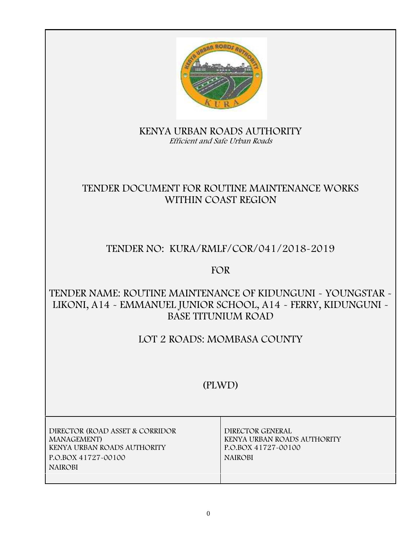

# **KENYA URBAN ROADS AUTHORITY** *Efficient and Safe Urban Roads*

# **TENDER DOCUMENT FOR ROUTINE MAINTENANCE WORKS WITHIN COAST REGION**

# **TENDER NO: KURA/RMLF/COR/041/2018-2019**

**FOR**

# **TENDER NAME: ROUTINE MAINTENANCE OF KIDUNGUNI - YOUNGSTAR - LIKONI, A14 - EMMANUEL JUNIOR SCHOOL, A14 - FERRY, KIDUNGUNI - BASE TITUNIUM ROAD**

# **LOT 2 ROADS: MOMBASA COUNTY**

# **(PLWD)**

| DIRECTOR (ROAD ASSET & CORRIDOR<br><b>MANAGEMENT</b> )<br>KENYA URBAN ROADS AUTHORITY<br>P.O.BOX 41727-00100<br><b>NAIROBI</b> | DIRECTOR GENERAL<br>KENYA URBAN ROADS AUTHORITY<br>P.O.BOX 41727-00100<br><b>NAIROBI</b> |
|--------------------------------------------------------------------------------------------------------------------------------|------------------------------------------------------------------------------------------|
|                                                                                                                                |                                                                                          |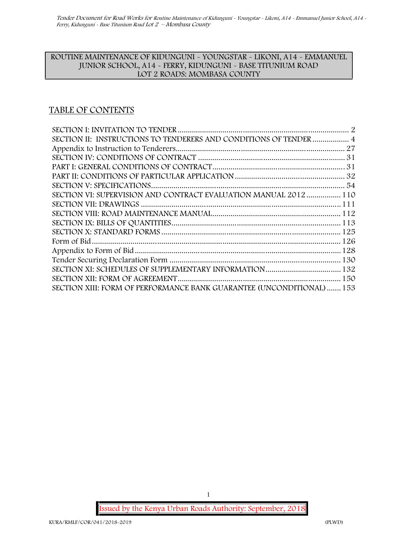#### **ROUTINE MAINTENANCE OF KIDUNGUNI - YOUNGSTAR - LIKONI, A14 - EMMANUEL JUNIOR SCHOOL, A14 - FERRY, KIDUNGUNI - BASE TITUNIUM ROAD LOT 2 ROADS: MOMBASA COUNTY**

## **TABLE OF CONTENTS**

| SECTION II: INSTRUCTIONS TO TENDERERS AND CONDITIONS OF TENDER  4     |  |
|-----------------------------------------------------------------------|--|
|                                                                       |  |
|                                                                       |  |
|                                                                       |  |
|                                                                       |  |
|                                                                       |  |
| SECTION VI: SUPERVISION AND CONTRACT EVALUATION MANUAL 2012  110      |  |
|                                                                       |  |
|                                                                       |  |
|                                                                       |  |
|                                                                       |  |
|                                                                       |  |
|                                                                       |  |
|                                                                       |  |
|                                                                       |  |
|                                                                       |  |
| SECTION XIII: FORM OF PERFORMANCE BANK GUARANTEE (UNCONDITIONAL)  153 |  |

**Issued by the Kenya Urban Roads Authority: September, 2018**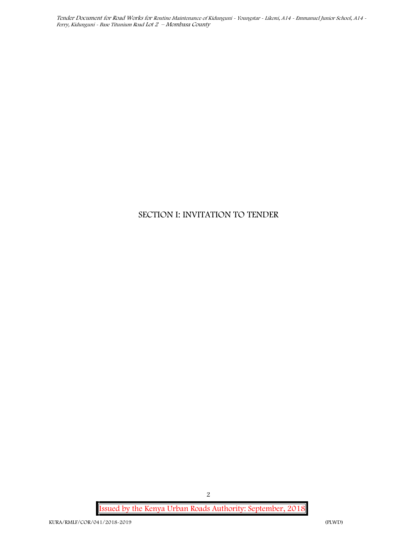## **SECTION I: INVITATION TO TENDER**

**Issued by the Kenya Urban Roads Authority: September, 2018**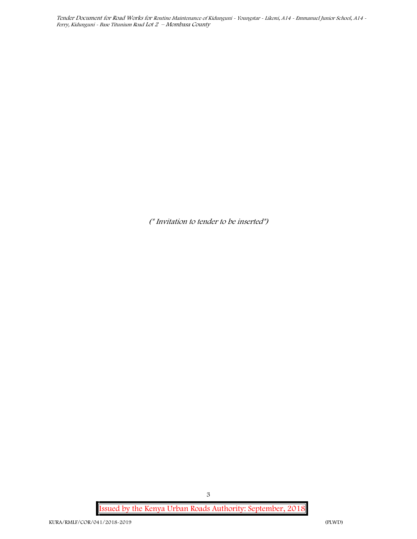*(\* Invitation to tender to be inserted\*)*

**Issued by the Kenya Urban Roads Authority: September, 2018**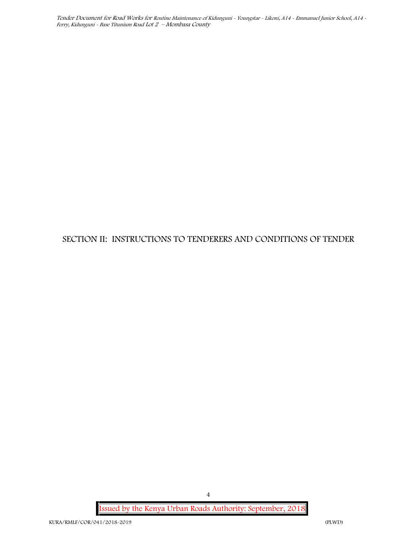# **SECTION II: INSTRUCTIONS TO TENDERERS AND CONDITIONS OF TENDER**

**Issued by the Kenya Urban Roads Authority: September, 2018**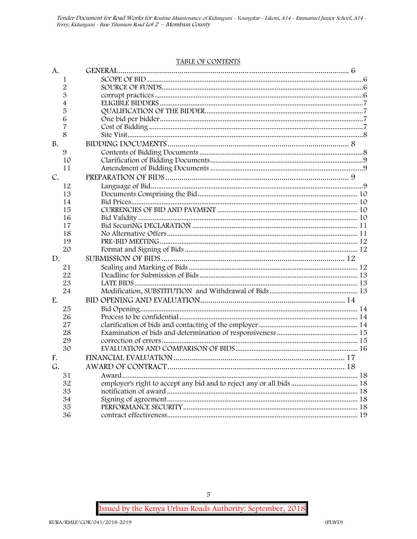#### **TABLE OF CONTENTS**

| A.          |                                                                      |  |
|-------------|----------------------------------------------------------------------|--|
| 1           |                                                                      |  |
| 2           |                                                                      |  |
| 3           |                                                                      |  |
| 4           |                                                                      |  |
| 5           |                                                                      |  |
| 6           |                                                                      |  |
| 7           |                                                                      |  |
| 8           |                                                                      |  |
| <b>B.</b>   |                                                                      |  |
| 9           |                                                                      |  |
| 10          |                                                                      |  |
| 11          |                                                                      |  |
| $C_{\cdot}$ |                                                                      |  |
| 12          |                                                                      |  |
| 13          |                                                                      |  |
| 14          |                                                                      |  |
| 15          |                                                                      |  |
| 16          |                                                                      |  |
| 17          |                                                                      |  |
| 18          |                                                                      |  |
| 19          |                                                                      |  |
| 20          |                                                                      |  |
| D.          |                                                                      |  |
| 21          |                                                                      |  |
| 22          |                                                                      |  |
| 23          |                                                                      |  |
| 24          |                                                                      |  |
| E.          |                                                                      |  |
| 25          |                                                                      |  |
| 26          |                                                                      |  |
| 27          |                                                                      |  |
| 28          |                                                                      |  |
| 29          |                                                                      |  |
| 30          |                                                                      |  |
| F.          |                                                                      |  |
| G.          |                                                                      |  |
| 31          |                                                                      |  |
| 32          | employer's right to accept any bid and to reject any or all bids  18 |  |
| 33          |                                                                      |  |
| 34          |                                                                      |  |
| 35          |                                                                      |  |
| 36          |                                                                      |  |

ssued by the Kenya Urban Roads Authority: September, 2018

 $\,$  5  $\,$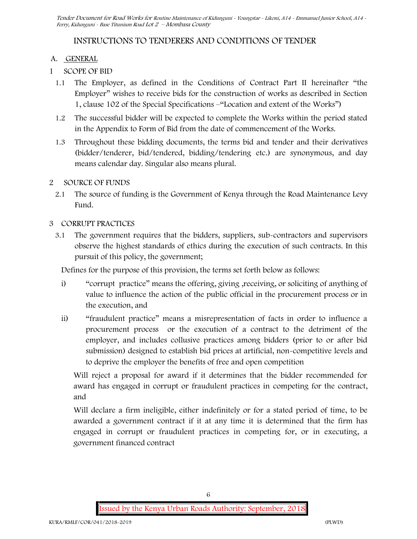## **INSTRUCTIONS TO TENDERERS AND CONDITIONS OF TENDER**

#### **A. GENERAL**

- **1 SCOPE OF BID**
	- 1.1 The Employer, as defined in the Conditions of Contract Part II hereinafter "the Employer" wishes to receive bids for the construction of works as described in Section 1, clause 102 of the Special Specifications –"Location and extent of the Works")
	- 1.2 The successful bidder will be expected to complete the Works within the period stated in the Appendix to Form of Bid from the date of commencement of the Works.
	- 1.3 Throughout these bidding documents, the terms bid and tender and their derivatives (bidder/tenderer, bid/tendered, bidding/tendering etc.) are synonymous, and day means calendar day. Singular also means plural.

#### **2 SOURCE OF FUNDS**

2.1 The source of funding is the Government of Kenya through the Road Maintenance Levy Fund.

#### **3 CORRUPT PRACTICES**

3.1 The government requires that the bidders, suppliers, sub-contractors and supervisors observe the highest standards of ethics during the execution of such contracts. In this pursuit of this policy, the government;

Defines for the purpose of this provision, the terms set forth below as follows:

- i) "corrupt practice" means the offering, giving ,receiving, or soliciting of anything of value to influence the action of the public official in the procurement process or in the execution, and
- ii) "fraudulent practice" means a misrepresentation of facts in order to influence a procurement process or the execution of a contract to the detriment of the employer, and includes collusive practices among bidders (prior to or after bid submission) designed to establish bid prices at artificial, non-competitive levels and to deprive the employer the benefits of free and open competition

Will reject a proposal for award if it determines that the bidder recommended for award has engaged in corrupt or fraudulent practices in competing for the contract, and

Will declare a firm ineligible, either indefinitely or for a stated period of time, to be awarded a government contract if it at any time it is determined that the firm has engaged in corrupt or fraudulent practices in competing for, or in executing, a government financed contract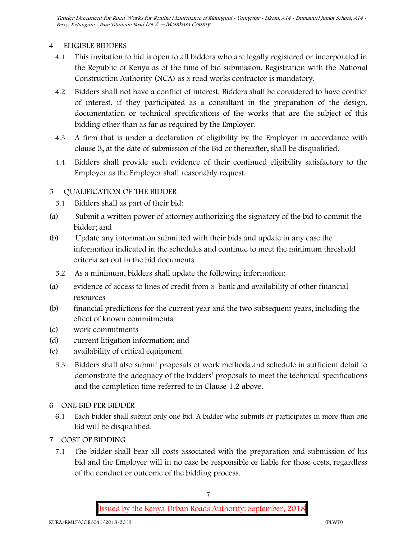## **4 ELIGIBLE BIDDERS**

- 4.1 This invitation to bid is open to all bidders who are legally registered or incorporated in the Republic of Kenya as of the time of bid submission. Registration with the National Construction Authority (NCA) as a road works contractor is mandatory.
- 4.2 Bidders shall not have a conflict of interest. Bidders shall be considered to have conflict of interest, if they participated as a consultant in the preparation of the design, documentation or technical specifications of the works that are the subject of this bidding other than as far as required by the Employer.
- 4.3 A firm that is under a declaration of eligibility by the Employer in accordance with clause 3, at the date of submission of the Bid or thereafter, shall be disqualified.
- 4.4 Bidders shall provide such evidence of their continued eligibility satisfactory to the Employer as the Employer shall reasonably request.

## **5 QUALIFICATION OF THE BIDDER**

- 5.1 Bidders shall as part of their bid:
- (a) Submit a written power of attorney authorizing the signatory of the bid to commit the bidder; and
- (b) Update any information submitted with their bids and update in any case the information indicated in the schedules and continue to meet the minimum threshold criteria set out in the bid documents.
	- 5.2 As a minimum, bidders shall update the following information:
- (a) evidence of access to lines of credit from a bank and availability of other financial resources
- (b) financial predictions for the current year and the two subsequent years, including the effect of known commitments
- (c) work commitments
- (d) current litigation information; and
- (e) availability of critical equipment
	- 5.3 Bidders shall also submit proposals of work methods and schedule in sufficient detail to demonstrate the adequacy of the bidders' proposals to meet the technical specifications and the completion time referred to in Clause 1.2 above.

### **6 ONE BID PER BIDDER**

- 6.1 Each bidder shall submit only one bid. A bidder who submits or participates in more than one bid will be disqualified.
- **7 COST OF BIDDING**
	- 7.1 The bidder shall bear all costs associated with the preparation and submission of his bid and the Employer will in no case be responsible or liable for those costs, regardless of the conduct or outcome of the bidding process.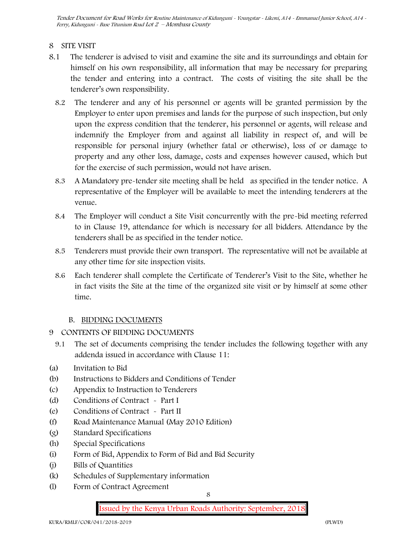#### **8 SITE VISIT**

- 8.1 The tenderer is advised to visit and examine the site and its surroundings and obtain for himself on his own responsibility, all information that may be necessary for preparing the tender and entering into a contract. The costs of visiting the site shall be the tenderer's own responsibility.
	- 8.2 The tenderer and any of his personnel or agents will be granted permission by the Employer to enter upon premises and lands for the purpose of such inspection, but only upon the express condition that the tenderer, his personnel or agents, will release and indemnify the Employer from and against all liability in respect of, and will be responsible for personal injury (whether fatal or otherwise), loss of or damage to property and any other loss, damage, costs and expenses however caused, which but for the exercise of such permission, would not have arisen.
	- 8.3 A Mandatory pre-tender site meeting shall be held as specified in the tender notice. A representative of the Employer will be available to meet the intending tenderers at the venue.
	- 8.4 The Employer will conduct a Site Visit concurrently with the pre-bid meeting referred to in Clause 19, attendance for which is necessary for all bidders. Attendance by the tenderers shall be as specified in the tender notice.
	- 8.5 Tenderers must provide their own transport. The representative will not be available at any other time for site inspection visits.
	- 8.6 Each tenderer shall complete the Certificate of Tenderer's Visit to the Site, whether he in fact visits the Site at the time of the organized site visit or by himself at some other time.

### **B. BIDDING DOCUMENTS**

- 9 CONTENTS OF BIDDING DOCUMENTS
	- 9.1 The set of documents comprising the tender includes the following together with any addenda issued in accordance with Clause 11:
- (a) Invitation to Bid
- (b) Instructions to Bidders and Conditions of Tender
- (c) Appendix to Instruction to Tenderers
- (d) Conditions of Contract Part I
- (e) Conditions of Contract Part II
- (f) Road Maintenance Manual (May 2010 Edition)
- (g) Standard Specifications
- (h) Special Specifications
- (i) Form of Bid, Appendix to Form of Bid and Bid Security
- (j) Bills of Quantities
- (k) Schedules of Supplementary information
- (l) Form of Contract Agreement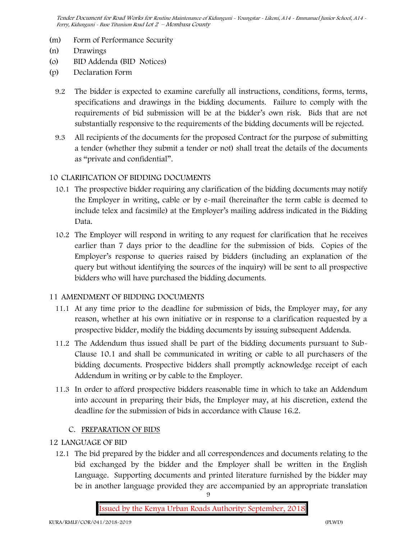- (m) Form of Performance Security
- (n) Drawings
- (o) BID Addenda (BID Notices)
- (p) Declaration Form
	- 9.2 The bidder is expected to examine carefully all instructions, conditions, forms, terms, specifications and drawings in the bidding documents. Failure to comply with the requirements of bid submission will be at the bidder's own risk. Bids that are not substantially responsive to the requirements of the bidding documents will be rejected.
	- 9.3 All recipients of the documents for the proposed Contract for the purpose of submitting a tender (whether they submit a tender or not) shall treat the details of the documents as "private and confidential".

#### **10 CLARIFICATION OF BIDDING DOCUMENTS**

- 10.1 The prospective bidder requiring any clarification of the bidding documents may notify the Employer in writing, cable or by e-mail (hereinafter the term cable is deemed to include telex and facsimile) at the Employer's mailing address indicated in the Bidding Data.
- 10.2 The Employer will respond in writing to any request for clarification that he receives earlier than 7 days prior to the deadline for the submission of bids. Copies of the Employer's response to queries raised by bidders (including an explanation of the query but without identifying the sources of the inquiry) will be sent to all prospective bidders who will have purchased the bidding documents.

#### **11 AMENDMENT OF BIDDING DOCUMENTS**

- 11.1 At any time prior to the deadline for submission of bids, the Employer may, for any reason, whether at his own initiative or in response to a clarification requested by a prospective bidder, modify the bidding documents by issuing subsequent Addenda.
- 11.2 The Addendum thus issued shall be part of the bidding documents pursuant to Sub- Clause 10.1 and shall be communicated in writing or cable to all purchasers of the bidding documents. Prospective bidders shall promptly acknowledge receipt of each Addendum in writing or by cable to the Employer.
- 11.3 In order to afford prospective bidders reasonable time in which to take an Addendum into account in preparing their bids, the Employer may, at his discretion, extend the deadline for the submission of bids in accordance with Clause 16.2.

#### **C. PREPARATION OF BIDS**

#### **12 LANGUAGE OF BID**

12.1 The bid prepared by the bidder and all correspondences and documents relating to the bid exchanged by the bidder and the Employer shall be written in the English Language. Supporting documents and printed literature furnished by the bidder may be in another language provided they are accompanied by an appropriate translation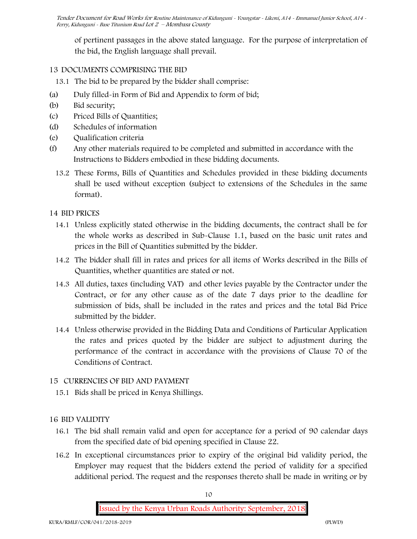of pertinent passages in the above stated language. For the purpose of interpretation of the bid, the English language shall prevail.

## **13 DOCUMENTS COMPRISING THE BID**

- 13.1 The bid to be prepared by the bidder shall comprise:
- (a) Duly filled-in Form of Bid and Appendix to form of bid;
- (b) Bid security;
- (c) Priced Bills of Quantities;
- (d) Schedules of information
- (e) Qualification criteria
- (f) Any other materials required to be completed and submitted in accordance with the Instructions to Bidders embodied in these bidding documents.
	- 13.2 These Forms, Bills of Quantities and Schedules provided in these bidding documents shall be used without exception (subject to extensions of the Schedules in the same format).

### **14 BID PRICES**

- 14.1 Unless explicitly stated otherwise in the bidding documents, the contract shall be for the whole works as described in Sub-Clause 1.1, based on the basic unit rates and prices in the Bill of Quantities submitted by the bidder.
- 14.2 The bidder shall fill in rates and prices for all items of Works described in the Bills of Quantities, whether quantities are stated or not.
- 14.3 All duties, taxes (including VAT) and other levies payable by the Contractor under the Contract, or for any other cause as of the date 7 days prior to the deadline for submission of bids, shall be included in the rates and prices and the total Bid Price submitted by the bidder.
- 14.4 Unless otherwise provided in the Bidding Data and Conditions of Particular Application the rates and prices quoted by the bidder are subject to adjustment during the performance of the contract in accordance with the provisions of Clause 70 of the Conditions of Contract.

## **15 CURRENCIES OF BID AND PAYMENT**

15.1 Bids shall be priced in Kenya Shillings.

## **16 BID VALIDITY**

- 16.1 The bid shall remain valid and open for acceptance for a period of 90 calendar days from the specified date of bid opening specified in Clause 22.
- 16.2 In exceptional circumstances prior to expiry of the original bid validity period, the Employer may request that the bidders extend the period of validity for a specified additional period. The request and the responses thereto shall be made in writing or by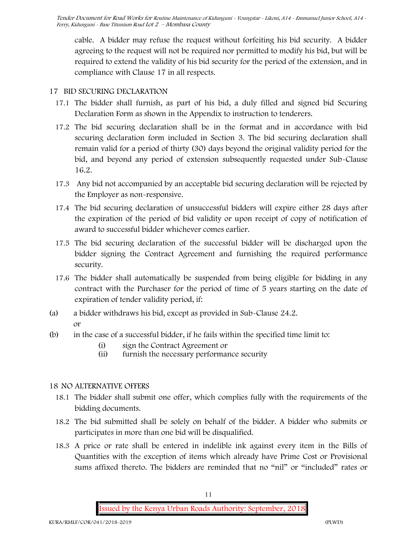cable. A bidder may refuse the request without forfeiting his bid security. A bidder agreeing to the request will not be required nor permitted to modify his bid, but will be required to extend the validity of his bid security for the period of the extension, and in compliance with Clause 17 in all respects.

## **17 BID SECURING DECLARATION**

- 17.1 The bidder shall furnish, as part of his bid, a duly filled and signed bid Securing Declaration Form as shown in the Appendix to instruction to tenderers.
- 17.2 The bid securing declaration shall be in the format and in accordance with bid securing declaration form included in Section 3. The bid securing declaration shall remain valid for a period of thirty (30) days beyond the original validity period for the bid, and beyond any period of extension subsequently requested under Sub-Clause 16.2.
- 17.3 Any bid not accompanied by an acceptable bid securing declaration will be rejected by the Employer as non-responsive.
- 17.4 The bid securing declaration of unsuccessful bidders will expire either 28 days after the expiration of the period of bid validity or upon receipt of copy of notification of award to successful bidder whichever comes earlier.
- 17.5 The bid securing declaration of the successful bidder will be discharged upon the bidder signing the Contract Agreement and furnishing the required performance security.
- 17.6 The bidder shall automatically be suspended from being eligible for bidding in any contract with the Purchaser for the period of time of 5 years starting on the date of expiration of tender validity period, if:
- (a) a bidder withdraws his bid, except as provided in Sub-Clause 24.2. or
- (b) in the case of a successful bidder, if he fails within the specified time limit to:
	- (i) sign the Contract Agreement or
	- (ii) furnish the necessary performance security

### **18 NO ALTERNATIVE OFFERS**

- 18.1 The bidder shall submit one offer, which complies fully with the requirements of the bidding documents.
- 18.2 The bid submitted shall be solely on behalf of the bidder. A bidder who submits or participates in more than one bid will be disqualified.
- 18.3 A price or rate shall be entered in indelible ink against every item in the Bills of Quantities with the exception of items which already have Prime Cost or Provisional sums affixed thereto. The bidders are reminded that no "nil" or "included" rates or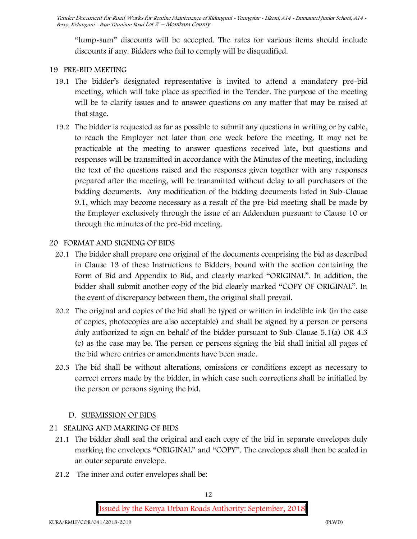"lump-sum" discounts will be accepted. The rates for various items should include discounts if any. Bidders who fail to comply will be disqualified.

#### **19 PRE-BID MEETING**

- 19.1 The bidder's designated representative is invited to attend a mandatory pre-bid meeting, which will take place as specified in the Tender. The purpose of the meeting will be to clarify issues and to answer questions on any matter that may be raised at that stage.
- 19.2 The bidder is requested as far as possible to submit any questions in writing or by cable, to reach the Employer not later than one week before the meeting. It may not be practicable at the meeting to answer questions received late, but questions and responses will be transmitted in accordance with the Minutes of the meeting, including the text of the questions raised and the responses given together with any responses prepared after the meeting, will be transmitted without delay to all purchasers of the bidding documents. Any modification of the bidding documents listed in Sub-Clause 9.1, which may become necessary as a result of the pre-bid meeting shall be made by the Employer exclusively through the issue of an Addendum pursuant to Clause 10 or through the minutes of the pre-bid meeting.

### **20 FORMAT AND SIGNING OF BIDS**

- 20.1 The bidder shall prepare one original of the documents comprising the bid as described in Clause 13 of these Instructions to Bidders, bound with the section containing the Form of Bid and Appendix to Bid, and clearly marked "ORIGINAL". In addition, the bidder shall submit another copy of the bid clearly marked "COPY OF ORIGINAL". In the event of discrepancy between them, the original shall prevail.
- 20.2 The original and copies of the bid shall be typed or written in indelible ink (in the case of copies, photocopies are also acceptable) and shall be signed by a person or persons duly authorized to sign on behalf of the bidder pursuant to Sub-Clause 5.1(a) OR 4.3 (c) as the case may be. The person or persons signing the bid shall initial all pages of the bid where entries or amendments have been made.
- 20.3 The bid shall be without alterations, omissions or conditions except as necessary to correct errors made by the bidder, in which case such corrections shall be initialled by the person or persons signing the bid.

### **D. SUBMISSION OF BIDS**

- **21 SEALING AND MARKING OF BIDS**
	- 21.1 The bidder shall seal the original and each copy of the bid in separate envelopes duly marking the envelopes "ORIGINAL" and "COPY". The envelopes shall then be sealed in an outer separate envelope.
	- 21.2 The inner and outer envelopes shall be: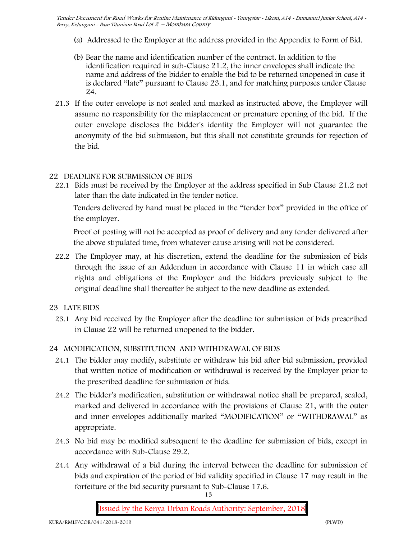- (a) Addressed to the Employer at the address provided in the Appendix to Form of Bid.
- (b) Bear the name and identification number of the contract. In addition to the identification required in sub-Clause 21.2, the inner envelopes shall indicate the name and address of the bidder to enable the bid to be returned unopened in case it is declared "late" pursuant to Clause 23.1, and for matching purposes under Clause 24.
- 21.3 If the outer envelope is not sealed and marked as instructed above, the Employer will assume no responsibility for the misplacement or premature opening of the bid. If the outer envelope discloses the bidder's identity the Employer will not guarantee the anonymity of the bid submission, but this shall not constitute grounds for rejection of the bid.

#### **22 DEADLINE FOR SUBMISSION OF BIDS**

22.1 Bids must be received by the Employer at the address specified in Sub Clause 21.2 not later than **the date indicated in the tender notice.**

Tenders delivered by hand must be placed in the "tender box" provided in the office of the employer.

Proof of posting will not be accepted as proof of delivery and any tender delivered after the above stipulated time, from whatever cause arising will not be considered.

- 22.2 The Employer may, at his discretion, extend the deadline for the submission of bids through the issue of an Addendum in accordance with Clause 11 in which case all rights and obligations of the Employer and the bidders previously subject to the original deadline shall thereafter be subject to the new deadline as extended.
- **23 LATE BIDS**
	- 23.1 Any bid received by the Employer after the deadline for submission of bids prescribed in Clause 22 will be returned unopened to the bidder.

#### **24 MODIFICATION, SUBSTITUTION AND WITHDRAWAL OF BIDS**

- 24.1 The bidder may modify, substitute or withdraw his bid after bid submission, provided that written notice of modification or withdrawal is received by the Employer prior to the prescribed deadline for submission of bids.
- 24.2 The bidder's modification, substitution or withdrawal notice shall be prepared, sealed, marked and delivered in accordance with the provisions of Clause 21, with the outer and inner envelopes additionally marked "MODIFICATION" or "WITHDRAWAL" as appropriate.
- 24.3 No bid may be modified subsequent to the deadline for submission of bids, except in accordance with Sub-Clause 29.2.
- 24.4 Any withdrawal of a bid during the interval between the deadline for submission of bids and expiration of the period of bid validity specified in Clause 17 may result in the forfeiture of the bid security pursuant to Sub-Clause 17.6.

13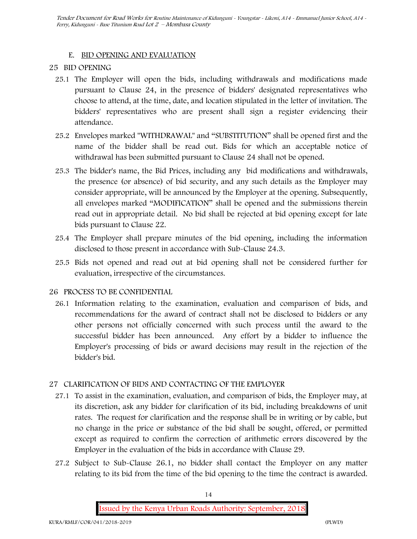#### **E. BID OPENING AND EVALUATION**

#### **25 BID OPENING**

- 25.1 The Employer will open the bids, including withdrawals and modifications made pursuant to Clause 24, in the presence of bidders' designated representatives who choose to attend, at the time, date, and location stipulated in the letter of invitation. The bidders' representatives who are present shall sign a register evidencing their attendance.
- 25.2 Envelopes marked "WITHDRAWAL" and "SUBSTITUTION" shall be opened first and the name of the bidder shall be read out. Bids for which an acceptable notice of withdrawal has been submitted pursuant to Clause 24 shall not be opened.
- 25.3 The bidder's name, the Bid Prices, including any bid modifications and withdrawals, the presence (or absence) of bid security, and any such details as the Employer may consider appropriate, will be announced by the Employer at the opening. Subsequently, all envelopes marked "MODIFICATION" shall be opened and the submissions therein read out in appropriate detail. No bid shall be rejected at bid opening except for late bids pursuant to Clause 22.
- 25.4 The Employer shall prepare minutes of the bid opening, including the information disclosed to those present in accordance with Sub-Clause 24.3.
- 25.5 Bids not opened and read out at bid opening shall not be considered further for evaluation, irrespective of the circumstances.

#### **26 PROCESS TO BE CONFIDENTIAL**

26.1 Information relating to the examination, evaluation and comparison of bids, and recommendations for the award of contract shall not be disclosed to bidders or any other persons not officially concerned with such process until the award to the successful bidder has been announced. Any effort by a bidder to influence the Employer's processing of bids or award decisions may result in the rejection of the bidder's bid.

#### **27 CLARIFICATION OF BIDS AND CONTACTING OF THE EMPLOYER**

- 27.1 To assist in the examination, evaluation, and comparison of bids, the Employer may, at its discretion, ask any bidder for clarification of its bid, including breakdowns of unit rates. The request for clarification and the response shall be in writing or by cable, but no change in the price or substance of the bid shall be sought, offered, or permitted except as required to confirm the correction of arithmetic errors discovered by the Employer in the evaluation of the bids in accordance with Clause 29.
- 27.2 Subject to Sub-Clause 26.1, no bidder shall contact the Employer on any matter relating to its bid from the time of the bid opening to the time the contract is awarded.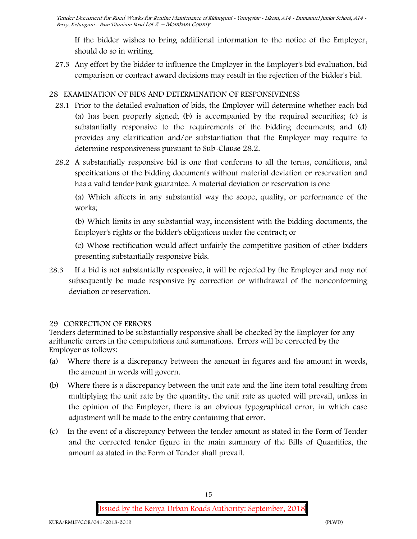If the bidder wishes to bring additional information to the notice of the Employer, should do so in writing.

27.3 Any effort by the bidder to influence the Employer in the Employer's bid evaluation, bid comparison or contract award decisions may result in the rejection of the bidder's bid.

## **28 EXAMINATION OF BIDS AND DETERMINATION OF RESPONSIVENESS**

- 28.1 Prior to the detailed evaluation of bids, the Employer will determine whether each bid (a) has been properly signed; (b) is accompanied by the required securities; (c) is substantially responsive to the requirements of the bidding documents; and (d) provides any clarification and/or substantiation that the Employer may require to determine responsiveness pursuant to Sub-Clause 28.2.
- 28.2 A substantially responsive bid is one that conforms to all the terms, conditions, and specifications of the bidding documents without material deviation or reservation and has a valid tender bank guarantee. A material deviation or reservation is one

(a) Which affects in any substantial way the scope, quality, or performance of the works;

(b) Which limits in any substantial way, inconsistent with the bidding documents, the Employer's rights or the bidder's obligations under the contract; or

(c) Whose rectification would affect unfairly the competitive position of other bidders presenting substantially responsive bids.

28.3 If a bid is not substantially responsive, it will be rejected by the Employer and may not subsequently be made responsive by correction or withdrawal of the nonconforming deviation or reservation.

### **29 CORRECTION OF ERRORS**

Tenders determined to be substantially responsive shall be checked by the Employer for any arithmetic errors in the computations and summations. Errors will be corrected by the Employer as follows:

- (a) Where there is a discrepancy between the amount in figures and the amount in words, the amount in words will govern.
- (b) Where there is a discrepancy between the unit rate and the line item total resulting from multiplying the unit rate by the quantity, the unit rate as quoted will prevail, unless in the opinion of the Employer, there is an obvious typographical error, in which case adjustment will be made to the entry containing that error.
- (c) In the event of a discrepancy between the tender amount as stated in the Form of Tender and the corrected tender figure in the main summary of the Bills of Quantities, the amount as stated in the Form of Tender shall prevail.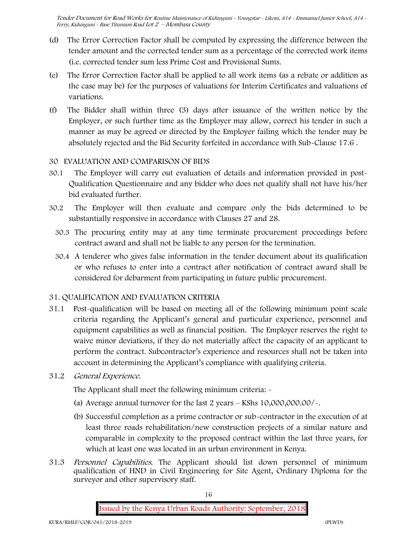- (d) The Error Correction Factor shall be computed by expressing the difference between the tender amount and the corrected tender sum as a percentage of the corrected work items (i.e. corrected tender sum less Prime Cost and Provisional Sums.
- (e) The Error Correction Factor shall be applied to all work items (as a rebate or addition as the case may be) for the purposes of valuations for Interim Certificates and valuations of variations.
- (f) The Bidder shall within three (3) days after issuance of the written notice by the Employer, or such further time as the Employer may allow, correct his tender in such a manner as may be agreed or directed by the Employer failing which the tender may be absolutely rejected and the Bid Security forfeited in accordance with Sub-Clause 17.6 .

#### **30 EVALUATION AND COMPARISON OF BIDS**

- 30.1 The Employer will carry out evaluation of details and information provided in post- Qualification Questionnaire and any bidder who does not qualify shall not have his/her bid evaluated further.
- 30.2 The Employer will then evaluate and compare only the bids determined to be substantially responsive in accordance with Clauses 27 and 28.
	- 30.3 The procuring entity may at any time terminate procurement proceedings before contract award and shall not be liable to any person for the termination.
	- 30.4 A tenderer who gives false information in the tender document about its qualification or who refuses to enter into a contract after notification of contract award shall be considered for debarment from participating in future public procurement.

#### **31. QUALIFICATION AND EVALUATION CRITERIA**

- 31.1 Post-qualification will be based on meeting all of the following minimum point scale criteria regarding the Applicant's general and particular experience, personnel and equipment capabilities as well as financial position. The Employer reserves the right to waive minor deviations, if they do not materially affect the capacity of an applicant to perform the contract. Subcontractor's experience and resources shall not be taken into account in determining the Applicant's compliance with qualifying criteria.
- **31.2** *General Experience***.**

The Applicant shall meet the following minimum criteria: -

- (a) Average annual turnover for the last 2 years **KShs 10,000,000.00/-.**
- (b) Successful completion as a prime contractor or sub-contractor in the execution of at least three roads rehabilitation/new construction projects of a similar nature and comparable in complexity to the proposed contract within the last three years, for which at least one was located in an urban environment in Kenya.
- 31.3 *Personnel Capabilities***.** The Applicant should list down personnel of minimum qualification of HND in Civil Engineering for Site Agent, Ordinary Diploma for the surveyor and other supervisory staff.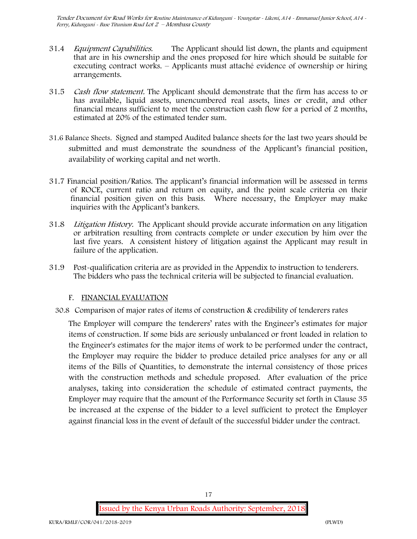- 31.4 *Equipment Capabilities.* The Applicant should list down, the plants and equipment that are in his ownership and the ones proposed for hire which should be suitable for executing contract works. – Applicants must attaché evidence of ownership or hiring arrangements.
- 31.5 *Cash flow statement.* The Applicant should demonstrate that the firm has access to or has available, liquid assets, unencumbered real assets, lines or credit, and other financial means sufficient to meet the construction cash flow for a period of 2 months, estimated at 20% of the estimated tender sum.
- **31.6 Balance Sheets***.* Signed and stamped Audited balance sheets for the last two years should be submitted and must demonstrate the soundness of the Applicant's financial position, availability of working capital and net worth.
- **31.7 Financial position/Ratios.** The applicant's financial information will be assessed in terms of ROCE, current ratio and return on equity, and the point scale criteria on their financial position given on this basis. Where necessary, the Employer may make inquiries with the Applicant's bankers.
- 31.8 *Litigation History.* The Applicant should provide accurate information on any litigation or arbitration resulting from contracts complete or under execution by him over the last five years. A consistent history of litigation against the Applicant may result in failure of the application.
- 31.9 Post-qualification criteria are as provided in the Appendix to instruction to tenderers. The bidders who pass the technical criteria will be subjected to financial evaluation.

#### **F. FINANCIAL EVALUATION**

30.8 Comparison of major rates of items of construction & credibility of tenderers rates

The Employer will compare the tenderers' rates with the Engineer's estimates for major items of construction. If some bids are seriously unbalanced or front loaded in relation to the Engineer's estimates for the major items of work to be performed under the contract, the Employer may require the bidder to produce detailed price analyses for any or all items of the Bills of Quantities, to demonstrate the internal consistency of those prices with the construction methods and schedule proposed. After evaluation of the price analyses, taking into consideration the schedule of estimated contract payments, the Employer may require that the amount of the Performance Security set forth in Clause 35 be increased at the expense of the bidder to a level sufficient to protect the Employer against financial loss in the event of default of the successful bidder under the contract.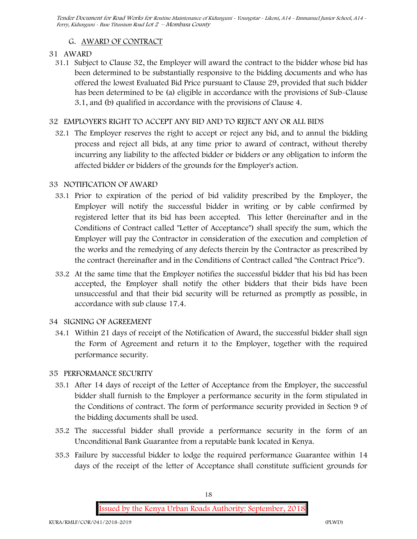## **G. AWARD OF CONTRACT**

#### **31 AWARD**

31.1 Subject to Clause 32, the Employer will award the contract to the bidder whose bid has been determined to be substantially responsive to the bidding documents and who has offered the lowest Evaluated Bid Price pursuant to Clause 29, provided that such bidder has been determined to be (a) eligible in accordance with the provisions of Sub-Clause 3.1, and (b) qualified in accordance with the provisions of Clause 4.

#### **32 EMPLOYER'S RIGHT TO ACCEPT ANY BID AND TO REJECT ANY OR ALL BIDS**

32.1 The Employer reserves the right to accept or reject any bid, and to annul the bidding process and reject all bids, at any time prior to award of contract, without thereby incurring any liability to the affected bidder or bidders or any obligation to inform the affected bidder or bidders of the grounds for the Employer's action.

#### **33 NOTIFICATION OF AWARD**

- 33.1 Prior to expiration of the period of bid validity prescribed by the Employer, the Employer will notify the successful bidder in writing or by cable confirmed by registered letter that its bid has been accepted. This letter (hereinafter and in the Conditions of Contract called "Letter of Acceptance") shall specify the sum, which the Employer will pay the Contractor in consideration of the execution and completion of the works and the remedying of any defects therein by the Contractor as prescribed by the contract (hereinafter and in the Conditions of Contract called "the Contract Price").
- 33.2 At the same time that the Employer notifies the successful bidder that his bid has been accepted, the Employer shall notify the other bidders that their bids have been unsuccessful and that their bid security will be returned as promptly as possible, in accordance with sub clause 17.4.

#### **34 SIGNING OF AGREEMENT**

34.1 Within 21 days of receipt of the Notification of Award, the successful bidder shall sign the Form of Agreement and return it to the Employer, together with the required performance security.

#### **35 PERFORMANCE SECURITY**

- 35.1 After 14 days of receipt of the Letter of Acceptance from the Employer, the successful bidder shall furnish to the Employer a performance security in the form stipulated in the Conditions of contract. The form of performance security provided in Section 9 of the bidding documents shall be used.
- 35.2 The successful bidder shall provide a performance security in the form of an Unconditional Bank Guarantee from a reputable bank located in Kenya.
- 35.3 Failure by successful bidder to lodge the required performance Guarantee within 14 days of the receipt of the letter of Acceptance shall constitute sufficient grounds for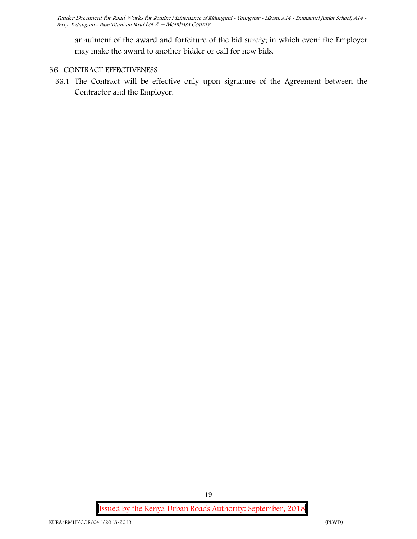annulment of the award and forfeiture of the bid surety; in which event the Employer may make the award to another bidder or call for new bids.

#### **36 CONTRACT EFFECTIVENESS**

36.1 The Contract will be effective only upon signature of the Agreement between the Contractor and the Employer.

**Issued by the Kenya Urban Roads Authority: September, 2018**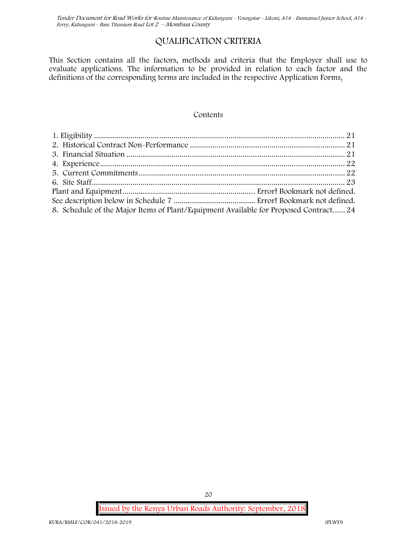## **QUALIFICATION CRITERIA**

This Section contains all the factors, methods and criteria that the Employer shall use to evaluate applications. The information to be provided in relation to each factor and the definitions of the corresponding terms are included in the respective Application Forms.

#### **Contents**

| 8. Schedule of the Major Items of Plant/Equipment Available for Proposed Contract 24 |  |
|--------------------------------------------------------------------------------------|--|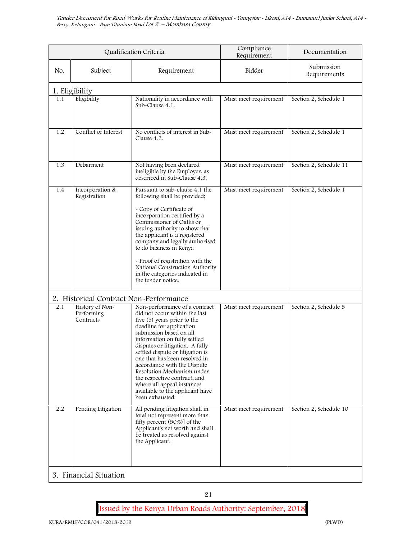|     |                                            | Qualification Criteria                                                                                                                                                                                                                                                                                                                                                                                                                                                        | Compliance<br>Requirement | Documentation              |
|-----|--------------------------------------------|-------------------------------------------------------------------------------------------------------------------------------------------------------------------------------------------------------------------------------------------------------------------------------------------------------------------------------------------------------------------------------------------------------------------------------------------------------------------------------|---------------------------|----------------------------|
| No. | Subject                                    | Requirement                                                                                                                                                                                                                                                                                                                                                                                                                                                                   | Bidder                    | Submission<br>Requirements |
|     | 1. Eligibility                             |                                                                                                                                                                                                                                                                                                                                                                                                                                                                               |                           |                            |
| 1.1 | Eligibility                                | Nationality in accordance with<br>Sub-Clause 4.1.                                                                                                                                                                                                                                                                                                                                                                                                                             | Must meet requirement     | Section 2, Schedule 1      |
| 1.2 | Conflict of Interest                       | No conflicts of interest in Sub-<br>Clause 4.2.                                                                                                                                                                                                                                                                                                                                                                                                                               | Must meet requirement     | Section 2, Schedule 1      |
| 1.3 | Debarment                                  | Not having been declared<br>ineligible by the Employer, as<br>described in Sub-Clause 4.3.                                                                                                                                                                                                                                                                                                                                                                                    | Must meet requirement     | Section 2, Schedule 11     |
| 1.4 | Incorporation &<br>Registration            | Pursuant to sub-clause 4.1 the<br>following shall be provided;<br>- Copy of Certificate of<br>incorporation certified by a<br>Commissioner of Oaths or<br>issuing authority to show that<br>the applicant is a registered<br>company and legally authorised<br>to do business in Kenya<br>- Proof of registration with the<br>National Construction Authority<br>in the categories indicated in<br>the tender notice.                                                         | Must meet requirement     | Section 2, Schedule 1      |
|     | 2. Historical Contract Non-Performance     |                                                                                                                                                                                                                                                                                                                                                                                                                                                                               |                           |                            |
| 2.1 | History of Non-<br>Performing<br>Contracts | Non-performance of a contract<br>did not occur within the last<br>five (5) years prior to the<br>deadline for application<br>submission based on all<br>information on fully settled<br>disputes or litigation. A fully<br>settled dispute or litigation is<br>one that has been resolved in<br>accordance with the Dispute<br>Resolution Mechanism under<br>the respective contract, and<br>where all appeal instances<br>available to the applicant have<br>been exhausted. | Must meet requirement     | Section 2, Schedule 5      |
| 2.2 | Pending Litigation                         | All pending litigation shall in<br>total not represent more than<br>fifty percent (50%)] of the<br>Applicant's net worth and shall<br>be treated as resolved against<br>the Applicant.                                                                                                                                                                                                                                                                                        | Must meet requirement     | Section 2, Schedule 10     |
|     | 3. Financial Situation                     |                                                                                                                                                                                                                                                                                                                                                                                                                                                                               |                           |                            |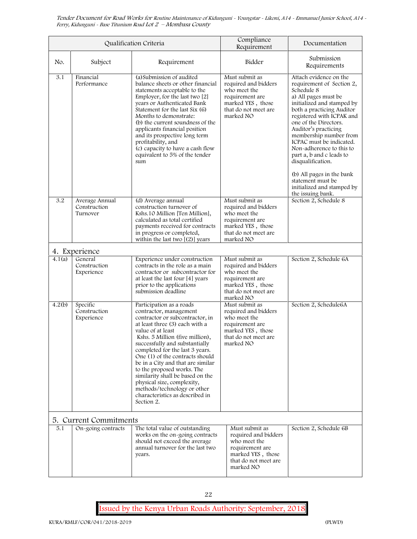|        |                                            | Qualification Criteria                                                                                                                                                                                                                                                                                                                                                                                                                                                                                       | Compliance<br>Requirement                                                                                                           | Documentation                                                                                                                                                                                                                                                                                                                                                         |
|--------|--------------------------------------------|--------------------------------------------------------------------------------------------------------------------------------------------------------------------------------------------------------------------------------------------------------------------------------------------------------------------------------------------------------------------------------------------------------------------------------------------------------------------------------------------------------------|-------------------------------------------------------------------------------------------------------------------------------------|-----------------------------------------------------------------------------------------------------------------------------------------------------------------------------------------------------------------------------------------------------------------------------------------------------------------------------------------------------------------------|
| No.    | Subject                                    | Requirement                                                                                                                                                                                                                                                                                                                                                                                                                                                                                                  | Bidder                                                                                                                              | Submission<br>Requirements                                                                                                                                                                                                                                                                                                                                            |
| 3.1    | Financial<br>Performance                   | (a)Submission of audited<br>balance sheets or other financial<br>statements acceptable to the<br>Employer, for the last two [2]<br>vears or Authenticated Bank<br>Statement for the last Six (6)<br>Months to demonstrate:<br>(b) the current soundness of the<br>applicants financial position<br>and its prospective long term<br>profitability, and<br>(c) capacity to have a cash flow<br>equivalent to 5% of the tender<br>sum                                                                          | Must submit as<br>required and bidders<br>who meet the<br>requirement are<br>marked YES, those<br>that do not meet are<br>marked NO | Attach evidence on the<br>requirement of Section 2,<br>Schedule 8<br>a) All pages must be<br>initialized and stamped by<br>both a practicing Auditor<br>registered with ICPAK and<br>one of the Directors.<br>Auditor's practicing<br>membership number from<br>ICPAC must be indicated.<br>Non-adherence to this to<br>part a, b and c leads to<br>disqualification. |
|        |                                            |                                                                                                                                                                                                                                                                                                                                                                                                                                                                                                              |                                                                                                                                     | (b) All pages in the bank<br>statement must be<br>initialized and stamped by<br>the issuing bank.                                                                                                                                                                                                                                                                     |
| 3.2    | Average Annual<br>Construction<br>Turnover | (d) Average annual<br>construction turnover of<br>Kshs.10 Million [Ten Million],<br>calculated as total certified<br>payments received for contracts<br>in progress or completed,<br>within the last two $[(2)]$ years                                                                                                                                                                                                                                                                                       | Must submit as<br>required and bidders<br>who meet the<br>requirement are<br>marked YES, those<br>that do not meet are<br>marked NO | Section 2, Schedule 8                                                                                                                                                                                                                                                                                                                                                 |
|        | 4. Experience                              |                                                                                                                                                                                                                                                                                                                                                                                                                                                                                                              |                                                                                                                                     |                                                                                                                                                                                                                                                                                                                                                                       |
| 4.1(a) | General<br>Construction<br>Experience      | Experience under construction<br>contracts in the role as a main<br>contractor or subcontractor for<br>at least the last four [4] years<br>prior to the applications<br>submission deadline                                                                                                                                                                                                                                                                                                                  | Must submit as<br>required and bidders<br>who meet the<br>requirement are<br>marked YES, those<br>that do not meet are<br>marked NO | Section 2, Schedule 6A                                                                                                                                                                                                                                                                                                                                                |
| 4.2(b) | Specific<br>Construction<br>Experience     | Participation as a roads<br>contractor, management<br>contractor or subcontractor, in<br>at least three (3) each with a<br>value of at least<br>Kshs. 5 Million (five million),<br>successfully and substantially<br>completed for the last 3 years.<br>One (1) of the contracts should<br>be in a City and that are similar<br>to the proposed works. The<br>similarity shall be based on the<br>physical size, complexity,<br>methods/technology or other<br>characteristics as described in<br>Section 2. | Must submit as<br>required and bidders<br>who meet the<br>requirement are<br>marked YES, those<br>that do not meet are<br>marked NO | Section 2, Schedule6A                                                                                                                                                                                                                                                                                                                                                 |
|        | 5. Current Commitments                     |                                                                                                                                                                                                                                                                                                                                                                                                                                                                                                              |                                                                                                                                     |                                                                                                                                                                                                                                                                                                                                                                       |
| 5.1    | On-going contracts                         | The total value of outstanding<br>works on the on-going contracts<br>should not exceed the average<br>annual turnover for the last two<br>years.                                                                                                                                                                                                                                                                                                                                                             | Must submit as<br>required and bidders<br>who meet the<br>requirement are<br>marked YES, those<br>that do not meet are<br>marked NO | Section 2, Schedule 6B                                                                                                                                                                                                                                                                                                                                                |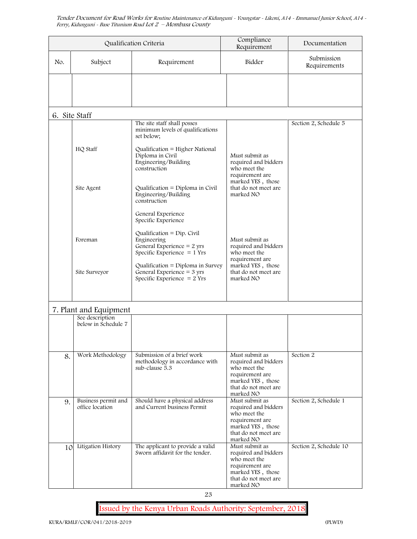|     |                                        | Qualification Criteria                                                                                           | Compliance<br>Requirement                                                                                                           | Documentation              |
|-----|----------------------------------------|------------------------------------------------------------------------------------------------------------------|-------------------------------------------------------------------------------------------------------------------------------------|----------------------------|
| No. | Subject                                | Requirement                                                                                                      | Bidder                                                                                                                              | Submission<br>Requirements |
|     |                                        |                                                                                                                  |                                                                                                                                     |                            |
|     | 6. Site Staff                          |                                                                                                                  |                                                                                                                                     |                            |
|     | HQ Staff                               | The site staff shall posses<br>minimum levels of qualifications<br>set below;<br>Qualification = Higher National |                                                                                                                                     | Section 2, Schedule 5      |
|     |                                        | Diploma in Civil<br>Engineering/Building<br>construction                                                         | Must submit as<br>required and bidders<br>who meet the<br>requirement are<br>marked YES, those                                      |                            |
|     | Site Agent                             | Qualification = Diploma in Civil<br>Engineering/Building<br>construction                                         | that do not meet are<br>marked NO                                                                                                   |                            |
|     |                                        | General Experience<br>Specific Experience                                                                        |                                                                                                                                     |                            |
|     | Foreman                                | Qualification = $Dip$ . Civil<br>Engineering<br>General Experience = $2$ yrs<br>Specific Experience $= 1$ Yrs    | Must submit as<br>required and bidders<br>who meet the<br>requirement are                                                           |                            |
|     | Site Surveyor                          | Qualification = $Diploma$ in Survey<br>General Experience $=$ 3 yrs<br>Specific Experience $= 2$ Yrs             | marked YES, those<br>that do not meet are<br>marked NO                                                                              |                            |
|     | 7. Plant and Equipment                 |                                                                                                                  |                                                                                                                                     |                            |
|     | See description<br>below in Schedule 7 |                                                                                                                  |                                                                                                                                     |                            |
| 8.  | Work Methodology                       | Submission of a brief work<br>methodology in accordance with<br>sub-clause 5.3                                   | Must submit as<br>required and bidders<br>who meet the<br>requirement are<br>marked YES, those<br>that do not meet are<br>marked NO | Section 2                  |
| 9.  | Business permit and<br>office location | Should have a physical address<br>and Current business Permit                                                    | Must submit as<br>required and bidders<br>who meet the<br>requirement are<br>marked YES, those<br>that do not meet are<br>marked NO | Section 2, Schedule 1      |
| 10  | Litigation History                     | The applicant to provide a valid<br>Sworn affidavit for the tender.                                              | Must submit as<br>required and bidders<br>who meet the<br>requirement are<br>marked YES, those<br>that do not meet are<br>marked NO | Section 2, Schedule 10     |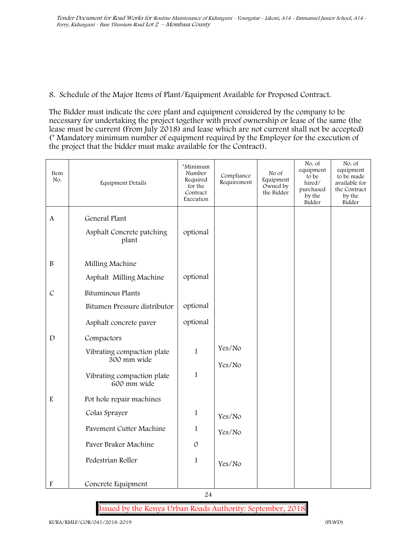**8. Schedule of the Major Items of Plant/Equipment Available for Proposed Contract.**

The Bidder must indicate the core plant and equipment considered by the company to be necessary for undertaking the project together with proof ownership or lease of the same (the lease must be current (From July 2018) and lease which are not current shall not be accepted) (\* Mandatory minimum number of equipment required by the Employer for the execution of the project that the bidder must make available for the Contract).

| Item<br>No.               | Equipment Details                         | *Minimum<br>Number<br>Required<br>for the<br>Contract<br>Execution | Compliance<br>Requirement | No of<br>Equipment<br>Owned by<br>the Bidder | No. of<br>equipment<br>to be<br>hired/<br>purchased<br>by the<br>Bidder | No. of<br>equipment<br>to be made<br>available for<br>the Contract<br>by the<br>Bidder |
|---------------------------|-------------------------------------------|--------------------------------------------------------------------|---------------------------|----------------------------------------------|-------------------------------------------------------------------------|----------------------------------------------------------------------------------------|
| $\mathbf{A}$              | General Plant                             |                                                                    |                           |                                              |                                                                         |                                                                                        |
|                           | Asphalt Concrete patching<br>plant        | optional                                                           |                           |                                              |                                                                         |                                                                                        |
| $\, {\bf B}$              | Milling Machine                           |                                                                    |                           |                                              |                                                                         |                                                                                        |
|                           | Asphalt Milling Machine                   | optional                                                           |                           |                                              |                                                                         |                                                                                        |
| $\mathcal{C}$             | Bituminous Plants                         |                                                                    |                           |                                              |                                                                         |                                                                                        |
|                           | Bitumen Pressure distributor              | optional                                                           |                           |                                              |                                                                         |                                                                                        |
|                           | Asphalt concrete paver                    | optional                                                           |                           |                                              |                                                                         |                                                                                        |
| $\mathbf D$               | Compactors                                |                                                                    |                           |                                              |                                                                         |                                                                                        |
|                           | Vibrating compaction plate<br>300 mm wide | $\mathbf{1}$                                                       | Yes/No                    |                                              |                                                                         |                                                                                        |
|                           | Vibrating compaction plate<br>600 mm wide | $\mathbf{1}$                                                       | Yes/No                    |                                              |                                                                         |                                                                                        |
| ${\bf E}$                 | Pot hole repair machines                  |                                                                    |                           |                                              |                                                                         |                                                                                        |
|                           | Colas Sprayer                             | $\mathbf{1}$                                                       | Yes/No                    |                                              |                                                                         |                                                                                        |
|                           | Pavement Cutter Machine                   | $\mathbf{1}$                                                       | Yes/No                    |                                              |                                                                         |                                                                                        |
|                           | Paver Braker Machine                      | $\mathcal{O}$                                                      |                           |                                              |                                                                         |                                                                                        |
|                           | Pedestrian Roller                         | $\mathbf{1}$                                                       | Yes/No                    |                                              |                                                                         |                                                                                        |
| $\boldsymbol{\mathrm{F}}$ | Concrete Equipment                        |                                                                    |                           |                                              |                                                                         |                                                                                        |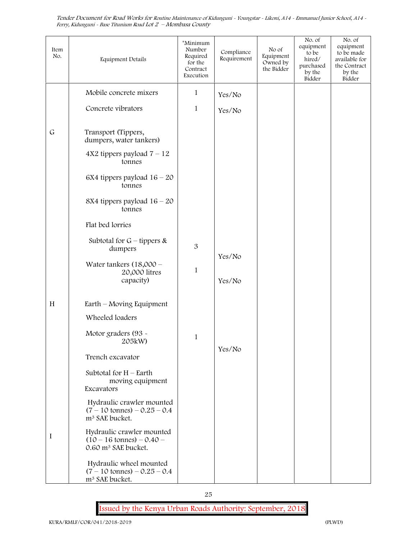| Item<br>No. | Equipment Details                                                                                   | *Minimum<br>Number<br>Required<br>for the<br>Contract<br>Execution | Compliance<br>Requirement | No of<br>Equipment<br>Owned by<br>the Bidder | No. of<br>equipment<br>to be<br>hired/<br>purchased<br>by the<br>Bidder | No. of<br>equipment<br>to be made<br>available for<br>the Contract<br>by the<br>Bidder |
|-------------|-----------------------------------------------------------------------------------------------------|--------------------------------------------------------------------|---------------------------|----------------------------------------------|-------------------------------------------------------------------------|----------------------------------------------------------------------------------------|
|             | Mobile concrete mixers                                                                              | $\mathbf{1}$                                                       | Yes/No                    |                                              |                                                                         |                                                                                        |
|             | Concrete vibrators                                                                                  | $\mathbf{1}$                                                       | Yes/No                    |                                              |                                                                         |                                                                                        |
| $\mathsf G$ | Transport (Tippers,<br>dumpers, water tankers)                                                      |                                                                    |                           |                                              |                                                                         |                                                                                        |
|             | $4X2$ tippers payload $7 - 12$<br>tonnes                                                            |                                                                    |                           |                                              |                                                                         |                                                                                        |
|             | 6X4 tippers payload $16 - 20$<br>tonnes                                                             |                                                                    |                           |                                              |                                                                         |                                                                                        |
|             | 8X4 tippers payload 16 - 20<br>tonnes                                                               |                                                                    |                           |                                              |                                                                         |                                                                                        |
|             | Flat bed lorries                                                                                    |                                                                    |                           |                                              |                                                                         |                                                                                        |
|             | Subtotal for $G$ – tippers &<br>dumpers                                                             | 3                                                                  |                           |                                              |                                                                         |                                                                                        |
|             | Water tankers $(18,000 -$<br>20,000 litres<br>capacity)                                             | $\mathbf{1}$                                                       | Yes/No<br>Yes/No          |                                              |                                                                         |                                                                                        |
| H           | $Earth$ – Moving Equipment                                                                          |                                                                    |                           |                                              |                                                                         |                                                                                        |
|             | Wheeled loaders                                                                                     |                                                                    |                           |                                              |                                                                         |                                                                                        |
|             | Motor graders (93 -<br>205kW)                                                                       | 1                                                                  |                           |                                              |                                                                         |                                                                                        |
|             | Trench excavator                                                                                    |                                                                    | Yes/No                    |                                              |                                                                         |                                                                                        |
|             | Subtotal for H - Earth<br>moving equipment<br>Excavators                                            |                                                                    |                           |                                              |                                                                         |                                                                                        |
|             | Hydraulic crawler mounted<br>$(7 - 10 \text{ tonnes}) - 0.25 - 0.4$<br>m <sup>3</sup> SAE bucket.   |                                                                    |                           |                                              |                                                                         |                                                                                        |
| $\bf{I}$    | Hydraulic crawler mounted<br>$(10 - 16 \text{ tonnes}) - 0.40 -$<br>0.60 m <sup>3</sup> SAE bucket. |                                                                    |                           |                                              |                                                                         |                                                                                        |
|             | Hydraulic wheel mounted<br>$(7 - 10 \text{ tonnes}) - 0.25 - 0.4$<br>m <sup>3</sup> SAE bucket.     |                                                                    |                           |                                              |                                                                         |                                                                                        |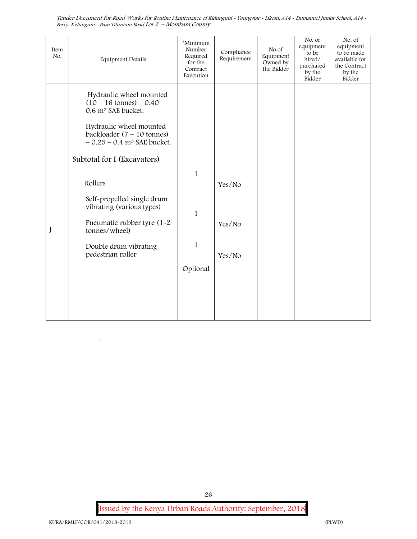| Item<br>No. | <b>Equipment Details</b>                                                                                                                                                                                                                       | *Minimum<br>Number<br>Required<br>for the<br>Contract<br>Execution | Compliance<br>Requirement  | No of<br>Equipment<br>Owned by<br>the Bidder | No. of<br>equipment<br>to be<br>hired/<br>purchased<br>by the<br>Bidder | No. of<br>equipment<br>to be made<br>available for<br>the Contract<br>by the<br>Bidder |
|-------------|------------------------------------------------------------------------------------------------------------------------------------------------------------------------------------------------------------------------------------------------|--------------------------------------------------------------------|----------------------------|----------------------------------------------|-------------------------------------------------------------------------|----------------------------------------------------------------------------------------|
|             | Hydraulic wheel mounted<br>$(10 - 16 \text{ tonnes}) - 0.40 -$<br>0.6 m <sup>3</sup> SAE bucket.<br>Hydraulic wheel mounted<br>backloader $(7 - 10 \text{ tonnes})$<br>$-0.25 - 0.4$ m <sup>3</sup> SAE bucket.<br>Subtotal for I (Excavators) |                                                                    |                            |                                              |                                                                         |                                                                                        |
| J           | Rollers<br>Self-propelled single drum<br>vibrating (various types)<br>Pneumatic rubber tyre (1-2)<br>tonnes/wheel)<br>Double drum vibrating<br>pedestrian roller                                                                               | $\mathbf{1}$<br>$\mathbf{1}$<br>$\mathbf{1}$<br>Optional           | Yes/No<br>Yes/No<br>Yes/No |                                              |                                                                         |                                                                                        |

**Issued by the Kenya Urban Roads Authority: September, 2018**

26

 $\ddot{\phantom{0}}$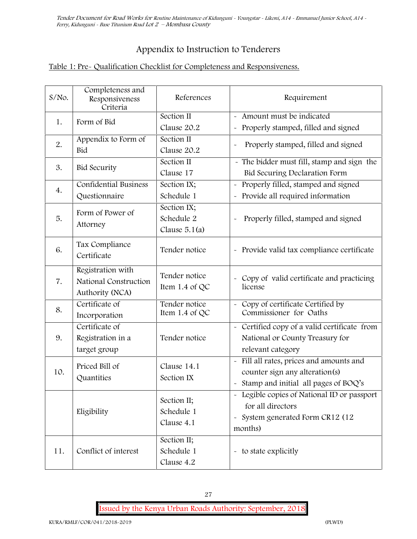## **Appendix to Instruction to Tenderers**

## **Table 1: Pre- Qualification Checklist for Completeness and Responsiveness.**

| $S/NO$ . | Completeness and<br>Responsiveness<br>Criteria                | References                                   | Requirement                                                                                                                              |  |
|----------|---------------------------------------------------------------|----------------------------------------------|------------------------------------------------------------------------------------------------------------------------------------------|--|
| 1.       | Form of Bid                                                   | Section II<br>Clause 20.2                    | Amount must be indicated<br>Properly stamped, filled and signed<br>$\ddot{\phantom{1}}$                                                  |  |
| 2.       | Appendix to Form of<br>Bid                                    | Section II<br>Clause 20.2                    | Properly stamped, filled and signed                                                                                                      |  |
| 3.       | <b>Bid Security</b>                                           | Section II<br>Clause 17                      | - The bidder must fill, stamp and sign the<br>Bid Securing Declaration Form                                                              |  |
| 4.       | <b>Confidential Business</b><br>Questionnaire                 | Section IX;<br>Schedule 1                    | Properly filled, stamped and signed<br>Provide all required information                                                                  |  |
| 5.       | Form of Power of<br>Attorney                                  | Section IX;<br>Schedule 2<br>Clause $5.1(a)$ | Properly filled, stamped and signed                                                                                                      |  |
| 6.       | Tax Compliance<br>Certificate                                 | Tender notice                                | - Provide valid tax compliance certificate                                                                                               |  |
| 7.       | Registration with<br>National Construction<br>Authority (NCA) | Tender notice<br>Item 1.4 of QC              | - Copy of valid certificate and practicing<br>license                                                                                    |  |
| 8.       | Certificate of<br>Incorporation                               | Tender notice<br>Item 1.4 of QC              | Copy of certificate Certified by<br>Commissioner for Oaths                                                                               |  |
| 9.       | Certificate of<br>Registration in a<br>target group           | Tender notice                                | - Certified copy of a valid certificate from<br>National or County Treasury for<br>relevant category                                     |  |
| 10.      | Priced Bill of<br>Quantities                                  | Clause 14.1<br>Section IX                    | Fill all rates, prices and amounts and<br>counter sign any alteration(s)<br>Stamp and initial all pages of BOQ's                         |  |
|          | Eligibility                                                   | Section II;<br>Schedule 1<br>Clause 4.1      | Legible copies of National ID or passport<br>for all directors<br>System generated Form CR12 (12<br>$\widetilde{\phantom{m}}$<br>months) |  |
| 11.      | Conflict of interest                                          | Section II;<br>Schedule 1<br>Clause 4.2      | - to state explicitly                                                                                                                    |  |

27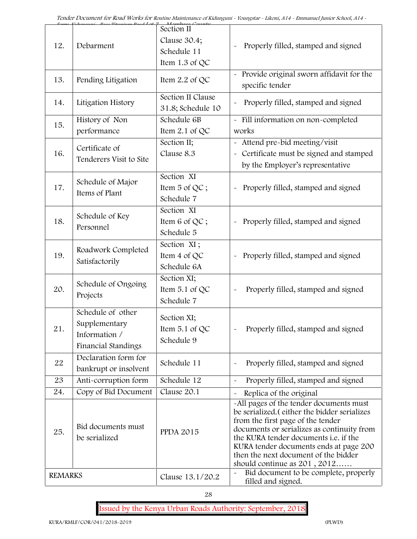|                |                                                                            | Mambasa Cauntu<br>Section II                |                                                                                                                                                                                                                                                                                                                                         |
|----------------|----------------------------------------------------------------------------|---------------------------------------------|-----------------------------------------------------------------------------------------------------------------------------------------------------------------------------------------------------------------------------------------------------------------------------------------------------------------------------------------|
| 12.            | Debarment                                                                  | Clause 30.4;<br>Schedule 11                 | Properly filled, stamped and signed                                                                                                                                                                                                                                                                                                     |
|                |                                                                            | Item 1.3 of QC                              |                                                                                                                                                                                                                                                                                                                                         |
| 13.            | Pending Litigation                                                         | Item 2.2 of QC                              | Provide original sworn affidavit for the<br>specific tender                                                                                                                                                                                                                                                                             |
| 14.            | Litigation History                                                         | Section II Clause<br>31.8; Schedule 10      | Properly filled, stamped and signed                                                                                                                                                                                                                                                                                                     |
| 15.            | History of Non<br>performance                                              | Schedule 6B<br>Item $2.1$ of QC             | - Fill information on non-completed<br>works                                                                                                                                                                                                                                                                                            |
| 16.            | Certificate of<br>Tenderers Visit to Site                                  | Section II;<br>Clause 8.3                   | - Attend pre-bid meeting/visit<br>- Certificate must be signed and stamped<br>by the Employer's representative                                                                                                                                                                                                                          |
| 17.            | Schedule of Major<br>Items of Plant                                        | Section XI<br>Item 5 of QC;<br>Schedule 7   | Properly filled, stamped and signed<br>$\tilde{\phantom{a}}$                                                                                                                                                                                                                                                                            |
| 18.            | Schedule of Key<br>Personnel                                               | Section XI<br>Item 6 of QC;<br>Schedule 5   | - Properly filled, stamped and signed                                                                                                                                                                                                                                                                                                   |
| 19.            | Roadwork Completed<br>Satisfactorily                                       | Section XI;<br>Item 4 of QC<br>Schedule 6A  | Properly filled, stamped and signed                                                                                                                                                                                                                                                                                                     |
| 20.            | Schedule of Ongoing<br>Projects                                            | Section XI;<br>Item 5.1 of QC<br>Schedule 7 | Properly filled, stamped and signed                                                                                                                                                                                                                                                                                                     |
| 21.            | Schedule of other<br>Supplementary<br>Information /<br>Financial Standings | Section XI;<br>Item 5.1 of QC<br>Schedule 9 | Properly filled, stamped and signed                                                                                                                                                                                                                                                                                                     |
| 22             | Declaration form for<br>bankrupt or insolvent                              | Schedule 11                                 | Properly filled, stamped and signed<br>$\tilde{\phantom{a}}$                                                                                                                                                                                                                                                                            |
| 23             | Anti-corruption form                                                       | Schedule 12                                 | Properly filled, stamped and signed<br>$\tilde{\phantom{a}}$                                                                                                                                                                                                                                                                            |
| 24.            | Copy of Bid Document                                                       | Clause 20.1                                 | Replica of the original                                                                                                                                                                                                                                                                                                                 |
| 25.            | Bid documents must<br>be serialized                                        | <b>PPDA 2015</b>                            | -All pages of the tender documents must<br>be serialized. (either the bidder serializes<br>from the first page of the tender<br>documents or serializes as continuity from<br>the KURA tender documents i.e. if the<br>KURA tender documents ends at page 200<br>then the next document of the bidder<br>should continue as $201, 2012$ |
| <b>REMARKS</b> |                                                                            | Clause 13.1/20.2                            | Bid document to be complete, properly<br>filled and signed.                                                                                                                                                                                                                                                                             |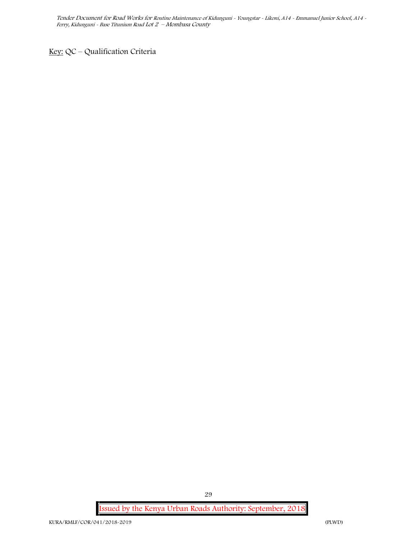**Key:** QC – Qualification Criteria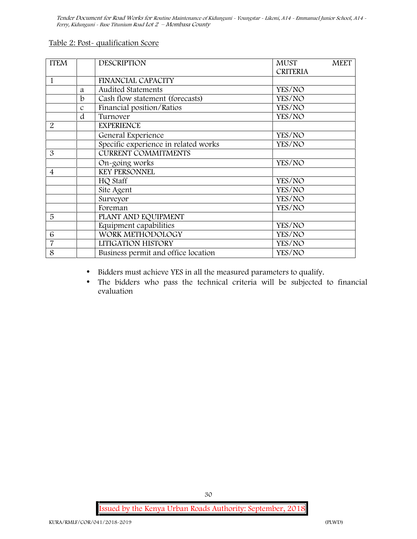| Table 2: Post-qualification Score |
|-----------------------------------|
|                                   |

| <b>ITEM</b>    |               | <b>DESCRIPTION</b>                   | <b>MUST</b>     | <b>MEET</b> |
|----------------|---------------|--------------------------------------|-----------------|-------------|
|                |               |                                      | <b>CRITERIA</b> |             |
| 1              |               | <b>FINANCIAL CAPACITY</b>            |                 |             |
|                | a             | Audited Statements                   | YES/NO          |             |
|                | b             | Cash flow statement (forecasts)      | YES/NO          |             |
|                | $\mathcal{C}$ | Financial position/Ratios            | YES/NO          |             |
|                | d             | Turnover                             | YES/NO          |             |
| $\overline{2}$ |               | <b>EXPERIENCE</b>                    |                 |             |
|                |               | General Experience                   | YES/NO          |             |
|                |               | Specific experience in related works | YES/NO          |             |
| 3              |               | <b>CURRENT COMMITMENTS</b>           |                 |             |
|                |               | On-going works                       | YES/NO          |             |
| 4              |               | <b>KEY PERSONNEL</b>                 |                 |             |
|                |               | HQ Staff                             | YES/NO          |             |
|                |               | Site Agent                           | YES/NO          |             |
|                |               | Surveyor                             | YES/NO          |             |
|                |               | Foreman                              | YES/NO          |             |
| 5              |               | PLANT AND EQUIPMENT                  |                 |             |
|                |               | Equipment capabilities               | YES/NO          |             |
| 6              |               | WORK METHODOLOGY                     | YES/NO          |             |
| 7              |               | LITIGATION HISTORY                   | YES/NO          |             |
| 8              |               | Business permit and office location  | YES/NO          |             |

- Bidders must achieve YES in all the measured parameters to qualify.
- The bidders who pass the technical criteria will be subjected to financial evaluation

**Issued by the Kenya Urban Roads Authority: September, 2018**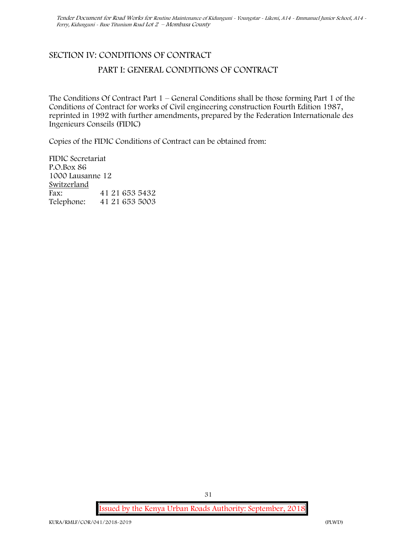# **SECTION IV: CONDITIONS OF CONTRACT PART I: GENERAL CONDITIONS OF CONTRACT**

The Conditions Of Contract Part 1 – General Conditions shall be those forming Part 1 of the Conditions of Contract for works of Civil engineering construction Fourth Edition 1987, reprinted in 1992 with further amendments, prepared by the Federation Internationale des Ingenieurs Conseils (FIDIC)

Copies of the FIDIC Conditions of Contract can be obtained from:

FIDIC Secretariat P.O.Box 86 1000 Lausanne 12 **Switzerland** Fax: 41 21 653 5432 Telephone: 41 21 653 5003

**Issued by the Kenya Urban Roads Authority: September, 2018**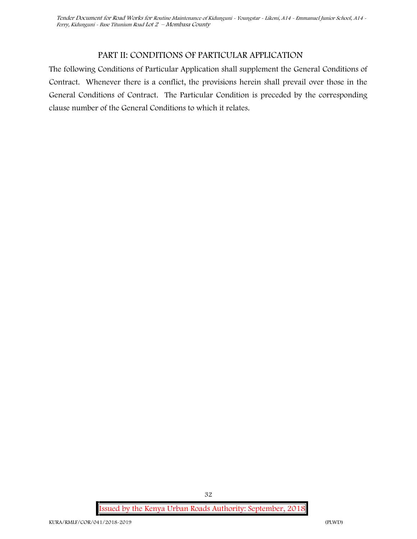## **PART II: CONDITIONS OF PARTICULAR APPLICATION**

The following Conditions of Particular Application shall supplement the General Conditions of Contract. Whenever there is a conflict, the provisions herein shall prevail over those in the General Conditions of Contract. The Particular Condition is preceded by the corresponding clause number of the General Conditions to which it relates.

**Issued by the Kenya Urban Roads Authority: September, 2018**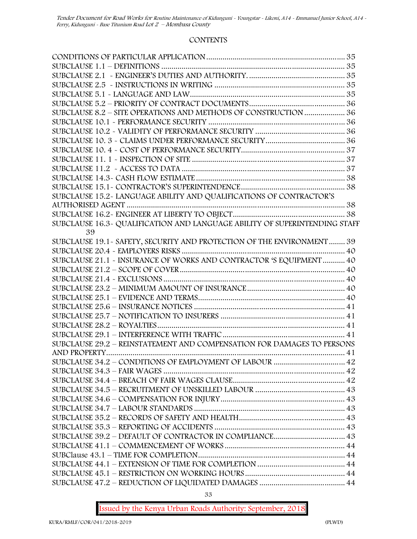#### **CONTENTS**

| SUBCLAUSE 8.2 - SITE OPERATIONS AND METHODS OF CONSTRUCTION  36             |  |
|-----------------------------------------------------------------------------|--|
|                                                                             |  |
|                                                                             |  |
|                                                                             |  |
|                                                                             |  |
|                                                                             |  |
|                                                                             |  |
|                                                                             |  |
|                                                                             |  |
| SUBCLAUSE 15.2-LANGUAGE ABILITY AND QUALIFICATIONS OF CONTRACTOR'S          |  |
|                                                                             |  |
|                                                                             |  |
| SUBCLAUSE 16.3 - QUALIFICATION AND LANGUAGE ABILITY OF SUPERINTENDING STAFF |  |
| 39                                                                          |  |
| SUBCLAUSE 19.1 - SAFETY, SECURITY AND PROTECTION OF THE ENVIRONMENT  39     |  |
|                                                                             |  |
| SUBCLAUSE 21.1 - INSURANCE OF WORKS AND CONTRACTOR 'S EQUIPMENT  40         |  |
|                                                                             |  |
|                                                                             |  |
|                                                                             |  |
|                                                                             |  |
|                                                                             |  |
|                                                                             |  |
|                                                                             |  |
|                                                                             |  |
| SUBCLAUSE 29.2 - REINSTATEMENT AND COMPENSATION FOR DAMAGES TO PERSONS      |  |
|                                                                             |  |
|                                                                             |  |
|                                                                             |  |
|                                                                             |  |
|                                                                             |  |
|                                                                             |  |
|                                                                             |  |
|                                                                             |  |
|                                                                             |  |
|                                                                             |  |
|                                                                             |  |
|                                                                             |  |
|                                                                             |  |
|                                                                             |  |
|                                                                             |  |
|                                                                             |  |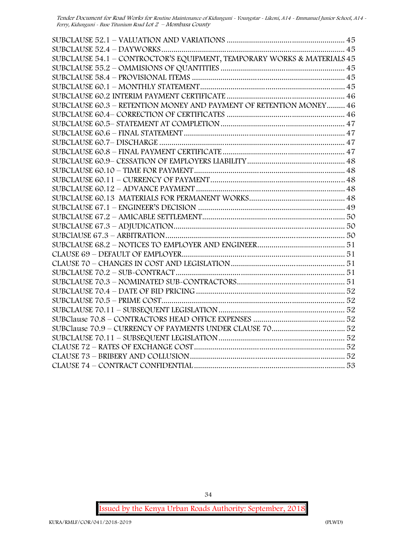| SUBCLAUSE 54.1 - CONTROCTOR'S EQUIPMENT, TEMPORARY WORKS & MATERIALS 45 |  |
|-------------------------------------------------------------------------|--|
|                                                                         |  |
|                                                                         |  |
|                                                                         |  |
|                                                                         |  |
| SUBCLAUSE 60.3 - RETENTION MONEY AND PAYMENT OF RETENTION MONEY 46      |  |
|                                                                         |  |
|                                                                         |  |
|                                                                         |  |
|                                                                         |  |
|                                                                         |  |
|                                                                         |  |
|                                                                         |  |
|                                                                         |  |
|                                                                         |  |
|                                                                         |  |
|                                                                         |  |
|                                                                         |  |
|                                                                         |  |
|                                                                         |  |
|                                                                         |  |
|                                                                         |  |
|                                                                         |  |
|                                                                         |  |
|                                                                         |  |
|                                                                         |  |
|                                                                         |  |
|                                                                         |  |
|                                                                         |  |
|                                                                         |  |
|                                                                         |  |
|                                                                         |  |
|                                                                         |  |
|                                                                         |  |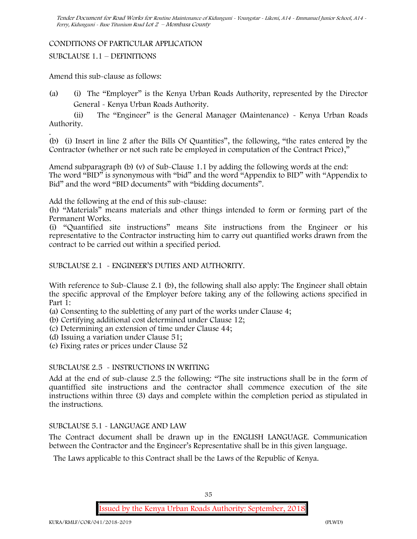#### **CONDITIONS OF PARTICULAR APPLICATION**

SUBCLAUSE 1.1 – DEFINITIONS

Amend this sub-clause as follows:

(a) (i) The "Employer" is the Kenya Urban Roads Authority, represented by the Director General - Kenya Urban Roads Authority.

(ii) The "Engineer" is the General Manager (Maintenance) - Kenya Urban Roads Authority.

.(b) (i) Insert in line 2 after the Bills Of Quantities", the following, "the rates entered by the Contractor (whether or not such rate be employed in computation of the Contract Price),"

Amend subparagraph (b) (v) of Sub-Clause 1.1 by adding the following words at the end: The word "BID" is synonymous with "bid" and the word "Appendix to BID" with "Appendix to Bid" and the word "BID documents" with "bidding documents".

Add the following at the end of this sub-clause:

(h) "Materials" means materials and other things intended to form or forming part of the Permanent Works.

(i) "Quantified site instructions" means Site instructions from the Engineer or his representative to the Contractor instructing him to carry out quantified works drawn from the contract to be carried out within a specified period.

SUBCLAUSE 2.1 - ENGINEER'S DUTIES AND AUTHORITY.

With reference to Sub-Clause 2.1 (b), the following shall also apply: The Engineer shall obtain the specific approval of the Employer before taking any of the following actions specified in Part 1:

(a) Consenting to the subletting of any part of the works under Clause 4;

(b) Certifying additional cost determined under Clause 12;

(c) Determining an extension of time under Clause 44;

(d) Issuing a variation under Clause 51;

(e) Fixing rates or prices under Clause 52

#### SUBCLAUSE 2.5 - INSTRUCTIONS IN WRITING

Add at the end of sub-clause 2.5 the following: "The site instructions shall be in the form of quantiffied site instructions and the contractor shall commence execution of the site instructions within three (3) days and complete within the completion period as stipulated in the instructions.

#### SUBCLAUSE 5.1 - LANGUAGE AND LAW

The Contract document shall be drawn up in the ENGLISH LANGUAGE. Communication between the Contractor and the Engineer's Representative shall be in this given language.

The Laws applicable to this Contract shall be the Laws of the Republic of Kenya.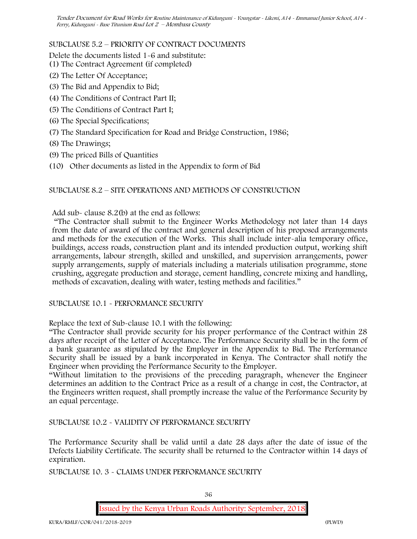# SUBCLAUSE 5.2 – PRIORITY OF CONTRACT DOCUMENTS

Delete the documents listed 1-6 and substitute:

- (1) The Contract Agreement (if completed)
- (2) The Letter Of Acceptance;
- (3) The Bid and Appendix to Bid;
- (4) The Conditions of Contract Part II;
- (5) The Conditions of Contract Part I;
- (6) The Special Specifications;
- (7) The Standard Specification for Road and Bridge Construction, 1986;
- (8) The Drawings;
- (9) The priced Bills of Quantities
- (10) Other documents as listed in the Appendix to form of Bid

# SUBCLAUSE 8.2 – SITE OPERATIONS AND METHODS OF CONSTRUCTION

Add sub- clause 8.2(b) at the end as follows:

"The Contractor shall submit to the Engineer Works Methodology not later than 14 days from the date of award of the contract and general description of his proposed arrangements and methods for the execution of the Works. This shall include inter-alia temporary office, buildings, access roads, construction plant and its intended production output, working shift arrangements, labour strength, skilled and unskilled, and supervision arrangements, power supply arrangements, supply of materials including a materials utilisation programme, stone crushing, aggregate production and storage, cement handling, concrete mixing and handling, methods of excavation, dealing with water, testing methods and facilities."

SUBCLAUSE 10.1 - PERFORMANCE SECURITY

Replace the text of Sub-clause 10.1 with the following:

"The Contractor shall provide security for his proper performance of the Contract within 28 days after receipt of the Letter of Acceptance. The Performance Security shall be in the form of a bank guarantee as stipulated by the Employer in the Appendix to Bid. The Performance Security shall be issued by a bank incorporated in Kenya. The Contractor shall notify the Engineer when providing the Performance Security to the Employer.

"Without limitation to the provisions of the preceding paragraph, whenever the Engineer determines an addition to the Contract Price as a result of a change in cost, the Contractor, at the Engineers written request, shall promptly increase the value of the Performance Security by an equal percentage.

SUBCLAUSE 10.2 - VALIDITY OF PERFORMANCE SECURITY

The Performance Security shall be valid until a date 28 days after the date of issue of the Defects Liability Certificate. The security shall be returned to the Contractor within 14 days of expiration.

SUBCLAUSE 10. 3 - CLAIMS UNDER PERFORMANCE SECURITY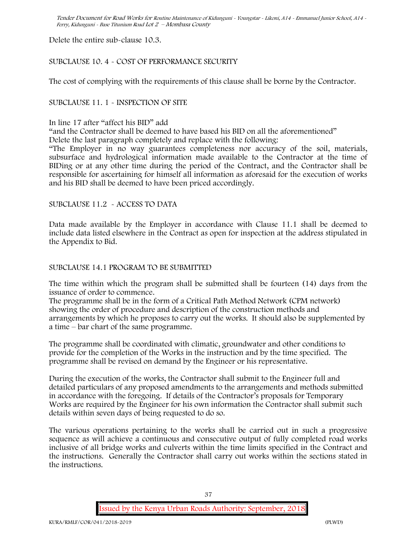Delete the entire sub-clause 10.3.

# SUBCLAUSE 10. 4 - COST OF PERFORMANCE SECURITY

The cost of complying with the requirements of this clause shall be borne by the Contractor.

# SUBCLAUSE 11. 1 - INSPECTION OF SITE

In line 17 after "affect his BID" add

"and the Contractor shall be deemed to have based his BID on all the aforementioned"

Delete the last paragraph completely and replace with the following:

"The Employer in no way guarantees completeness nor accuracy of the soil, materials, subsurface and hydrological information made available to the Contractor at the time of BIDing or at any other time during the period of the Contract, and the Contractor shall be responsible for ascertaining for himself all information as aforesaid for the execution of works and his BID shall be deemed to have been priced accordingly.

# SUBCLAUSE 11.2 - ACCESS TO DATA

Data made available by the Employer in accordance with Clause 11.1 shall be deemed to include data listed elsewhere in the Contract as open for inspection at the address stipulated in the Appendix to Bid.

# SUBCLAUSE 14.1 PROGRAM TO BE SUBMITTED

The time within which the program shall be submitted shall be fourteen (14) days from the issuance of order to commence**.**

The programme shall be in the form of a Critical Path Method Network (CPM network) showing the order of procedure and description of the construction methods and arrangements by which he proposes to carry out the works. It should also be supplemented by a time – bar chart of the same programme.

The programme shall be coordinated with climatic, groundwater and other conditions to provide for the completion of the Works in the instruction and by the time specified. The programme shall be revised on demand by the Engineer or his representative.

During the execution of the works, the Contractor shall submit to the Engineer full and detailed particulars of any proposed amendments to the arrangements and methods submitted in accordance with the foregoing. If details of the Contractor's proposals for Temporary Works are required by the Engineer for his own information the Contractor shall submit such details within seven days of being requested to do so.

The various operations pertaining to the works shall be carried out in such a progressive sequence as will achieve a continuous and consecutive output of fully completed road works inclusive of all bridge works and culverts within the time limits specified in the Contract and the instructions. Generally the Contractor shall carry out works within the sections stated in the instructions.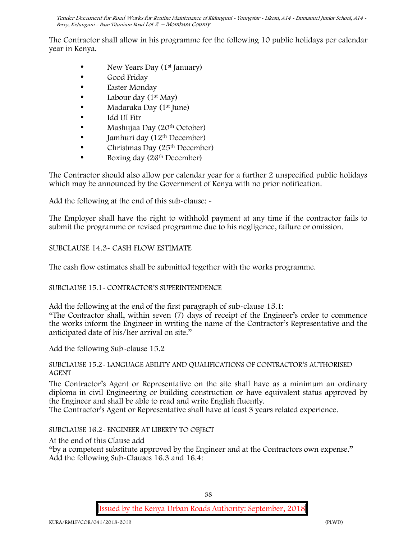The Contractor shall allow in his programme for the following 10 public holidays per calendar year in Kenya.

- New Years Day (1st January)
- Good Friday
- Easter Monday
- Labour day  $(1<sup>st</sup> May)$
- Madaraka Day (1st June)
- Idd Ul Fitr
- Mashujaa Day (20th October)
- $\bullet$  Jamhuri day (12<sup>th</sup> December)
- Christmas Day (25<sup>th</sup> December)
- Boxing day (26<sup>th</sup> December)

The Contractor should also allow per calendar year for a further 2 unspecified public holidays which may be announced by the Government of Kenya with no prior notification.

Add the following at the end of this sub-clause: -

The Employer shall have the right to withhold payment at any time if the contractor fails to submit the programme or revised programme due to his negligence, failure or omission.

# SUBCLAUSE 14.3- CASH FLOW ESTIMATE

The cash flow estimates shall be submitted together with the works programme.

# SUBCLAUSE 15.1- CONTRACTOR'S SUPERINTENDENCE

Add the following at the end of the first paragraph of sub-clause 15.1:

"The Contractor shall, within seven (7) days of receipt of the Engineer's order to commence the works inform the Engineer in writing the name of the Contractor's Representative and the anticipated date of his/her arrival on site."

Add the following Sub-clause 15.2

### SUBCLAUSE 15.2- LANGUAGE ABILITY AND QUALIFICATIONS OF CONTRACTOR'S AUTHORISED AGENT

The Contractor's Agent or Representative on the site shall have as a minimum an ordinary diploma in civil Engineering or building construction or have equivalent status approved by the Engineer and shall be able to read and write English fluently.

The Contractor's Agent or Representative shall have at least 3 years related experience.

SUBCLAUSE 16.2- ENGINEER AT LIBERTY TO OBJECT

At the end of this Clause add

"by a competent substitute approved by the Engineer and at the Contractors own expense." Add the following Sub-Clauses 16.3 and 16.4: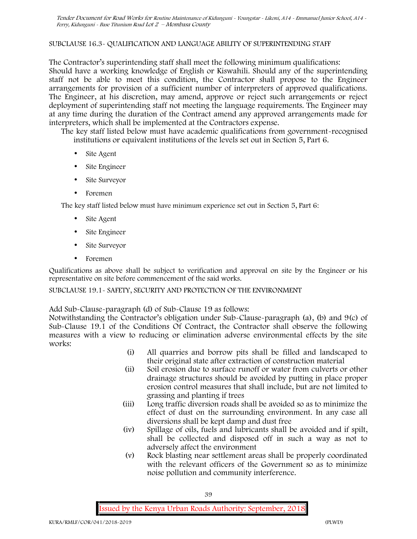# SUBCLAUSE 16.3- QUALIFICATION AND LANGUAGE ABILITY OF SUPERINTENDING STAFF

The Contractor's superintending staff shall meet the following minimum qualifications: Should have a working knowledge of English or Kiswahili. Should any of the superintending staff not be able to meet this condition, the Contractor shall propose to the Engineer arrangements for provision of a sufficient number of interpreters of approved qualifications. The Engineer, at his discretion, may amend, approve or reject such arrangements or reject deployment of superintending staff not meeting the language requirements. The Engineer may at any time during the duration of the Contract amend any approved arrangements made for interpreters, which shall be implemented at the Contractors expense.

The key staff listed below must have academic qualifications from government-recognised institutions or equivalent institutions of the levels set out in Section 5, Part 6.

- Site Agent
- Site Engineer
- Site Surveyor
- Foremen

The key staff listed below must have minimum experience set out in Section 5, Part 6:

- Site Agent
- Site Engineer
- Site Surveyor
- Foremen

Qualifications as above shall be subject to verification and approval on site by the Engineer or his representative on site before commencement of the said works.

### SUBCLAUSE 19.1- SAFETY, SECURITY AND PROTECTION OF THE ENVIRONMENT

Add Sub-Clause-paragraph (d) of Sub-Clause 19 as follows:

Notwithstanding the Contractor's obligation under Sub-Clause-paragraph (a), (b) and 9(c) of Sub-Clause 19.1 of the Conditions Of Contract, the Contractor shall observe the following measures with a view to reducing or elimination adverse environmental effects by the site works:

- (i) All quarries and borrow pits shall be filled and landscaped to their original state after extraction of construction material
- (ii) Soil erosion due to surface runoff or water from culverts or other drainage structures should be avoided by putting in place proper erosion control measures that shall include, but are not limited to grassing and planting if trees
- (iii) Long traffic diversion roads shall be avoided so as to minimize the effect of dust on the surrounding environment. In any case all diversions shall be kept damp and dust free
- (iv) Spillage of oils, fuels and lubricants shall be avoided and if spilt, shall be collected and disposed off in such a way as not to adversely affect the environment
- (v) Rock blasting near settlement areas shall be properly coordinated with the relevant officers of the Government so as to minimize noise pollution and community interference.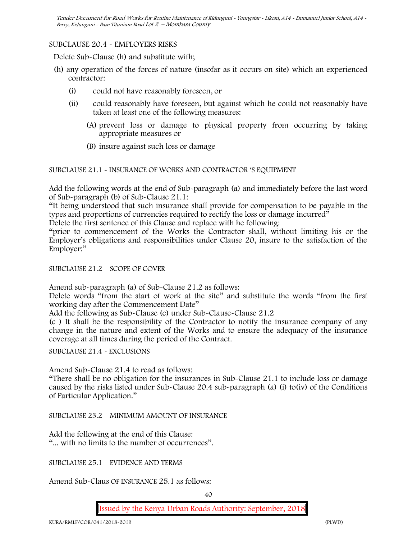### SUBCLAUSE 20.4 - EMPLOYERS RISKS

Delete Sub-Clause (h) and substitute with;

- (h) any operation of the forces of nature (insofar as it occurs on site) which an experienced contractor:
	- (i) could not have reasonably foreseen, or
	- (ii) could reasonably have foreseen, but against which he could not reasonably have taken at least one of the following measures:
		- (A) prevent loss or damage to physical property from occurring by taking appropriate measures or
		- (B) insure against such loss or damage

### SUBCLAUSE 21.1 - INSURANCE OF WORKS AND CONTRACTOR 'S EQUIPMENT

Add the following words at the end of Sub-paragraph (a) and immediately before the last word of Sub-paragraph (b) of Sub-Clause 21.1:

"It being understood that such insurance shall provide for compensation to be payable in the types and proportions of currencies required to rectify the loss or damage incurred"

Delete the first sentence of this Clause and replace with he following:

"prior to commencement of the Works the Contractor shall, without limiting his or the Employer's obligations and responsibilities under Clause 20, insure to the satisfaction of the Employer:"

SUBCLAUSE 21.2 – SCOPE OF COVER

Amend sub-paragraph (a) of Sub-Clause 21.2 as follows:

Delete words "from the start of work at the site" and substitute the words "from the first working day after the Commencement Date"

Add the following as Sub-Clause (c) under Sub-Clause-Clause 21.2

(c ) It shall be the responsibility of the Contractor to notify the insurance company of any change in the nature and extent of the Works and to ensure the adequacy of the insurance coverage at all times during the period of the Contract.

SUBCLAUSE 21.4 - EXCLUSIONS

Amend Sub-Clause 21.4 to read as follows:

"There shall be no obligation for the insurances in Sub-Clause 21.1 to include loss or damage caused by the risks listed under Sub-Clause 20.4 sub-paragraph (a) (i) to(iv) of the Conditions of Particular Application."

SUBCLAUSE 23.2 – MINIMUM AMOUNT OF INSURANCE

Add the following at the end of this Clause: "... with no limits to the number of occurrences".

SUBCLAUSE 25.1 – EVIDENCE AND TERMS

Amend Sub-Claus OF INSURANCE 25.1 as follows: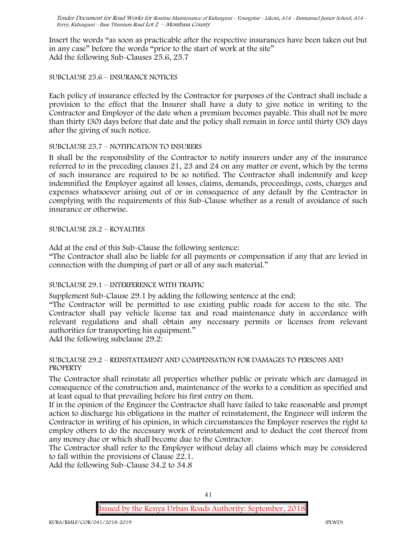Insert the words "as soon as practicable after the respective insurances have been taken out but in any case" before the words "prior to the start of work at the site" Add the following Sub-Clauses 25.6, 25.7

#### SUBCLAUSE 25.6 – INSURANCE NOTICES

Each policy of insurance effected by the Contractor for purposes of the Contract shall include a provision to the effect that the Insurer shall have a duty to give notice in writing to the Contractor and Employer of the date when a premium becomes payable. This shall not be more than thirty (30) days before that date and the policy shall remain in force until thirty (30) days after the giving of such notice.

#### SUBCLAUSE 25.7 – NOTIFICATION TO INSURERS

It shall be the responsibility of the Contractor to notify insurers under any of the insurance referred to in the preceding clauses 21, 23 and 24 on any matter or event, which by the terms of such insurance are required to be so notified. The Contractor shall indemnify and keep indemnified the Employer against all losses, claims, demands, proceedings, costs, charges and expenses whatsoever arising out of or in consequence of any default by the Contractor in complying with the requirements of this Sub-Clause whether as a result of avoidance of such insurance or otherwise.

### SUBCLAUSE 28.2 – ROYALTIES

Add at the end of this Sub-Clause the following sentence:

"The Contractor shall also be liable for all payments or compensation if any that are levied in connection with the dumping of part or all of any such material."

### SUBCLAUSE 29.1 – INTERFERENCE WITH TRAFFIC

Supplement Sub-Clause 29.1 by adding the following sentence at the end:

"The Contractor will be permitted to use existing public roads for access to the site. The Contractor shall pay vehicle license tax and road maintenance duty in accordance with relevant regulations and shall obtain any necessary permits or licenses from relevant authorities for transporting his equipment."

Add the following subclause 29.2:

#### SUBCLAUSE 29.2 – REINSTATEMENT AND COMPENSATION FOR DAMAGES TO PERSONS AND **PROPERTY**

The Contractor shall reinstate all properties whether public or private which are damaged in consequence of the construction and, maintenance of the works to a condition as specified and at least equal to that prevailing before his first entry on them.

If in the opinion of the Engineer the Contractor shall have failed to take reasonable and prompt action to discharge his obligations in the matter of reinstatement, the Engineer will inform the Contractor in writing of his opinion, in which circumstances the Employer reserves the right to employ others to do the necessary work of reinstatement and to deduct the cost thereof from any money due or which shall become due to the Contractor.

The Contractor shall refer to the Employer without delay all claims which may be considered to fall within the provisions of Clause 22.1.

Add the following Sub-Clause 34.2 to 34.8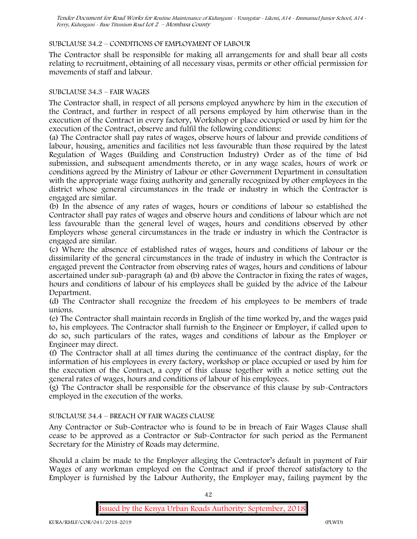# SUBCLAUSE 34.2 – CONDITIONS OF EMPLOYMENT OF LABOUR

The Contractor shall be responsible for making all arrangements for and shall bear all costs relating to recruitment, obtaining of all necessary visas, permits or other official permission for movements of staff and labour.

### SUBCLAUSE 34.3 – FAIR WAGES

The Contractor shall, in respect of all persons employed anywhere by him in the execution of the Contract, and further in respect of all persons employed by him otherwise than in the execution of the Contract in every factory, Workshop or place occupied or used by him for the execution of the Contract, observe and fulfil the following conditions:

(a) The Contractor shall pay rates of wages, observe hours of labour and provide conditions of labour, housing, amenities and facilities not less favourable than those required by the latest Regulation of Wages (Building and Construction Industry) Order as of the time of bid submission, and subsequent amendments thereto, or in any wage scales, hours of work or conditions agreed by the Ministry of Labour or other Government Department in consultation with the appropriate wage fixing authority and generally recognized by other employees in the district whose general circumstances in the trade or industry in which the Contractor is engaged are similar.

(b) In the absence of any rates of wages, hours or conditions of labour so established the Contractor shall pay rates of wages and observe hours and conditions of labour which are not less favourable than the general level of wages, hours and conditions observed by other Employers whose general circumstances in the trade or industry in which the Contractor is engaged are similar.

(c) Where the absence of established rates of wages, hours and conditions of labour or the dissimilarity of the general circumstances in the trade of industry in which the Contractor is engaged prevent the Contractor from observing rates of wages, hours and conditions of labour ascertained under sub-paragraph (a) and (b) above the Contractor in fixing the rates of wages, hours and conditions of labour of his employees shall be guided by the advice of the Labour Department.

(d) The Contractor shall recognize the freedom of his employees to be members of trade unions.

(e) The Contractor shall maintain records in English of the time worked by, and the wages paid to, his employees. The Contractor shall furnish to the Engineer or Employer, if called upon to do so, such particulars of the rates, wages and conditions of labour as the Employer or Engineer may direct.

(f) The Contractor shall at all times during the continuance of the contract display, for the information of his employees in every factory, workshop or place occupied or used by him for the execution of the Contract, a copy of this clause together with a notice setting out the general rates of wages, hours and conditions of labour of his employees.

(g) The Contractor shall be responsible for the observance of this clause by sub-Contractors employed in the execution of the works.

# SUBCLAUSE 34.4 – BREACH OF FAIR WAGES CLAUSE

Any Contractor or Sub-Contractor who is found to be in breach of Fair Wages Clause shall cease to be approved as a Contractor or Sub-Contractor for such period as the Permanent Secretary for the Ministry of Roads may determine.

Should a claim be made to the Employer alleging the Contractor's default in payment of Fair Wages of any workman employed on the Contract and if proof thereof satisfactory to the Employer is furnished by the Labour Authority, the Employer may, failing payment by the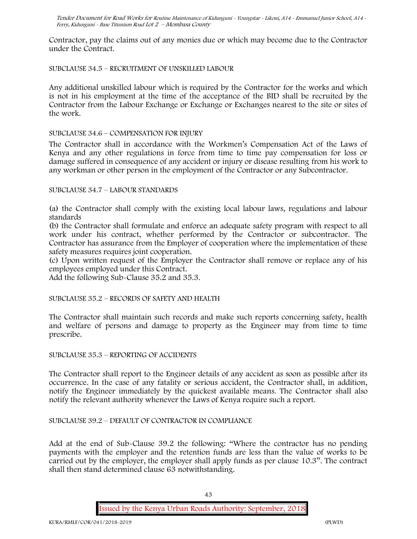Contractor, pay the claims out of any monies due or which may become due to the Contractor under the Contract.

### SUBCLAUSE 34.5 – RECRUITMENT OF UNSKILLED LABOUR

Any additional unskilled labour which is required by the Contractor for the works and which is not in his employment at the time of the acceptance of the BID shall be recruited by the Contractor from the Labour Exchange or Exchange or Exchanges nearest to the site or sites of the work.

### SUBCLAUSE 34.6 – COMPENSATION FOR INJURY

The Contractor shall in accordance with the Workmen's Compensation Act of the Laws of Kenya and any other regulations in force from time to time pay compensation for loss or damage suffered in consequence of any accident or injury or disease resulting from his work to any workman or other person in the employment of the Contractor or any Subcontractor.

### SUBCLAUSE 34.7 – LABOUR STANDARDS

(a) the Contractor shall comply with the existing local labour laws, regulations and labour standards

(b) the Contractor shall formulate and enforce an adequate safety program with respect to all work under his contract, whether performed by the Contractor or subcontractor. The Contractor has assurance from the Employer of cooperation where the implementation of these safety measures requires joint cooperation.

(c) Upon written request of the Employer the Contractor shall remove or replace any of his employees employed under this Contract.

Add the following Sub-Clause 35.2 and 35.3.

SUBCLAUSE 35.2 – RECORDS OF SAFETY AND HEALTH

The Contractor shall maintain such records and make such reports concerning safety, health and welfare of persons and damage to property as the Engineer may from time to time prescribe.

SUBCLAUSE 35.3 – REPORTING OF ACCIDENTS

The Contractor shall report to the Engineer details of any accident as soon as possible after its occurrence. In the case of any fatality or serious accident, the Contractor shall, in addition, notify the Engineer immediately by the quickest available means. The Contractor shall also notify the relevant authority whenever the Laws of Kenya require such a report.

### SUBCLAUSE 39.2 – DEFAULT OF CONTRACTOR IN COMPLIANCE

Add at the end of Sub-Clause 39.2 the following: "Where the contractor has no pending payments with the employer and the retention funds are less than the value of works to be carried out by the employer, the employer shall apply funds as per clause 10.3". The contract shall then stand determined clause 63 notwithstanding.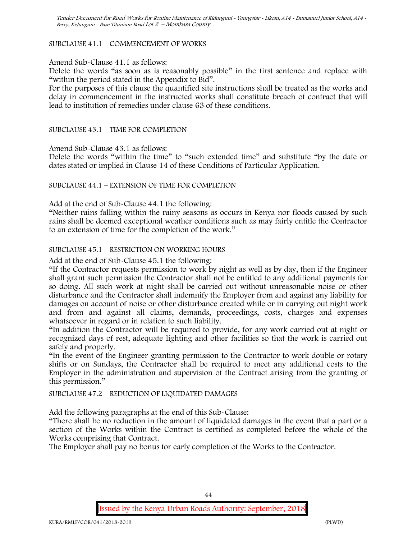### SUBCLAUSE 41.1 – COMMENCEMENT OF WORKS

#### Amend Sub-Clause 41.1 as follows:

Delete the words "as soon as is reasonably possible" in the first sentence and replace with "within the period stated in the Appendix to Bid".

For the purposes of this clause the quantified site instructions shall be treated as the works and delay in commencement in the instructed works shall constitute breach of contract that will lead to institution of remedies under clause 63 of these conditions.

#### SUBCLAUSE 43.1 – TIME FOR COMPLETION

Amend Sub-Clause 43.1 as follows:

Delete the words "within the time" to "such extended time" and substitute "by the date or dates stated or implied in Clause 14 of these Conditions of Particular Application.

### SUBCLAUSE 44.1 – EXTENSION OF TIME FOR COMPLETION

Add at the end of Sub-Clause 44.1 the following:

"Neither rains falling within the rainy seasons as occurs in Kenya nor floods caused by such rains shall be deemed exceptional weather conditions such as may fairly entitle the Contractor to an extension of time for the completion of the work."

#### SUBCLAUSE 45.1 – RESTRICTION ON WORKING HOURS

Add at the end of Sub-Clause 45.1 the following:

"If the Contractor requests permission to work by night as well as by day, then if the Engineer shall grant such permission the Contractor shall not be entitled to any additional payments for so doing. All such work at night shall be carried out without unreasonable noise or other disturbance and the Contractor shall indemnify the Employer from and against any liability for damages on account of noise or other disturbance created while or in carrying out night work and from and against all claims, demands, proceedings, costs, charges and expenses whatsoever in regard or in relation to such liability.

"In addition the Contractor will be required to provide, for any work carried out at night or recognized days of rest, adequate lighting and other facilities so that the work is carried out safely and properly.

"In the event of the Engineer granting permission to the Contractor to work double or rotary shifts or on Sundays, the Contractor shall be required to meet any additional costs to the Employer in the administration and supervision of the Contract arising from the granting of this permission."

#### SUBCLAUSE 47.2 – REDUCTION OF LIQUIDATED DAMAGES

Add the following paragraphs at the end of this Sub-Clause:

"There shall be no reduction in the amount of liquidated damages in the event that a part or a section of the Works within the Contract is certified as completed before the whole of the Works comprising that Contract.

The Employer shall pay no bonus for early completion of the Works to the Contractor.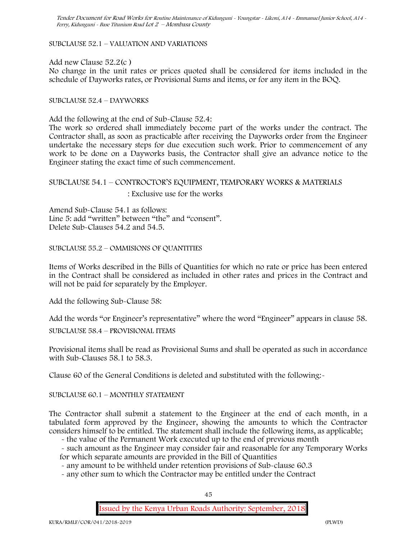SUBCLAUSE 52.1 – VALUATION AND VARIATIONS

Add new Clause 52.2(c )

No change in the unit rates or prices quoted shall be considered for items included in the schedule of Dayworks rates, or Provisional Sums and items, or for any item in the BOQ.

SUBCLAUSE 52.4 – DAYWORKS

Add the following at the end of Sub-Clause 52.4:

The work so ordered shall immediately become part of the works under the contract. The Contractor shall, as soon as practicable after receiving the Dayworks order from the Engineer undertake the necessary steps for due execution such work. Prior to commencement of any work to be done on a Dayworks basis, the Contractor shall give an advance notice to the Engineer stating the exact time of such commencement.

SUBCLAUSE 54.1 – CONTROCTOR'S EQUIPMENT, TEMPORARY WORKS & MATERIALS : Exclusive use for the works

Amend Sub-Clause 54.1 as follows: Line 5: add "written" between "the" and "consent". Delete Sub-Clauses 54.2 and 54.5.

SUBCLAUSE 55.2 – OMMISIONS OF QUANTITIES

Items of Works described in the Bills of Quantities for which no rate or price has been entered in the Contract shall be considered as included in other rates and prices in the Contract and will not be paid for separately by the Employer.

Add the following Sub-Clause 58:

Add the words "or Engineer's representative" where the word "Engineer" appears in clause 58.

SUBCLAUSE 58.4 – PROVISIONAL ITEMS

Provisional items shall be read as Provisional Sums and shall be operated as such in accordance with Sub-Clauses 58.1 to 58.3.

Clause 60 of the General Conditions is deleted and substituted with the following:-

SUBCLAUSE 60.1 – MONTHLY STATEMENT

The Contractor shall submit a statement to the Engineer at the end of each month, in a tabulated form approved by the Engineer, showing the amounts to which the Contractor considers himself to be entitled. The statement shall include the following items, as applicable;

- the value of the Permanent Work executed up to the end of previous month

- such amount as the Engineer may consider fair and reasonable for any Temporary Works for which separate amounts are provided in the Bill of Quantities

- any amount to be withheld under retention provisions of Sub-clause 60.3

- any other sum to which the Contractor may be entitled under the Contract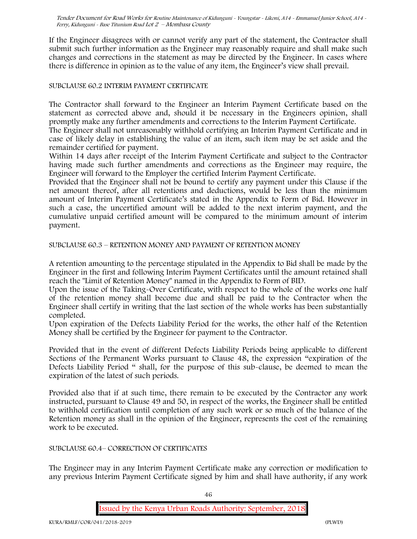If the Engineer disagrees with or cannot verify any part of the statement, the Contractor shall submit such further information as the Engineer may reasonably require and shall make such changes and corrections in the statement as may be directed by the Engineer. In cases where there is difference in opinion as to the value of any item, the Engineer's view shall prevail.

### SUBCLAUSE 60.2 INTERIM PAYMENT CERTIFICATE

The Contractor shall forward to the Engineer an Interim Payment Certificate based on the statement as corrected above and, should it be necessary in the Engineers opinion, shall promptly make any further amendments and corrections to the Interim Payment Certificate.

The Engineer shall not unreasonably withhold certifying an Interim Payment Certificate and in case of likely delay in establishing the value of an item, such item may be set aside and the remainder certified for payment.

Within 14 days after receipt of the Interim Payment Certificate and subject to the Contractor having made such further amendments and corrections as the Engineer may require, the Engineer will forward to the Employer the certified Interim Payment Certificate.

Provided that the Engineer shall not be bound to certify any payment under this Clause if the net amount thereof, after all retentions and deductions, would be less than the minimum amount of Interim Payment Certificate's stated in the Appendix to Form of Bid. However in such a case, the uncertified amount will be added to the next interim payment, and the cumulative unpaid certified amount will be compared to the minimum amount of interim payment.

SUBCLAUSE 60.3 – RETENTION MONEY AND PAYMENT OF RETENTION MONEY

A retention amounting to the percentage stipulated in the Appendix to Bid shall be made by the Engineer in the first and following Interim Payment Certificates until the amount retained shall reach the "Limit of Retention Money" named in the Appendix to Form of BID.

Upon the issue of the Taking-Over Certificate, with respect to the whole of the works one half of the retention money shall become due and shall be paid to the Contractor when the Engineer shall certify in writing that the last section of the whole works has been substantially completed.

Upon expiration of the Defects Liability Period for the works, the other half of the Retention Money shall be certified by the Engineer for payment to the Contractor.

Provided that in the event of different Defects Liability Periods being applicable to different Sections of the Permanent Works pursuant to Clause 48, the expression "expiration of the Defects Liability Period " shall, for the purpose of this sub-clause, be deemed to mean the expiration of the latest of such periods.

Provided also that if at such time, there remain to be executed by the Contractor any work instructed, pursuant to Clause 49 and 50, in respect of the works, the Engineer shall be entitled to withhold certification until completion of any such work or so much of the balance of the Retention money as shall in the opinion of the Engineer, represents the cost of the remaining work to be executed.

#### SUBCLAUSE 60.4– CORRECTION OF CERTIFICATES

The Engineer may in any Interim Payment Certificate make any correction or modification to any previous Interim Payment Certificate signed by him and shall have authority, if any work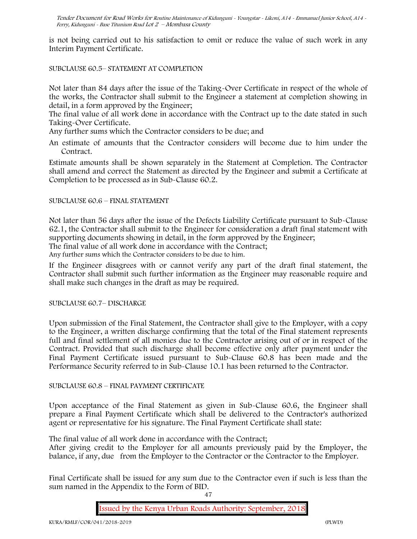is not being carried out to his satisfaction to omit or reduce the value of such work in any Interim Payment Certificate.

#### SUBCLAUSE 60.5– STATEMENT AT COMPLETION

Not later than 84 days after the issue of the Taking-Over Certificate in respect of the whole of the works, the Contractor shall submit to the Engineer a statement at completion showing in detail, in a form approved by the Engineer;

The final value of all work done in accordance with the Contract up to the date stated in such Taking-Over Certificate.

Any further sums which the Contractor considers to be due; and

An estimate of amounts that the Contractor considers will become due to him under the Contract.

Estimate amounts shall be shown separately in the Statement at Completion. The Contractor shall amend and correct the Statement as directed by the Engineer and submit a Certificate at Completion to be processed as in Sub-Clause 60.2.

#### SUBCLAUSE 60.6 – FINAL STATEMENT

Not later than 56 days after the issue of the Defects Liability Certificate pursuant to Sub-Clause 62.1, the Contractor shall submit to the Engineer for consideration a draft final statement with supporting documents showing in detail, in the form approved by the Engineer; The final value of all work done in accordance with the Contract; Any further sums which the Contractor considers to be due to him.

If the Engineer disagrees with or cannot verify any part of the draft final statement, the Contractor shall submit such further information as the Engineer may reasonable require and shall make such changes in the draft as may be required.

#### SUBCLAUSE 60.7– DISCHARGE

Upon submission of the Final Statement, the Contractor shall give to the Employer, with a copy to the Engineer, a written discharge confirming that the total of the Final statement represents full and final settlement of all monies due to the Contractor arising out of or in respect of the Contract. Provided that such discharge shall become effective only after payment under the Final Payment Certificate issued pursuant to Sub-Clause 60.8 has been made and the Performance Security referred to in Sub-Clause 10.1 has been returned to the Contractor.

### SUBCLAUSE 60.8 – FINAL PAYMENT CERTIFICATE

Upon acceptance of the Final Statement as given in Sub-Clause 60.6, the Engineer shall prepare a Final Payment Certificate which shall be delivered to the Contractor's authorized agent or representative for his signature. The Final Payment Certificate shall state:

The final value of all work done in accordance with the Contract;

After giving credit to the Employer for all amounts previously paid by the Employer, the balance, if any, due from the Employer to the Contractor or the Contractor to the Employer.

Final Certificate shall be issued for any sum due to the Contractor even if such is less than the sum named in the Appendix to the Form of BID.

47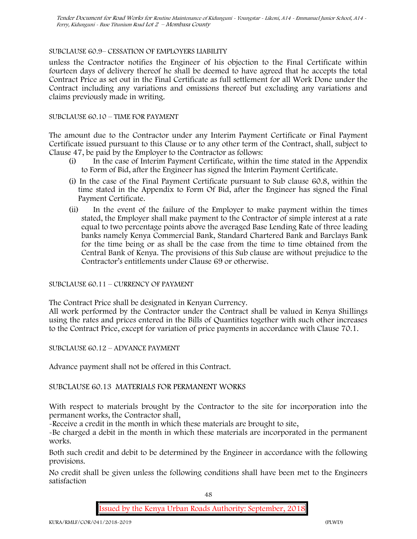### SUBCLAUSE 60.9– CESSATION OF EMPLOYERS LIABILITY

unless the Contractor notifies the Engineer of his objection to the Final Certificate within fourteen days of delivery thereof he shall be deemed to have agreed that he accepts the total Contract Price as set out in the Final Certificate as full settlement for all Work Done under the Contract including any variations and omissions thereof but excluding any variations and claims previously made in writing.

### SUBCLAUSE 60.10 – TIME FOR PAYMENT

The amount due to the Contractor under any Interim Payment Certificate or Final Payment Certificate issued pursuant to this Clause or to any other term of the Contract, shall, subject to Clause 47, be paid by the Employer to the Contractor as follows:

- (i) In the case of Interim Payment Certificate, within the time stated in the Appendix to Form of Bid, after the Engineer has signed the Interim Payment Certificate.
- (i) In the case of the Final Payment Certificate pursuant to Sub clause 60.8, within the time stated in the Appendix to Form Of Bid, after the Engineer has signed the Final Payment Certificate.
- (ii) In the event of the failure of the Employer to make payment within the times stated, the Employer shall make payment to the Contractor of simple interest at a rate equal to two percentage points above the averaged Base Lending Rate of three leading banks namely Kenya Commercial Bank, Standard Chartered Bank and Barclays Bank for the time being or as shall be the case from the time to time obtained from the Central Bank of Kenya. The provisions of this Sub clause are without prejudice to the Contractor's entitlements under Clause 69 or otherwise.

### SUBCLAUSE 60.11 – CURRENCY OF PAYMENT

The Contract Price shall be designated in Kenyan Currency.

All work performed by the Contractor under the Contract shall be valued in Kenya Shillings using the rates and prices entered in the Bills of Quantities together with such other increases to the Contract Price, except for variation of price payments in accordance with Clause 70.1.

SUBCLAUSE 60.12 – ADVANCE PAYMENT

Advance payment shall not be offered in this Contract.

### SUBCLAUSE 60.13 MATERIALS FOR PERMANENT WORKS

With respect to materials brought by the Contractor to the site for incorporation into the permanent works, the Contractor shall,

-Receive a credit in the month in which these materials are brought to site,

-Be charged a debit in the month in which these materials are incorporated in the permanent works.

Both such credit and debit to be determined by the Engineer in accordance with the following provisions.

No credit shall be given unless the following conditions shall have been met to the Engineers satisfaction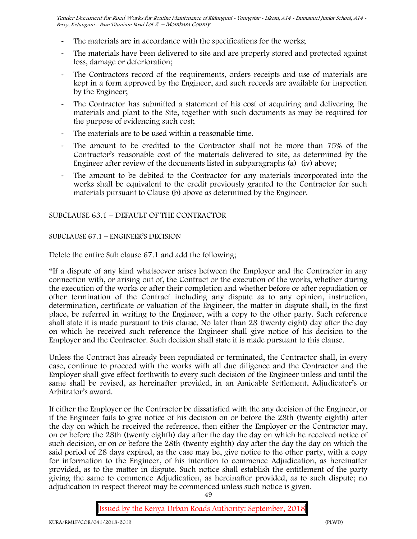- The materials are in accordance with the specifications for the works;
- The materials have been delivered to site and are properly stored and protected against loss, damage or deterioration;
- The Contractors record of the requirements, orders receipts and use of materials are kept in a form approved by the Engineer, and such records are available for inspection by the Engineer;
- The Contractor has submitted a statement of his cost of acquiring and delivering the materials and plant to the Site, together with such documents as may be required for the purpose of evidencing such cost;
- The materials are to be used within a reasonable time.
- The amount to be credited to the Contractor shall not be more than 75% of the Contractor's reasonable cost of the materials delivered to site, as determined by the Engineer after review of the documents listed in subparagraphs (a) (iv) above;
- The amount to be debited to the Contractor for any materials incorporated into the works shall be equivalent to the credit previously granted to the Contractor for such materials pursuant to Clause (b) above as determined by the Engineer.

# SUBCLAUSE 63.1 – DEFAULT OF THE CONTRACTOR

# SUBCLAUSE 67.1 – ENGINEER'S DECISION

Delete the entire Sub clause 67.1 and add the following;

"If a dispute of any kind whatsoever arises between the Employer and the Contractor in any connection with, or arising out of, the Contract or the execution of the works, whether during the execution of the works or after their completion and whether before or after repudiation or other termination of the Contract including any dispute as to any opinion, instruction, determination, certificate or valuation of the Engineer, the matter in dispute shall, in the first place, be referred in writing to the Engineer, with a copy to the other party. Such reference shall state it is made pursuant to this clause. No later than 28 (twenty eight) day after the day on which he received such reference the Engineer shall give notice of his decision to the Employer and the Contractor. Such decision shall state it is made pursuant to this clause.

Unless the Contract has already been repudiated or terminated, the Contractor shall, in every case, continue to proceed with the works with all due diligence and the Contractor and the Employer shall give effect forthwith to every such decision of the Engineer unless and until the same shall be revised, as hereinafter provided, in an Amicable Settlement, Adjudicator's or Arbitrator's award.

If either the Employer or the Contractor be dissatisfied with the any decision of the Engineer, or if the Engineer fails to give notice of his decision on or before the 28th (twenty eighth) after the day on which he received the reference, then either the Employer or the Contractor may, on or before the 28th (twenty eighth) day after the day the day on which he received notice of such decision, or on or before the 28th (twenty eighth) day after the day the day on which the said period of 28 days expired, as the case may be, give notice to the other party, with a copy for information to the Engineer, of his intention to commence Adjudication, as hereinafter provided, as to the matter in dispute. Such notice shall establish the entitlement of the party giving the same to commence Adjudication, as hereinafter provided, as to such dispute; no adjudication in respect thereof may be commenced unless such notice is given.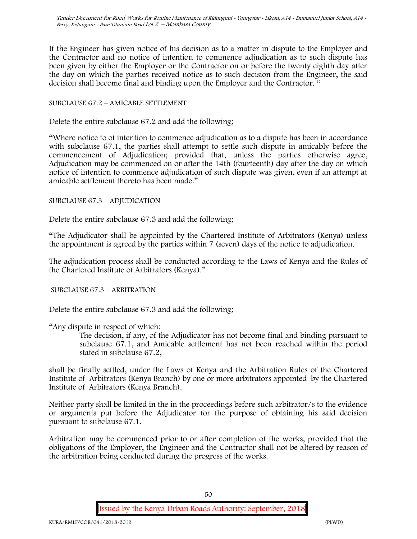If the Engineer has given notice of his decision as to a matter in dispute to the Employer and the Contractor and no notice of intention to commence adjudication as to such dispute has been given by either the Employer or the Contractor on or before the twenty eighth day after the day on which the parties received notice as to such decision from the Engineer, the said decision shall become final and binding upon the Employer and the Contractor. "

### SUBCLAUSE 67.2 – AMICABLE SETTLEMENT

Delete the entire subclause 67.2 and add the following;

"Where notice to of intention to commence adjudication as to a dispute has been in accordance with subclause 67.1, the parties shall attempt to settle such dispute in amicably before the commencement of Adjudication; provided that, unless the parties otherwise agree, Adjudication may be commenced on or after the 14th (fourteenth) day after the day on which notice of intention to commence adjudication of such dispute was given, even if an attempt at amicable settlement thereto has been made."

#### SUBCLAUSE 67.3 – ADJUDICATION

Delete the entire subclause 67.3 and add the following;

"The Adjudicator shall be appointed by the Chartered Institute of Arbitrators (Kenya) unless the appointment is agreed by the parties within 7 (seven) days of the notice to adjudication.

The adjudication process shall be conducted according to the Laws of Kenya and the Rules of the Chartered Institute of Arbitrators (Kenya)."

SUBCLAUSE 67.3 – ARBITRATION

Delete the entire subclause 67.3 and add the following;

"Any dispute in respect of which:

The decision, if any, of the Adjudicator has not become final and binding pursuant to subclause 67.1, and Amicable settlement has not been reached within the period stated in subclause 67.2,

shall be finally settled, under the Laws of Kenya and the Arbitration Rules of the Chartered Institute of Arbitrators (Kenya Branch) by one or more arbitrators appointed by the Chartered Institute of Arbitrators (Kenya Branch).

Neither party shall be limited in the in the proceedings before such arbitrator/s to the evidence or arguments put before the Adjudicator for the purpose of obtaining his said decision pursuant to subclause 67.1.

Arbitration may be commenced prior to or after completion of the works, provided that the obligations of the Employer, the Engineer and the Contractor shall not be altered by reason of the arbitration being conducted during the progress of the works.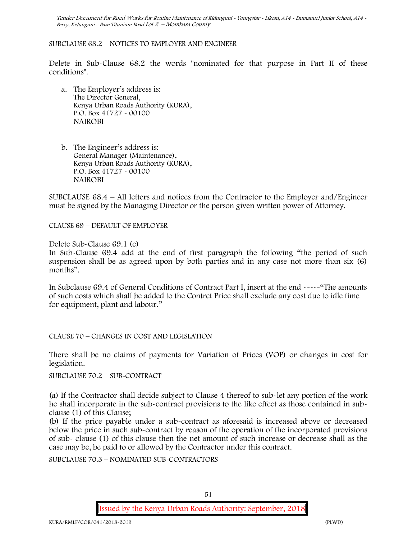#### SUBCLAUSE 68.2 – NOTICES TO EMPLOYER AND ENGINEER

Delete in Sub-Clause 68.2 the words "nominated for that purpose in Part II of these conditions".

- a. The Employer's address is: The Director General, Kenya Urban Roads Authority (KURA), P.O. Box 41727 - 00100 **NAIROBI**
- b. The Engineer's address is: General Manager (Maintenance), Kenya Urban Roads Authority (KURA), P.O. Box 41727 - 00100 **NAIROBI**

SUBCLAUSE 68.4 – All letters and notices from the Contractor to the Employer and/Engineer must be signed by the Managing Director or the person given written power of Attorney.

CLAUSE 69 – DEFAULT OF EMPLOYER

Delete Sub-Clause 69.1 (c)

In Sub-Clause 69.4 add at the end of first paragraph the following "the period of such suspension shall be as agreed upon by both parties and in any case not more than six (6) months".

In Subclause 69.4 of General Conditions of Contract Part I, insert at the end -----"The amounts of such costs which shall be added to the Contrct Price shall exclude any cost due to idle time for equipment, plant and labour."

CLAUSE 70 – CHANGES IN COST AND LEGISLATION

There shall be no claims of payments for Variation of Prices (VOP) or changes in cost for legislation.

SUBCLAUSE 70.2 – SUB-CONTRACT

(a) If the Contractor shall decide subject to Clause 4 thereof to sub-let any portion of the work he shall incorporate in the sub-contract provisions to the like effect as those contained in subclause (1) of this Clause;

(b) If the price payable under a sub-contract as aforesaid is increased above or decreased below the price in such sub-contract by reason of the operation of the incorporated provisions of sub- clause (1) of this clause then the net amount of such increase or decrease shall as the case may be, be paid to or allowed by the Contractor under this contract.

SUBCLAUSE 70.3 – NOMINATED SUB-CONTRACTORS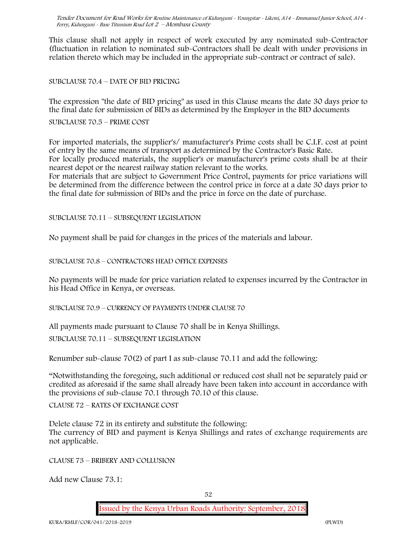This clause shall not apply in respect of work executed by any nominated sub-Contractor (fluctuation in relation to nominated sub-Contractors shall be dealt with under provisions in relation thereto which may be included in the appropriate sub-contract or contract of sale).

SUBCLAUSE 70.4 – DATE OF BID PRICING

The expression "the date of BID pricing" as used in this Clause means the date 30 days prior to the final date for submission of BIDs as determined by the Employer in the BID documents

SUBCLAUSE 70.5 – PRIME COST

For imported materials, the supplier's/ manufacturer's Prime costs shall be C.I.F. cost at point of entry by the same means of transport as determined by the Contractor's Basic Rate. For locally produced materials, the supplier's or manufacturer's prime costs shall be at their nearest depot or the nearest railway station relevant to the works.

For materials that are subject to Government Price Control, payments for price variations will be determined from the difference between the control price in force at a date 30 days prior to the final date for submission of BIDs and the price in force on the date of purchase.

SUBCLAUSE 70.11 – SUBSEQUENT LEGISLATION

No payment shall be paid for changes in the prices of the materials and labour.

SUBCLAUSE 70.8 – CONTRACTORS HEAD OFFICE EXPENSES

No payments will be made for price variation related to expenses incurred by the Contractor in his Head Office in Kenya, or overseas.

SUBCLAUSE 70.9 – CURRENCY OF PAYMENTS UNDER CLAUSE 70

All payments made pursuant to Clause 70 shall be in Kenya Shillings.

SUBCLAUSE 70.11 – SUBSEQUENT LEGISLATION

Renumber sub-clause 70(2) of part I as sub-clause 70.11 and add the following:

"Notwithstanding the foregoing, such additional or reduced cost shall not be separately paid or credited as aforesaid if the same shall already have been taken into account in accordance with the provisions of sub-clause 70.1 through 70.10 of this clause.

CLAUSE 72 – RATES OF EXCHANGE COST

Delete clause 72 in its entirety and substitute the following: The currency of BID and payment is Kenya Shillings and rates of exchange requirements are not applicable.

CLAUSE 73 – BRIBERY AND COLLUSION

Add new Clause 73.1: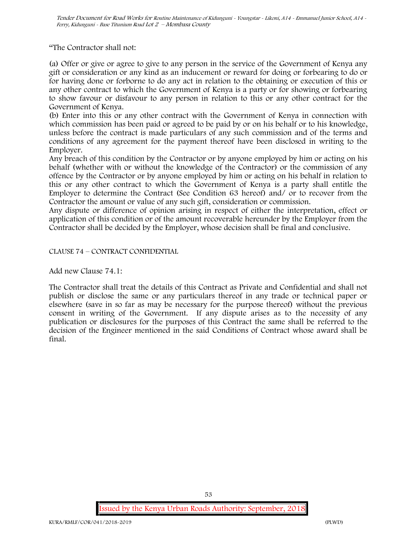"The Contractor shall not:

(a) Offer or give or agree to give to any person in the service of the Government of Kenya any gift or consideration or any kind as an inducement or reward for doing or forbearing to do or for having done or forborne to do any act in relation to the obtaining or execution of this or any other contract to which the Government of Kenya is a party or for showing or forbearing to show favour or disfavour to any person in relation to this or any other contract for the Government of Kenya.

(b) Enter into this or any other contract with the Government of Kenya in connection with which commission has been paid or agreed to be paid by or on his behalf or to his knowledge, unless before the contract is made particulars of any such commission and of the terms and conditions of any agreement for the payment thereof have been disclosed in writing to the Employer.

Any breach of this condition by the Contractor or by anyone employed by him or acting on his behalf (whether with or without the knowledge of the Contractor) or the commission of any offence by the Contractor or by anyone employed by him or acting on his behalf in relation to this or any other contract to which the Government of Kenya is a party shall entitle the Employer to determine the Contract (See Condition 63 hereof) and/ or to recover from the Contractor the amount or value of any such gift, consideration or commission.

Any dispute or difference of opinion arising in respect of either the interpretation, effect or application of this condition or of the amount recoverable hereunder by the Employer from the Contractor shall be decided by the Employer, whose decision shall be final and conclusive.

CLAUSE 74 – CONTRACT CONFIDENTIAL

Add new Clause 74.1:

The Contractor shall treat the details of this Contract as Private and Confidential and shall not publish or disclose the same or any particulars thereof in any trade or technical paper or elsewhere (save in so far as may be necessary for the purpose thereof) without the previous consent in writing of the Government. If any dispute arises as to the necessity of any publication or disclosures for the purposes of this Contract the same shall be referred to the decision of the Engineer mentioned in the said Conditions of Contract whose award shall be final.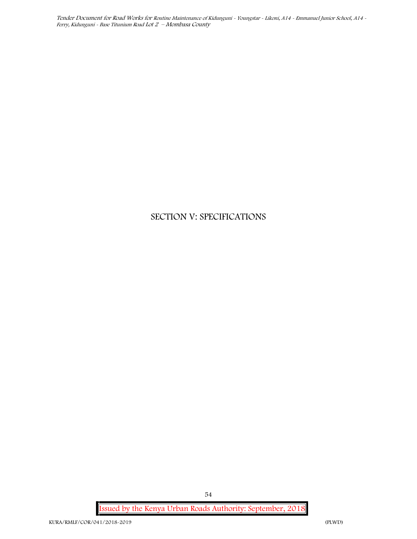# **SECTION V: SPECIFICATIONS**

**Issued by the Kenya Urban Roads Authority: September, 2018**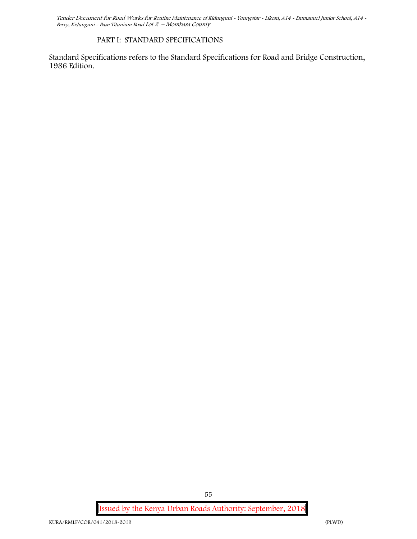### **PART I: STANDARD SPECIFICATIONS**

Standard Specifications refers to the Standard Specifications for Road and Bridge Construction, 1986 Edition**.**

**Issued by the Kenya Urban Roads Authority: September, 2018**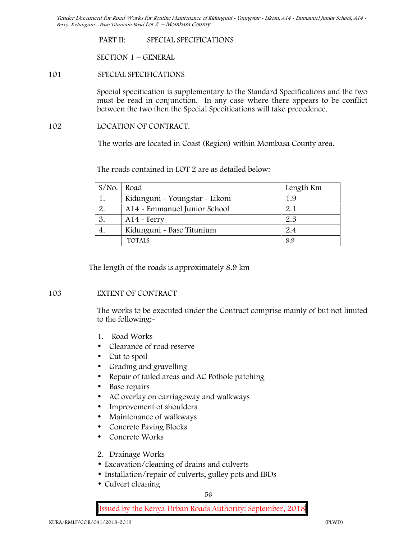**PART II: SPECIAL SPECIFICATIONS**

**SECTION 1 – GENERAL**

#### **101 SPECIAL SPECIFICATIONS**

Special specification is supplementary to the Standard Specifications and the two must be read in conjunction. In any case where there appears to be conflict between the two then the Special Specifications will take precedence.

#### **102 LOCATION OF CONTRACT.**

The works are located in Coast (Region) within Mombasa County area.

The roads contained in LOT 2 are as detailed below:

| $S/NO$ . | Road                           | Length Km |  |
|----------|--------------------------------|-----------|--|
| 1.       | Kidunguni - Youngstar - Likoni | 1.9       |  |
| 2.       | A14 - Emmanuel Junior School   | 2.1       |  |
| 3.       | $A14 - Ferry$                  | 2.5       |  |
| 4.       | Kidunguni - Base Titunium      | 2.4       |  |
|          | <b>TOTALS</b>                  | 8.9       |  |

The length of the roads is approximately 8.9 km

### **103 EXTENT OF CONTRACT**

The works to be executed under the Contract comprise mainly of but not limited to the following:-

- **1. Road Works**
- Clearance of road reserve
- Cut to spoil
- Grading and gravelling
- Repair of failed areas and AC Pothole patching
- Base repairs
- AC overlay on carriageway and walkways
- Improvement of shoulders
- Maintenance of walkways
- Concrete Paving Blocks
- Concrete Works
- **2. Drainage Works**
- Excavation/cleaning of drains and culverts
- Installation/repair of culverts, gulley pots and IBDs
- Culvert cleaning

56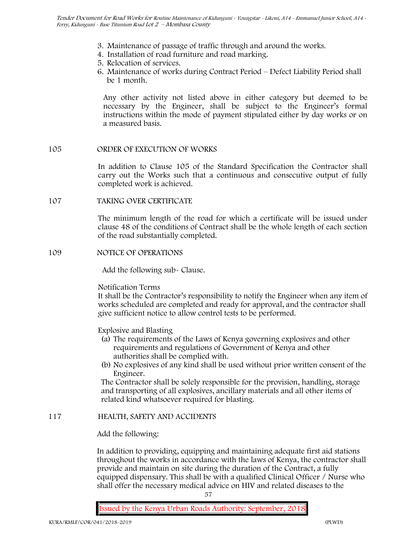- **3. Maintenance of passage of traffic through and around the works.**
- **4. Installation of road furniture and road marking.**
- **5. Relocation of services.**
- **6. Maintenance of works during Contract Period – Defect Liability Period shall be 1 month.**

Any other activity not listed above in either category but deemed to be necessary by the Engineer, shall be subject to the Engineer's formal instructions within the mode of payment stipulated either by day works or on a measured basis.

# **105 ORDER OF EXECUTION OF WORKS**

In addition to Clause 105 of the Standard Specification the Contractor shall carry out the Works such that a continuous and consecutive output of fully completed work is achieved.

### **107 TAKING OVER CERTIFICATE**

The minimum length of the road for which a certificate will be issued under clause 48 of the conditions of Contract shall be the whole length of each section of the road substantially completed.

### **109 NOTICE OF OPERATIONS**

Add the following sub- Clause.

### Notification Terms

It shall be the Contractor's responsibility to notify the Engineer when any item of works scheduled are completed and ready for approval, and the contractor shall give sufficient notice to allow control tests to be performed.

Explosive and Blasting

- (a) The requirements of the Laws of Kenya governing explosives and other requirements and regulations of Government of Kenya and other authorities shall be complied with.
- (b) No explosives of any kind shall be used without prior written consent of the Engineer.

The Contractor shall be solely responsible for the provision, handling, storage and transporting of all explosives, ancillary materials and all other items of related kind whatsoever required for blasting.

### **117 HEALTH, SAFETY AND ACCIDENTS**

### Add the following:

In addition to providing, equipping and maintaining adequate first aid stations throughout the works in accordance with the laws of Kenya, the contractor shall provide and maintain on site during the duration of the Contract, a fully equipped dispensary. This shall be with a qualified Clinical Officer / Nurse who shall offer the necessary medical advice on HIV and related diseases to the

57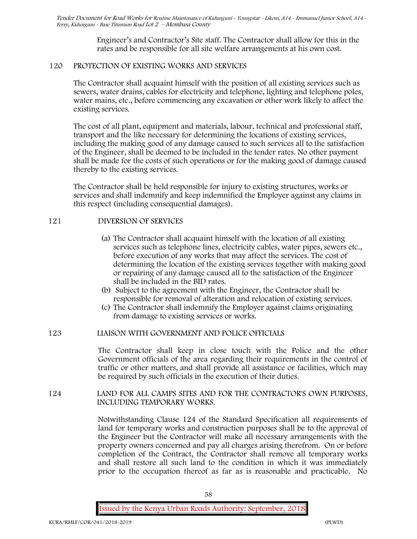Engineer's and Contractor's Site staff. The Contractor shall allow for this in the rates and be responsible for all site welfare arrangements at his own cost.

# **120 PROTECTION OF EXISTING WORKS AND SERVICES**

The Contractor shall acquaint himself with the position of all existing services such as sewers, water drains, cables for electricity and telephone, lighting and telephone poles, water mains, etc., before commencing any excavation or other work likely to affect the existing services.

The cost of all plant, equipment and materials, labour, technical and professional staff, transport and the like necessary for determining the locations of existing services, including the making good of any damage caused to such services all to the satisfaction of the Engineer, shall be deemed to be included in the tender rates. No other payment shall be made for the costs of such operations or for the making good of damage caused thereby to the existing services.

The Contractor shall be held responsible for injury to existing structures, works or services and shall indemnify and keep indemnified the Employer against any claims in this respect (including consequential damages).

# **121 DIVERSION OF SERVICES**

- (a) The Contractor shall acquaint himself with the location of all existing services such as telephone lines, electricity cables, water pipes, sewers etc., before execution of any works that may affect the services. The cost of determining the location of the existing services together with making good or repairing of any damage caused all to the satisfaction of the Engineer shall be included in the BID rates.
- (b) Subject to the agreement with the Engineer, the Contractor shall be responsible for removal of alteration and relocation of existing services.
- (c) The Contractor shall indemnify the Employer against claims originating from damage to existing services or works.

### **123 LIAISON WITH GOVERNMENT AND POLICE OFFICIALS**

The Contractor shall keep in close touch with the Police and the other Government officials of the area regarding their requirements in the control of traffic or other matters, and shall provide all assistance or facilities, which may be required by such officials in the execution of their duties.

### **124 LAND FOR ALL CAMPS SITES AND FOR THE CONTRACTOR'S OWN PURPOSES, INCLUDING TEMPORARY WORKS.**

Notwithstanding Clause 124 of the Standard Specification all requirements of land for temporary works and construction purposes shall be to the approval of the Engineer but the Contractor will make all necessary arrangements with the property owners concerned and pay all charges arising therefrom. On or before completion of the Contract, the Contractor shall remove all temporary works and shall restore all such land to the condition in which it was immediately prior to the occupation thereof as far as is reasonable and practicable. No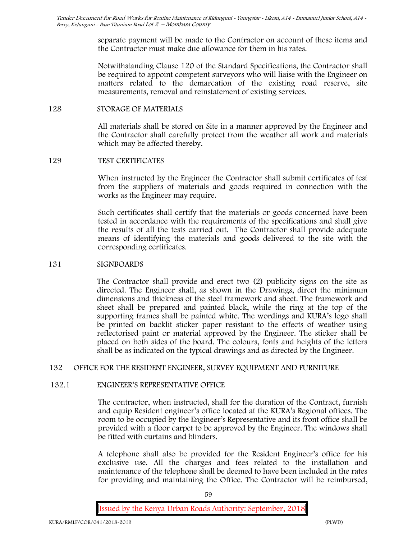separate payment will be made to the Contractor on account of these items and the Contractor must make due allowance for them in his rates.

Notwithstanding Clause 120 of the Standard Specifications, the Contractor shall be required to appoint competent surveyors who will liaise with the Engineer on matters related to the demarcation of the existing road reserve, site measurements, removal and reinstatement of existing services.

#### **128 STORAGE OF MATERIALS**

All materials shall be stored on Site in a manner approved by the Engineer and the Contractor shall carefully protect from the weather all work and materials which may be affected thereby.

### **129 TEST CERTIFICATES**

When instructed by the Engineer the Contractor shall submit certificates of test from the suppliers of materials and goods required in connection with the works as the Engineer may require.

Such certificates shall certify that the materials or goods concerned have been tested in accordance with the requirements of the specifications and shall give the results of all the tests carried out. The Contractor shall provide adequate means of identifying the materials and goods delivered to the site with the corresponding certificates.

### **131 SIGNBOARDS**

The Contractor shall provide and erect two (2) publicity signs on the site as directed. The Engineer shall, as shown in the Drawings, direct the minimum dimensions and thickness of the steel framework and sheet. The framework and sheet shall be prepared and painted black, while the ring at the top of the supporting frames shall be painted white. The wordings and KURA's logo shall be printed on backlit sticker paper resistant to the effects of weather using reflectorised paint or material approved by the Engineer. The sticker shall be placed on both sides of the board. The colours, fonts and heights of the letters shall be as indicated on the typical drawings and as directed by the Engineer.

# **132 OFFICE FOR THE RESIDENT ENGINEER, SURVEY EQUIPMENT AND FURNITURE**

### **132.1 ENGINEER'S REPRESENTATIVE OFFICE**

The contractor, when instructed, shall for the duration of the Contract, furnish and equip Resident engineer's office located at the KURA's Regional offices. The room to be occupied by the Engineer's Representative and its front office shall be provided with a floor carpet to be approved by the Engineer. The windows shall be fitted with curtains and blinders.

A telephone shall also be provided for the Resident Engineer's office for his exclusive use. All the charges and fees related to the installation and maintenance of the telephone shall be deemed to have been included in the rates for providing and maintaining the Office. The Contractor will be reimbursed,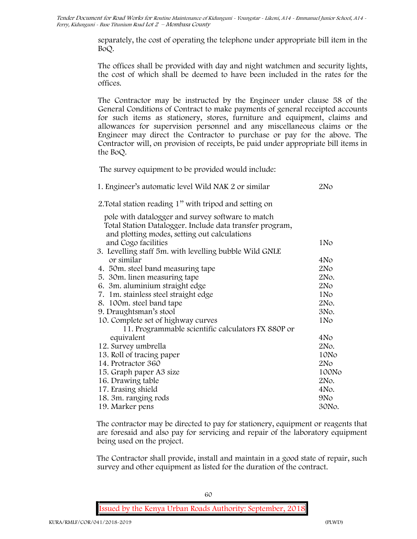> separately, the cost of operating the telephone under appropriate bill item in the BoQ.

> The offices shall be provided with day and night watchmen and security lights, the cost of which shall be deemed to have been included in the rates for the offices.

> The Contractor may be instructed by the Engineer under clause 58 of the General Conditions of Contract to make payments of general receipted accounts for such items as stationery, stores, furniture and equipment, claims and allowances for supervision personnel and any miscellaneous claims or the Engineer may direct the Contractor to purchase or pay for the above. The Contractor will, on provision of receipts, be paid under appropriate bill items in the BoQ.

**The survey equipment to be provided would include:**

| 1. Engineer's automatic level Wild NAK 2 or similar      | 2N <sub>O</sub> |
|----------------------------------------------------------|-----------------|
| 2. Total station reading 1" with tripod and setting on   |                 |
| pole with datalogger and survey software to match        |                 |
| Total Station Datalogger. Include data transfer program, |                 |
| and plotting modes, setting out calculations             |                 |
| and Cogo facilities                                      | 1No             |
| 3. Levelling staff 5m. with levelling bubble Wild GNLE   |                 |
| or similar                                               | 4No             |
| 4. 50m. steel band measuring tape                        | 2N <sub>O</sub> |
| 5. 30 m. linen measuring tape                            | 2No.            |
| 6. 3m. aluminium straight edge                           | 2N <sub>O</sub> |
| 7. 1m. stainless steel straight edge                     | 1N <sub>o</sub> |
| 8. 100m. steel band tape                                 | 2No.            |
| 9. Draughtsman's stool                                   | 3No.            |
| 10. Complete set of highway curves                       | 1No             |
| 11. Programmable scientific calculators FX 880P or       |                 |
| equivalent                                               | 4No             |
| 12. Survey umbrella                                      | 2No.            |
| 13. Roll of tracing paper                                | 10No            |
| 14. Protractor 360                                       | 2N <sub>O</sub> |
| 15. Graph paper A3 size                                  | 100No           |
| 16. Drawing table                                        | 2No.            |
| 17. Erasing shield                                       | 4No.            |
| 18. 3m. ranging rods                                     | 9N <sub>o</sub> |
| 19. Marker pens                                          | 30No.           |

The contractor may be directed to pay for stationery, equipment or reagents that are foresaid and also pay for servicing and repair of the laboratory equipment being used on the project.

The Contractor shall provide, install and maintain in a good state of repair, such survey and other equipment as listed for the duration of the contract.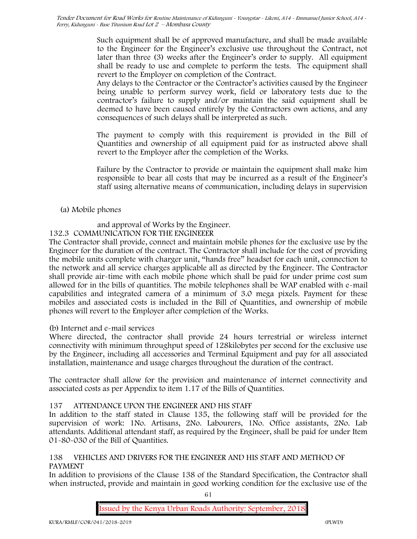Such equipment shall be of approved manufacture, and shall be made available to the Engineer for the Engineer's exclusive use throughout the Contract, not later than three (3) weeks after the Engineer's order to supply. All equipment shall be ready to use and complete to perform the tests. The equipment shall revert to the Employer on completion of the Contract.

Any delays to the Contractor or the Contractor's activities caused by the Engineer being unable to perform survey work, field or laboratory tests due to the contractor's failure to supply and/or maintain the said equipment shall be deemed to have been caused entirely by the Contractors own actions, and any consequences of such delays shall be interpreted as such.

The payment to comply with this requirement is provided in the Bill of Quantities and ownership of all equipment paid for as instructed above shall revert to the Employer after the completion of the Works.

Failure by the Contractor to provide or maintain the equipment shall make him responsible to bear all costs that may be incurred as a result of the Engineer's staff using alternative means of communication, including delays in supervision

# **(a) Mobile phones**

# and approval of Works by the Engineer.

# **132.3 COMMUNICATION FOR THE ENGINEEER**

The Contractor shall provide, connect and maintain mobile phones for the exclusive use by the Engineer for the duration of the contract. The Contractor shall include for the cost of providing the mobile units complete with charger unit, "hands free" headset for each unit, connection to the network and all service charges applicable all as directed by the Engineer. The Contractor shall provide air-time with each mobile phone which shall be paid for under prime cost sum allowed for in the bills of quantities. The mobile telephones shall be WAP enabled with e-mail capabilities and integrated camera of a minimum of 3.0 mega pixels. Payment for these mobiles and associated costs is included in the Bill of Quantities, and ownership of mobile phones will revert to the Employer after completion of the Works.

# **(b) Internet and e-mail services**

Where directed, the contractor shall provide 24 hours terrestrial or wireless internet connectivity with minimum throughput speed of 128kilobytes per second for the exclusive use by the Engineer, including all accessories and Terminal Equipment and pay for all associated installation, maintenance and usage charges throughout the duration of the contract.

The contractor shall allow for the provision and maintenance of internet connectivity and associated costs as per Appendix to item 1.17 of the Bills of Quantities.

# **137 ATTENDANCE UPON THE ENGINEER AND HIS STAFF**

In addition to the staff stated in Clause 135, the following staff will be provided for the supervision of work: 1No. Artisans, 2No. Labourers, 1No. Office assistants, 2No. Lab attendants. Additional attendant staff, as required by the Engineer, shall be paid for under Item 01-80-030 of the Bill of Quantities.

# **138 VEHICLES AND DRIVERS FOR THE ENGINEER AND HIS STAFF AND METHOD OF PAYMENT**

In addition to provisions of the Clause 138 of the Standard Specification, the Contractor shall when instructed, provide and maintain in good working condition for the exclusive use of the

61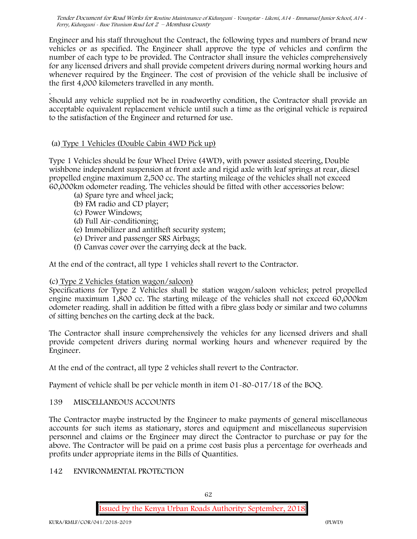Engineer and his staff throughout the Contract, the following types and numbers of brand new vehicles or as specified. The Engineer shall approve the type of vehicles and confirm the number of each type to be provided. The Contractor shall insure the vehicles comprehensively for any licensed drivers and shall provide competent drivers during normal working hours and whenever required by the Engineer. The cost of provision of the vehicle shall be inclusive of the first 4,000 kilometers travelled in any month.

.Should any vehicle supplied not be in roadworthy condition, the Contractor shall provide an acceptable equivalent replacement vehicle until such a time as the original vehicle is repaired to the satisfaction of the Engineer and returned for use.

# **(a) Type 1 Vehicles (Double Cabin 4WD Pick up)**

Type 1 Vehicles should be four Wheel Drive (4WD), with power assisted steering, Double wishbone independent suspension at front axle and rigid axle with leaf springs at rear, diesel propelled engine maximum 2,500 cc. The starting mileage of the vehicles shall not exceed 60,000km odometer reading. The vehicles should be fitted with other accessories below:

- (a) Spare tyre and wheel jack;
- (b) FM radio and CD player;
- (c) Power Windows;
- (d) Full Air-conditioning;
- (e) Immobilizer and antitheft security system;
- (e) Driver and passenger SRS Airbags;
- (f) Canvas cover over the carrying deck at the back.

At the end of the contract, all type 1 vehicles shall revert to the Contractor.

### **(c) Type 2 Vehicles (station wagon/saloon)**

Specifications for Type 2 Vehicles shall be station wagon/saloon vehicles; petrol propelled engine maximum 1,800 cc. The starting mileage of the vehicles shall not exceed 60,000km odometer reading. shall in addition be fitted with a fibre glass body or similar and two columns of sitting benches on the carting deck at the back.

The Contractor shall insure comprehensively the vehicles for any licensed drivers and shall provide competent drivers during normal working hours and whenever required by the Engineer.

At the end of the contract, all type 2 vehicles shall revert to the Contractor.

Payment of vehicle shall be per vehicle month in item 01-80-017/18 of the BOQ.

### **139 MISCELLANEOUS ACCOUNTS**

The Contractor maybe instructed by the Engineer to make payments of general miscellaneous accounts for such items as stationary, stores and equipment and miscellaneous supervision personnel and claims or the Engineer may direct the Contractor to purchase or pay for the above. The Contractor will be paid on a prime cost basis plus a percentage for overheads and profits under appropriate items in the Bills of Quantities.

### **142 ENVIRONMENTAL PROTECTION**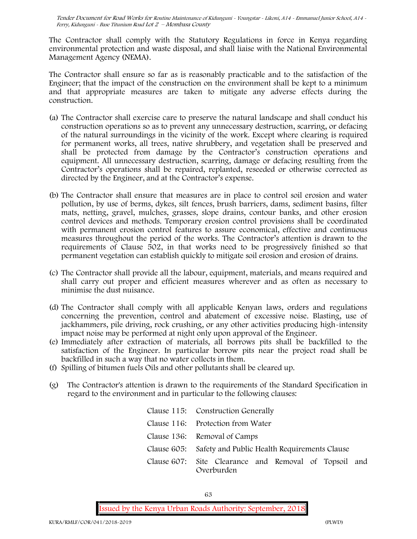The Contractor shall comply with the Statutory Regulations in force in Kenya regarding environmental protection and waste disposal, and shall liaise with the National Environmental Management Agency (NEMA).

The Contractor shall ensure so far as is reasonably practicable and to the satisfaction of the Engineer; that the impact of the construction on the environment shall be kept to a minimum and that appropriate measures are taken to mitigate any adverse effects during the construction.

- (a) The Contractor shall exercise care to preserve the natural landscape and shall conduct his construction operations so as to prevent any unnecessary destruction, scarring, or defacing of the natural surroundings in the vicinity of the work. Except where clearing is required for permanent works, all trees, native shrubbery, and vegetation shall be preserved and shall be protected from damage by the Contractor's construction operations and equipment. All unnecessary destruction, scarring, damage or defacing resulting from the Contractor's operations shall be repaired, replanted, reseeded or otherwise corrected as directed by the Engineer, and at the Contractor's expense.
- (b) The Contractor shall ensure that measures are in place to control soil erosion and water pollution, by use of berms, dykes, silt fences, brush barriers, dams, sediment basins, filter mats, netting, gravel, mulches, grasses, slope drains, contour banks, and other erosion control devices and methods. Temporary erosion control provisions shall be coordinated with permanent erosion control features to assure economical, effective and continuous measures throughout the period of the works. The Contractor's attention is drawn to the requirements of Clause 502, in that works need to be progressively finished so that permanent vegetation can establish quickly to mitigate soil erosion and erosion of drains.
- (c) The Contractor shall provide all the labour, equipment, materials, and means required and shall carry out proper and efficient measures wherever and as often as necessary to minimise the dust nuisance.
- (d) The Contractor shall comply with all applicable Kenyan laws, orders and regulations concerning the prevention, control and abatement of excessive noise. Blasting, use of jackhammers, pile driving, rock crushing, or any other activities producing high-intensity impact noise may be performed at night only upon approval of the Engineer.
- (e) Immediately after extraction of materials, all borrows pits shall be backfilled to the satisfaction of the Engineer. In particular borrow pits near the project road shall be backfilled in such a way that no water collects in them.
- (f) Spilling of bitumen fuels Oils and other pollutants shall be cleared up.
- (g) The Contractor's attention is drawn to the requirements of the Standard Specification in regard to the environment and in particular to the following clauses:

| Clause 115: Construction Generally                                  |
|---------------------------------------------------------------------|
| Clause 116: Protection from Water                                   |
| Clause 136: Removal of Camps                                        |
| Clause 605: Safety and Public Health Requirements Clause            |
| Clause 607: Site Clearance and Removal of Topsoil and<br>Overburden |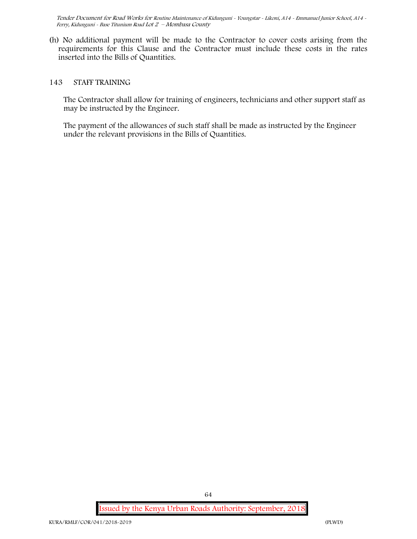(h) No additional payment will be made to the Contractor to cover costs arising from the requirements for this Clause and the Contractor must include these costs in the rates inserted into the Bills of Quantities.

#### **143 STAFF TRAINING**

The Contractor shall allow for training of engineers, technicians and other support staff as may be instructed by the Engineer.

The payment of the allowances of such staff shall be made as instructed by the Engineer under the relevant provisions in the Bills of Quantities.

**Issued by the Kenya Urban Roads Authority: September, 2018**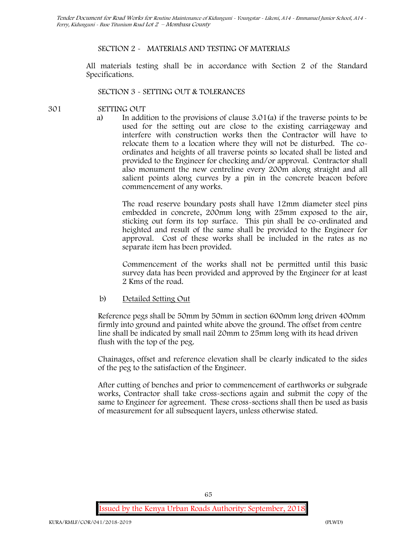# **SECTION 2 - MATERIALS AND TESTING OF MATERIALS**

All materials testing shall be in accordance with Section 2 of the Standard Specifications.

### **SECTION 3 - SETTING OUT & TOLERANCES**

- **301 SETTING OUT**
	- a) In addition to the provisions of clause 3.01(a) if the traverse points to be used for the setting out are close to the existing carriageway and interfere with construction works then the Contractor will have to relocate them to a location where they will not be disturbed. The co ordinates and heights of all traverse points so located shall be listed and provided to the Engineer for checking and/or approval. Contractor shall also monument the new centreline every 200m along straight and all salient points along curves by a pin in the concrete beacon before commencement of any works.

The road reserve boundary posts shall have 12mm diameter steel pins embedded in concrete, 200mm long with 25mm exposed to the air, sticking out form its top surface. This pin shall be co-ordinated and heighted and result of the same shall be provided to the Engineer for approval. Cost of these works shall be included in the rates as no separate item has been provided.

Commencement of the works shall not be permitted until this basic survey data has been provided and approved by the Engineer for at least 2 Kms of the road.

b) Detailed Setting Out

Reference pegs shall be 50mm by 50mm in section 600mm long driven 400mm firmly into ground and painted white above the ground. The offset from centre line shall be indicated by small nail 20mm to 25mm long with its head driven flush with the top of the peg.

Chainages, offset and reference elevation shall be clearly indicated to the sides of the peg to the satisfaction of the Engineer.

After cutting of benches and prior to commencement of earthworks or subgrade works, Contractor shall take cross-sections again and submit the copy of the same to Engineer for agreement. These cross-sections shall then be used as basis of measurement for all subsequent layers, unless otherwise stated.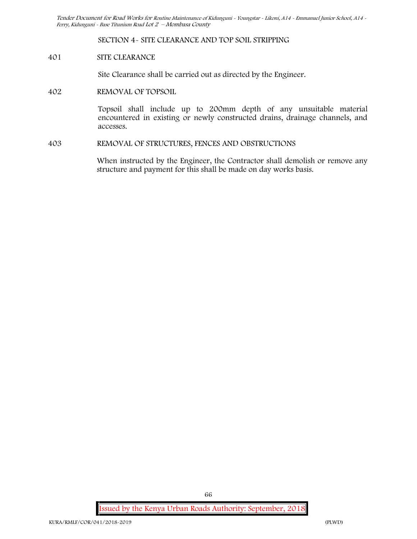**SECTION 4- SITE CLEARANCE AND TOP SOIL STRIPPING**

#### **401 SITE CLEARANCE**

Site Clearance shall be carried out as directed by the Engineer.

**402 REMOVAL OF TOPSOIL**

Topsoil shall include up to 200mm depth of any unsuitable material encountered in existing or newly constructed drains, drainage channels, and accesses.

**403 REMOVAL OF STRUCTURES, FENCES AND OBSTRUCTIONS**

When instructed by the Engineer, the Contractor shall demolish or remove any structure and payment for this shall be made on day works basis.

**Issued by the Kenya Urban Roads Authority: September, 2018**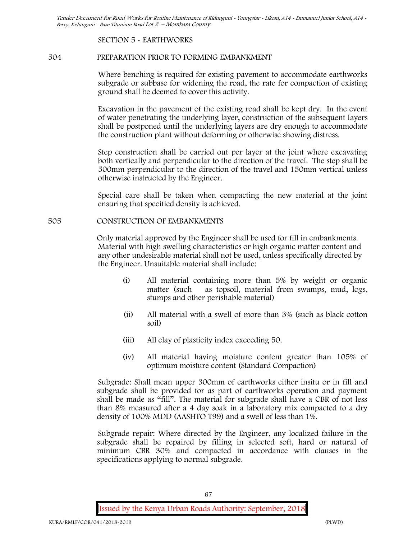### **SECTION 5 - EARTHWORKS**

### **504 PREPARATION PRIOR TO FORMING EMBANKMENT**

Where benching is required for existing pavement to accommodate earthworks subgrade or subbase for widening the road, the rate for compaction of existing ground shall be deemed to cover this activity.

Excavation in the pavement of the existing road shall be kept dry. In the event of water penetrating the underlying layer, construction of the subsequent layers shall be postponed until the underlying layers are dry enough to accommodate the construction plant without deforming or otherwise showing distress.

Step construction shall be carried out per layer at the joint where excavating both vertically and perpendicular to the direction of the travel. The step shall be 500mm perpendicular to the direction of the travel and 150mm vertical unless otherwise instructed by the Engineer.

Special care shall be taken when compacting the new material at the joint ensuring that specified density is achieved.

### **505 CONSTRUCTION OF EMBANKMENTS**

Only material approved by the Engineer shall be used for fill in embankments. Material with high swelling characteristics or high organic matter content and any other undesirable material shall not be used, unless specifically directed by the Engineer. Unsuitable material shall include:

- (i) All material containing more than 5% by weight or organic matter (such as topsoil, material from swamps, mud, logs, stumps and other perishable material)
- (ii) All material with a swell of more than 3% (such as black cotton soil)
- (iii) All clay of plasticity index exceeding 50.
- (iv) All material having moisture content greater than 105% of optimum moisture content (Standard Compaction)

Subgrade: Shall mean upper 300mm of earthworks either insitu or in fill and subgrade shall be provided for as part of earthworks operation and payment shall be made as "fill". The material for subgrade shall have a CBR of not less than 8% measured after a 4 day soak in a laboratory mix compacted to a dry density of 100% MDD (AASHTO T99) and a swell of less than 1%.

Subgrade repair: Where directed by the Engineer, any localized failure in the subgrade shall be repaired by filling in selected soft, hard or natural of minimum CBR 30% and compacted in accordance with clauses in the specifications applying to normal subgrade.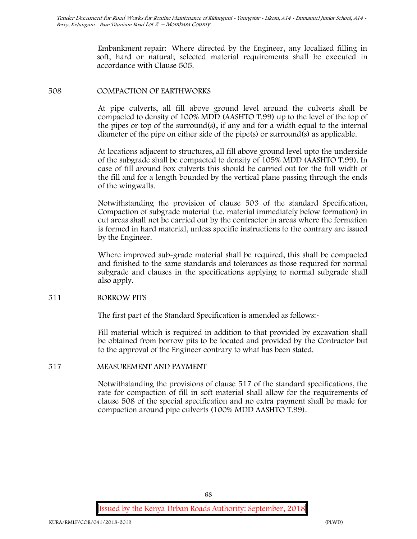Embankment repair: Where directed by the Engineer, any localized filling in soft, hard or natural; selected material requirements shall be executed in accordance with Clause 505.

### **508 COMPACTION OF EARTHWORKS**

At pipe culverts, all fill above ground level around the culverts shall be compacted to density of 100% MDD (AASHTO T.99) up to the level of the top of the pipes or top of the surround(s), if any and for a width equal to the internal diameter of the pipe on either side of the pipe(s) or surround(s) as applicable.

At locations adjacent to structures, all fill above ground level upto the underside of the subgrade shall be compacted to density of 105% MDD (AASHTO T.99). In case of fill around box culverts this should be carried out for the full width of the fill and for a length bounded by the vertical plane passing through the ends of the wingwalls.

Notwithstanding the provision of clause 503 of the standard Specification, Compaction of subgrade material (i.e. material immediately below formation) in cut areas shall not be carried out by the contractor in areas where the formation is formed in hard material, unless specific instructions to the contrary are issued by the Engineer.

Where improved sub-grade material shall be required, this shall be compacted and finished to the same standards and tolerances as those required for normal subgrade and clauses in the specifications applying to normal subgrade shall also apply.

# **511 BORROW PITS**

The first part of the Standard Specification is amended as follows:

Fill material which is required in addition to that provided by excavation shall be obtained from borrow pits to be located and provided by the Contractor but to the approval of the Engineer contrary to what has been stated.

# **517 MEASUREMENT AND PAYMENT**

Notwithstanding the provisions of clause 517 of the standard specifications, the rate for compaction of fill in soft material shall allow for the requirements of clause 508 of the special specification and no extra payment shall be made for compaction around pipe culverts (100% MDD AASHTO T.99).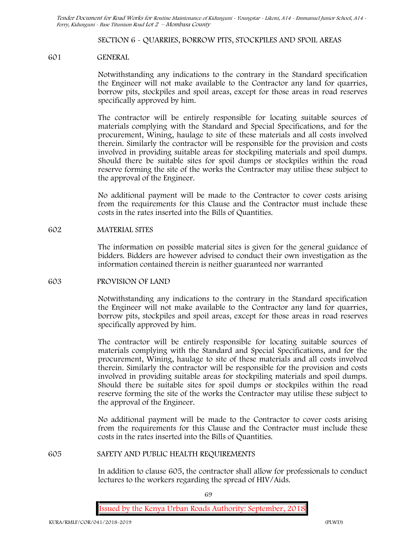#### **SECTION 6 - QUARRIES, BORROW PITS, STOCKPILES AND SPOIL AREAS**

#### **601 GENERAL**

Notwithstanding any indications to the contrary in the Standard specification the Engineer will not make available to the Contractor any land for quarries, borrow pits, stockpiles and spoil areas, except for those areas in road reserves specifically approved by him.

The contractor will be entirely responsible for locating suitable sources of materials complying with the Standard and Special Specifications, and for the procurement, Wining, haulage to site of these materials and all costs involved therein. Similarly the contractor will be responsible for the provision and costs involved in providing suitable areas for stockpiling materials and spoil dumps. Should there be suitable sites for spoil dumps or stockpiles within the road reserve forming the site of the works the Contractor may utilise these subject to the approval of the Engineer.

No additional payment will be made to the Contractor to cover costs arising from the requirements for this Clause and the Contractor must include these costs in the rates inserted into the Bills of Quantities.

#### **602 MATERIAL SITES**

The information on possible material sites is given for the general guidance of bidders. Bidders are however advised to conduct their own investigation as the information contained therein is neither guaranteed nor warranted

#### **603 PROVISION OF LAND**

Notwithstanding any indications to the contrary in the Standard specification the Engineer will not make available to the Contractor any land for quarries, borrow pits, stockpiles and spoil areas, except for those areas in road reserves specifically approved by him.

The contractor will be entirely responsible for locating suitable sources of materials complying with the Standard and Special Specifications, and for the procurement, Wining, haulage to site of these materials and all costs involved therein. Similarly the contractor will be responsible for the provision and costs involved in providing suitable areas for stockpiling materials and spoil dumps. Should there be suitable sites for spoil dumps or stockpiles within the road reserve forming the site of the works the Contractor may utilise these subject to the approval of the Engineer.

No additional payment will be made to the Contractor to cover costs arising from the requirements for this Clause and the Contractor must include these costs in the rates inserted into the Bills of Quantities.

#### **605 SAFETY AND PUBLIC HEALTH REQUIREMENTS**

In addition to clause 605, the contractor shall allow for professionals to conduct lectures to the workers regarding the spread of HIV/Aids.

69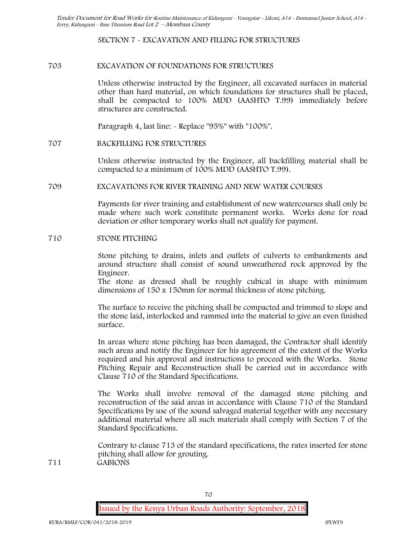### **SECTION 7 - EXCAVATION AND FILLING FOR STRUCTURES**

### **703 EXCAVATION OF FOUNDATIONS FOR STRUCTURES**

Unless otherwise instructed by the Engineer, all excavated surfaces in material other than hard material, on which foundations for structures shall be placed, shall be compacted to 100% MDD (AASHTO T.99) immediately before structures are constructed.

Paragraph 4, last line: - Replace "95%" with "100%".

#### **707 BACKFILLING FOR STRUCTURES**

Unless otherwise instructed by the Engineer, all backfilling material shall be compacted to a minimum of 100% MDD (AASHTO T.99).

#### **709 EXCAVATIONS FOR RIVER TRAINING AND NEW WATER COURSES**

Payments for river training and establishment of new watercourses shall only be made where such work constitute permanent works. Works done for road deviation or other temporary works shall not qualify for payment.

#### **710 STONE PITCHING**

Stone pitching to drains, inlets and outlets of culverts to embankments and around structure shall consist of sound unweathered rock approved by the Engineer.

The stone as dressed shall be roughly cubical in shape with minimum dimensions of 150 x 150mm for normal thickness of stone pitching.

The surface to receive the pitching shall be compacted and trimmed to slope and the stone laid, interlocked and rammed into the material to give an even finished surface.

In areas where stone pitching has been damaged, the Contractor shall identify such areas and notify the Engineer for his agreement of the extent of the Works required and his approval and instructions to proceed with the Works. Stone Pitching Repair and Reconstruction shall be carried out in accordance with Clause 710 of the Standard Specifications.

The Works shall involve removal of the damaged stone pitching and reconstruction of the said areas in accordance with Clause 710 of the Standard Specifications by use of the sound salvaged material together with any necessary additional material where all such materials shall comply with Section 7 of the Standard Specifications.

Contrary to clause 713 of the standard specifications, the rates inserted for stone pitching shall allow for grouting. **711 GABIONS**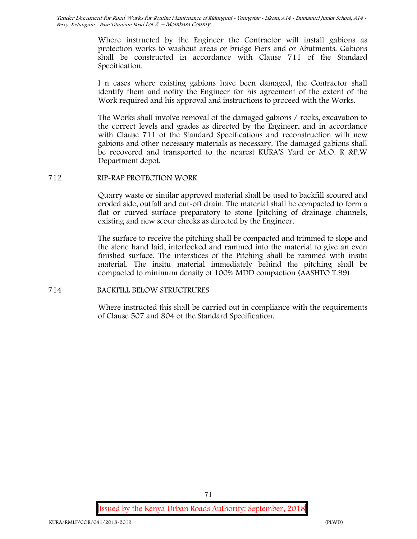> Where instructed by the Engineer the Contractor will install gabions as protection works to washout areas or bridge Piers and or Abutments. Gabions shall be constructed in accordance with Clause 711 of the Standard Specification.

> I n cases where existing gabions have been damaged, the Contractor shall identify them and notify the Engineer for his agreement of the extent of the Work required and his approval and instructions to proceed with the Works.

> The Works shall involve removal of the damaged gabions / rocks, excavation to the correct levels and grades as directed by the Engineer, and in accordance with Clause 711 of the Standard Specifications and reconstruction with new gabions and other necessary materials as necessary. The damaged gabions shall be recovered and transported to the nearest KURA'S Yard or M.O. R &P.W Department depot.

#### **712 RIP-RAP PROTECTION WORK**

Quarry waste or similar approved material shall be used to backfill scoured and eroded side, outfall and cut-off drain. The material shall be compacted to form a flat or curved surface preparatory to stone [pitching of drainage channels, existing and new scour checks as directed by the Engineer.

The surface to receive the pitching shall be compacted and trimmed to slope and the stone hand laid, interlocked and rammed into the material to give an even finished surface. The interstices of the Pitching shall be rammed with insitu material. The insitu material immediately behind the pitching shall be compacted to minimum density of 100% MDD compaction (AASHTO T.99)

#### **714 BACKFILL BELOW STRUCTRURES**

Where instructed this shall be carried out in compliance with the requirements of Clause 507 and 804 of the Standard Specification.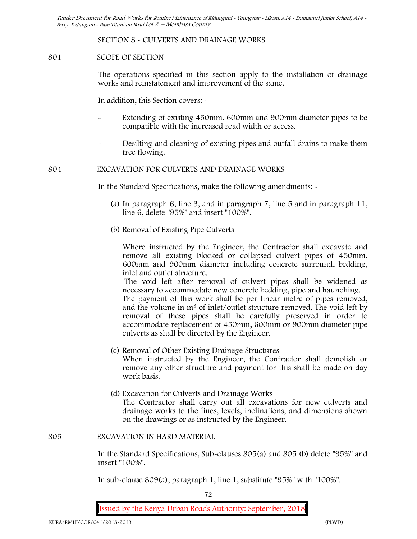# **SECTION 8 - CULVERTS AND DRAINAGE WORKS**

# **801 SCOPE OF SECTION**

The operations specified in this section apply to the installation of drainage works and reinstatement and improvement of the same.

In addition, this Section covers: -

- Extending of existing 450mm, 600mm and 900mm diameter pipes to be compatible with the increased road width or access.
- Desilting and cleaning of existing pipes and outfall drains to make them free flowing.

# **804 EXCAVATION FOR CULVERTS AND DRAINAGE WORKS**

In the Standard Specifications, make the following amendments: -

- (a) In paragraph 6, line 3, and in paragraph 7, line 5 and in paragraph 11, line 6, delete "95%" and insert "100%".
- (b) Removal of Existing Pipe Culverts

Where instructed by the Engineer, the Contractor shall excavate and remove all existing blocked or collapsed culvert pipes of 450mm, 600mm and 900mm diameter including concrete surround, bedding, inlet and outlet structure.

The void left after removal of culvert pipes shall be widened as necessary to accommodate new concrete bedding, pipe and haunching. The payment of this work shall be per linear metre of pipes removed, and the volume in m<sup>3</sup> of inlet/outlet structure removed. The void left by removal of these pipes shall be carefully preserved in order to accommodate replacement of 450mm, 600mm or 900mm diameter pipe culverts as shall be directed by the Engineer.

- (c) Removal of Other Existing Drainage Structures When instructed by the Engineer, the Contractor shall demolish or remove any other structure and payment for this shall be made on day work basis.
- (d) Excavation for Culverts and Drainage Works The Contractor shall carry out all excavations for new culverts and drainage works to the lines, levels, inclinations, and dimensions shown on the drawings or as instructed by the Engineer.

#### **805 EXCAVATION IN HARD MATERIAL**

In the Standard Specifications, Sub-clauses 805(a) and 805 (b) delete "95%" and insert "100%".

In sub-clause 809(a), paragraph 1, line 1, substitute "95%" with "100%".

72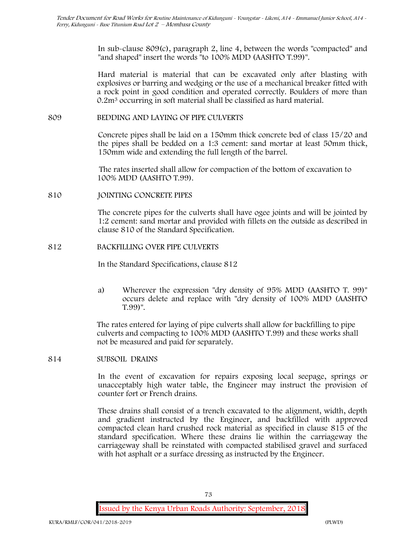In sub-clause 809(c), paragraph 2, line 4, between the words "compacted" and "and shaped" insert the words "to 100% MDD (AASHTO T.99)".

Hard material is material that can be excavated only after blasting with explosives or barring and wedging or the use of a mechanical breaker fitted with a rock point in good condition and operated correctly. Boulders of more than 0.2m<sup>3</sup> occurring in soft material shall be classified as hard material.

# **809 BEDDING AND LAYING OF PIPE CULVERTS**

Concrete pipes shall be laid on a 150mm thick concrete bed of class 15/20 and the pipes shall be bedded on a 1:3 cement: sand mortar at least 50mm thick, 150mm wide and extending the full length of the barrel.

The rates inserted shall allow for compaction of the bottom of excavation to 100% MDD (AASHTO T.99).

# **810 JOINTING CONCRETE PIPES**

The concrete pipes for the culverts shall have ogee joints and will be jointed by 1:2 cement: sand mortar and provided with fillets on the outside as described in clause 810 of the Standard Specification.

# **812 BACKFILLING OVER PIPE CULVERTS**

In the Standard Specifications, clause 812

a) Wherever the expression "dry density of 95% MDD (AASHTO T. 99)" occurs delete and replace with "dry density of 100% MDD (AASHTO T.99)".

The rates entered for laying of pipe culverts shall allow for backfilling to pipe culverts and compacting to 100% MDD (AASHTO T.99) and these works shall not be measured and paid for separately.

#### **814 SUBSOIL DRAINS**

In the event of excavation for repairs exposing local seepage, springs or unacceptably high water table, the Engineer may instruct the provision of counter fort or French drains.

These drains shall consist of a trench excavated to the alignment, width, depth and gradient instructed by the Engineer, and backfilled with approved compacted clean hard crushed rock material as specified in clause 815 of the standard specification. Where these drains lie within the carriageway the carriageway shall be reinstated with compacted stabilised gravel and surfaced with hot asphalt or a surface dressing as instructed by the Engineer.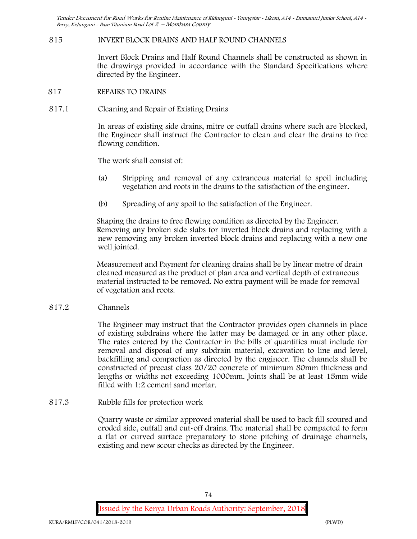# **815 INVERT BLOCK DRAINS AND HALF ROUND CHANNELS**

Invert Block Drains and Half Round Channels shall be constructed as shown in the drawings provided in accordance with the Standard Specifications where directed by the Engineer.

- **817 REPAIRS TO DRAINS**
- **817.1 Cleaning and Repair of Existing Drains**

In areas of existing side drains, mitre or outfall drains where such are blocked, the Engineer shall instruct the Contractor to clean and clear the drains to free flowing condition.

The work shall consist of:

- (a) Stripping and removal of any extraneous material to spoil including vegetation and roots in the drains to the satisfaction of the engineer.
- (b) Spreading of any spoil to the satisfaction of the Engineer.

Shaping the drains to free flowing condition as directed by the Engineer. Removing any broken side slabs for inverted block drains and replacing with a new removing any broken inverted block drains and replacing with a new one well jointed.

Measurement and Payment for cleaning drains shall be by linear metre of drain cleaned measured as the product of plan area and vertical depth of extraneous material instructed to be removed. No extra payment will be made for removal of vegetation and roots.

**817.2 Channels**

The Engineer may instruct that the Contractor provides open channels in place of existing subdrains where the latter may be damaged or in any other place. The rates entered by the Contractor in the bills of quantities must include for removal and disposal of any subdrain material, excavation to line and level, backfilling and compaction as directed by the engineer. The channels shall be constructed of precast class 20/20 concrete of minimum 80mm thickness and lengths or widths not exceeding 1000mm. Joints shall be at least 15mm wide filled with 1:2 cement sand mortar.

**817.3 Rubble fills for protection work**

Quarry waste or similar approved material shall be used to back fill scoured and eroded side, outfall and cut-off drains. The material shall be compacted to form a flat or curved surface preparatory to stone pitching of drainage channels, existing and new scour checks as directed by the Engineer.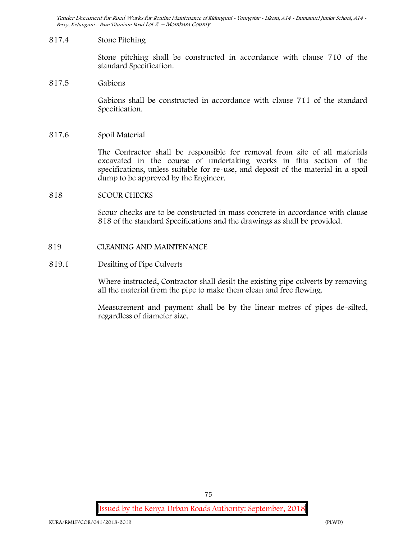### **817.4 Stone Pitching**

Stone pitching shall be constructed in accordance with clause 710 of the standard Specification.

## **817.5 Gabions**

Gabions shall be constructed in accordance with clause 711 of the standard Specification.

## **817.6 Spoil Material**

The Contractor shall be responsible for removal from site of all materials excavated in the course of undertaking works in this section of the specifications, unless suitable for re-use, and deposit of the material in a spoil dump to be approved by the Engineer.

# **818 SCOUR CHECKS**

Scour checks are to be constructed in mass concrete in accordance with clause 818 of the standard Specifications and the drawings as shall be provided.

## **819 CLEANING AND MAINTENANCE**

## **819.1 Desilting of Pipe Culverts**

Where instructed, Contractor shall desilt the existing pipe culverts by removing all the material from the pipe to make them clean and free flowing.

Measurement and payment shall be by the linear metres of pipes de-silted, regardless of diameter size.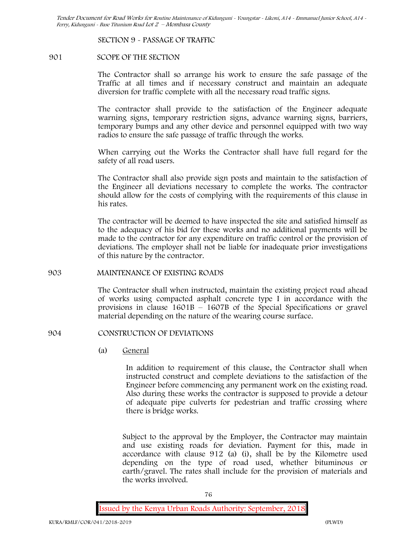**SECTION 9 - PASSAGE OF TRAFFIC**

# **901 SCOPE OF THE SECTION**

The Contractor shall so arrange his work to ensure the safe passage of the Traffic at all times and if necessary construct and maintain an adequate diversion for traffic complete with all the necessary road traffic signs.

The contractor shall provide to the satisfaction of the Engineer adequate warning signs, temporary restriction signs, advance warning signs, barriers, temporary bumps and any other device and personnel equipped with two way radios to ensure the safe passage of traffic through the works.

When carrying out the Works the Contractor shall have full regard for the safety of all road users.

The Contractor shall also provide sign posts and maintain to the satisfaction of the Engineer all deviations necessary to complete the works. The contractor should allow for the costs of complying with the requirements of this clause in his rates.

The contractor will be deemed to have inspected the site and satisfied himself as to the adequacy of his bid for these works and no additional payments will be made to the contractor for any expenditure on traffic control or the provision of deviations. The employer shall not be liable for inadequate prior investigations of this nature by the contractor.

# **903 MAINTENANCE OF EXISTING ROADS**

The Contractor shall when instructed, maintain the existing project road ahead of works using compacted asphalt concrete type I in accordance with the provisions in clause 1601B – 1607B of the Special Specifications or gravel material depending on the nature of the wearing course surface.

# **904 CONSTRUCTION OF DEVIATIONS**

(a) **General**

In addition to requirement of this clause, the Contractor shall when instructed construct and complete deviations to the satisfaction of the Engineer before commencing any permanent work on the existing road. Also during these works the contractor is supposed to provide a detour of adequate pipe culverts for pedestrian and traffic crossing where there is bridge works.

Subject to the approval by the Employer, the Contractor may maintain and use existing roads for deviation. Payment for this, made in accordance with clause 912 (a) (i), shall be by the Kilometre used depending on the type of road used, whether bituminous or earth/gravel. The rates shall include for the provision of materials and the works involved.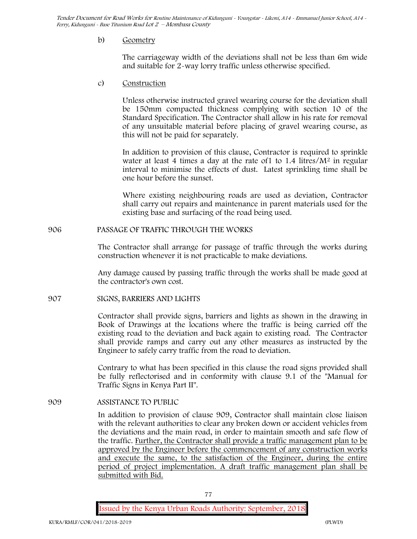## b) **Geometry**

The carriageway width of the deviations shall not be less than 6m wide and suitable for 2-way lorry traffic unless otherwise specified.

c) **Construction**

Unless otherwise instructed gravel wearing course for the deviation shall be 150mm compacted thickness complying with section 10 of the Standard Specification. The Contractor shall allow in his rate for removal of any unsuitable material before placing of gravel wearing course, as this will not be paid for separately.

In addition to provision of this clause, Contractor is required to sprinkle water at least 4 times a day at the rate of 1 to 1.4 litres/ $M^2$  in regular interval to minimise the effects of dust. Latest sprinkling time shall be one hour before the sunset.

Where existing neighbouring roads are used as deviation, Contractor shall carry out repairs and maintenance in parent materials used for the existing base and surfacing of the road being used.

## **906 PASSAGE OF TRAFFIC THROUGH THE WORKS**

The Contractor shall arrange for passage of traffic through the works during construction whenever it is not practicable to make deviations.

Any damage caused by passing traffic through the works shall be made good at the contractor's own cost.

# **907 SIGNS, BARRIERS AND LIGHTS**

Contractor shall provide signs, barriers and lights as shown in the drawing in Book of Drawings at the locations where the traffic is being carried off the existing road to the deviation and back again to existing road. The Contractor shall provide ramps and carry out any other measures as instructed by the Engineer to safely carry traffic from the road to deviation.

Contrary to what has been specified in this clause the road signs provided shall be fully reflectorised and in conformity with clause 9.1 of the "Manual for Traffic Signs in Kenya Part II".

**909 ASSISTANCE TO PUBLIC**

In addition to provision of clause 909, Contractor shall maintain close liaison with the relevant authorities to clear any broken down or accident vehicles from the deviations and the main road, in order to maintain smooth and safe flow of the traffic. Further, the Contractor shall provide a traffic management plan to be approved by the Engineer before the commencement of any construction works and execute the same, to the satisfaction of the Engineer, during the entire period of project implementation. A draft traffic management plan shall be submitted with Bid.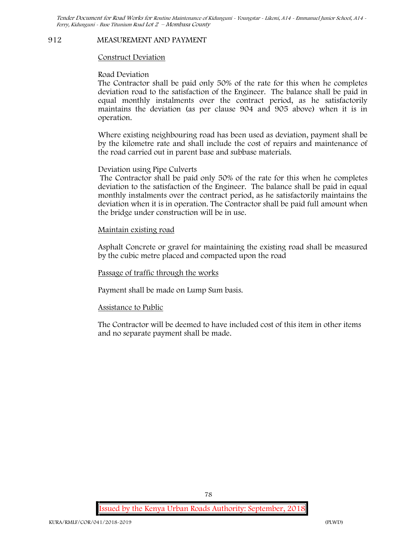#### **912 MEASUREMENT AND PAYMENT**

#### **Construct Deviation**

#### **Road Deviation**

The Contractor shall be paid only 50% of the rate for this when he completes deviation road to the satisfaction of the Engineer. The balance shall be paid in equal monthly instalments over the contract period, as he satisfactorily maintains the deviation (as per clause 904 and 905 above) when it is in operation.

Where existing neighbouring road has been used as deviation, payment shall be by the kilometre rate and shall include the cost of repairs and maintenance of the road carried out in parent base and subbase materials.

#### **Deviation using Pipe Culverts**

The Contractor shall be paid only 50% of the rate for this when he completes deviation to the satisfaction of the Engineer. The balance shall be paid in equal monthly instalments over the contract period, as he satisfactorily maintains the deviation when it is in operation. The Contractor shall be paid full amount when the bridge under construction will be in use.

## **Maintain existing road**

Asphalt Concrete or gravel for maintaining the existing road shall be measured by the cubic metre placed and compacted upon the road

#### **Passage of traffic through the works**

Payment shall be made on Lump Sum basis.

#### **Assistance to Public**

The Contractor will be deemed to have included cost of this item in other items and no separate payment shall be made.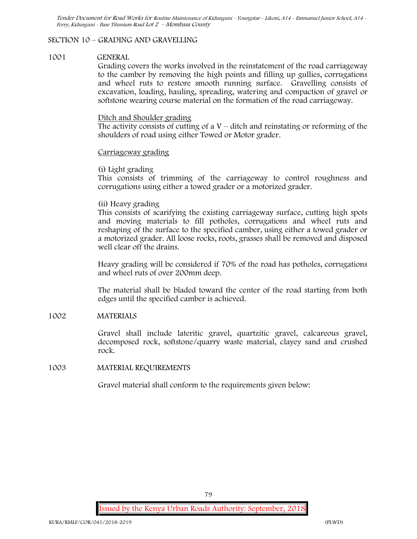# **SECTION 10 – GRADING AND GRAVELLING**

#### **1001 GENERAL**

Grading covers the works involved in the reinstatement of the road carriageway to the camber by removing the high points and filling up gullies, corrugations and wheel ruts to restore smooth running surface. Gravelling consists of excavation, loading, hauling, spreading, watering and compaction of gravel or softstone wearing course material on the formation of the road carriageway.

### Ditch and Shoulder grading

The activity consists of cutting of a  $V$  – ditch and reinstating or reforming of the shoulders of road using either Towed or Motor grader.

## Carriageway grading

# **(i) Light grading**

This consists of trimming of the carriageway to control roughness and corrugations using either a towed grader or a motorized grader.

# **(ii) Heavy grading**

This consists of scarifying the existing carriageway surface, cutting high spots and moving materials to fill potholes, corrugations and wheel ruts and reshaping of the surface to the specified camber, using either a towed grader or a motorized grader. All loose rocks, roots, grasses shall be removed and disposed well clear off the drains.

Heavy grading will be considered if 70% of the road has potholes, corrugations and wheel ruts of over 200mm deep.

The material shall be bladed toward the center of the road starting from both edges until the specified camber is achieved.

# **1002 MATERIALS**

Gravel shall include lateritic gravel, quartzitic gravel, calcareous gravel, decomposed rock, softstone/quarry waste material, clayey sand and crushed rock.

# **1003 MATERIAL REQUIREMENTS**

Gravel material shall conform to the requirements given below:

79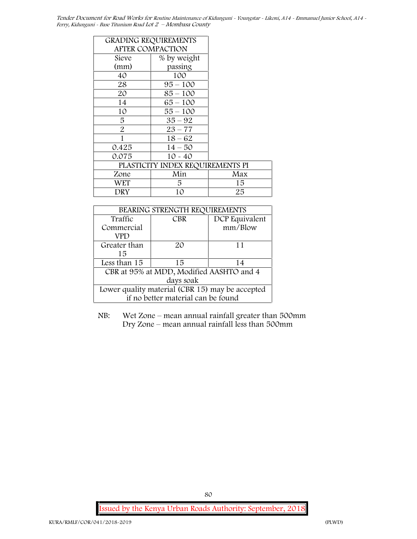| <b>GRADING REQUIREMENTS</b> |                                  |     |
|-----------------------------|----------------------------------|-----|
|                             | <b>AFTER COMPACTION</b>          |     |
| Sieve                       | % by weight                      |     |
| (mm)                        | passing                          |     |
| 40                          | 100                              |     |
| 28                          | $95 - 100$                       |     |
| 20                          | $85 - 100$                       |     |
| 14                          | $65 - 100$                       |     |
| 10                          | $55 - 100$                       |     |
| 5                           | $35 - 92$                        |     |
| $\overline{2}$              | $23 - 77$                        |     |
| 1                           | $18 - 62$                        |     |
| 0.425                       | $14 - 50$                        |     |
| 0.075                       | $10 - 40$                        |     |
|                             | PLASTICITY INDEX REQUIREMENTS PI |     |
| Zone                        | Min                              | Max |
| WET                         | 5                                | 15  |
| DRY                         | 10                               | 25  |

| BEARING STRENGTH REQUIREMENTS                   |                                          |                |
|-------------------------------------------------|------------------------------------------|----------------|
| Traffic                                         | <b>CBR</b>                               | DCP Equivalent |
| Commercial                                      |                                          | mm/Blow        |
| VPD                                             |                                          |                |
| Greater than                                    | 20                                       | 11             |
| 15                                              |                                          |                |
| Less than 15                                    | 15                                       | 14             |
|                                                 | CBR at 95% at MDD, Modified AASHTO and 4 |                |
| days soak                                       |                                          |                |
| Lower quality material (CBR 15) may be accepted |                                          |                |
| if no better material can be found              |                                          |                |

NB: Wet Zone – mean annual rainfall greater than 500mm Dry Zone – mean annual rainfall less than 500mm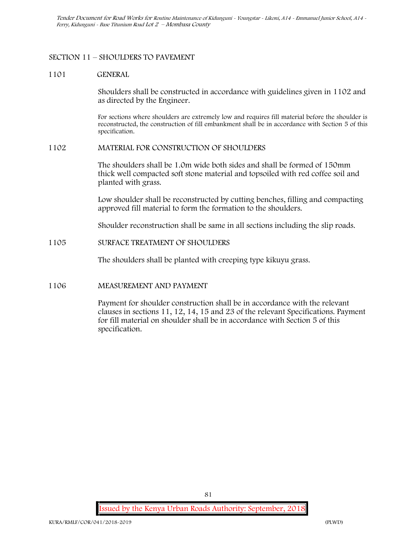# **SECTION 11 – SHOULDERS TO PAVEMENT**

## **1101 GENERAL**

Shoulders shall be constructed in accordance with guidelines given in 1102 and as directed by the Engineer.

For sections where shoulders are extremely low and requires fill material before the shoulder is reconstructed, the construction of fill embankment shall be in accordance with Section 5 of this specification.

## **1102 MATERIAL FOR CONSTRUCTION OF SHOULDERS**

The shoulders shall be 1.0m wide both sides and shall be formed of 150mm thick well compacted soft stone material and topsoiled with red coffee soil and planted with grass.

Low shoulder shall be reconstructed by cutting benches, filling and compacting approved fill material to form the formation to the shoulders.

Shoulder reconstruction shall be same in all sections including the slip roads.

# **1105 SURFACE TREATMENT OF SHOULDERS**

The shoulders shall be planted with creeping type kikuyu grass.

# **1106 MEASUREMENT AND PAYMENT**

Payment for shoulder construction shall be in accordance with the relevant clauses in sections 11, 12, 14, 15 and 23 of the relevant Specifications. Payment for fill material on shoulder shall be in accordance with Section 5 of this specification.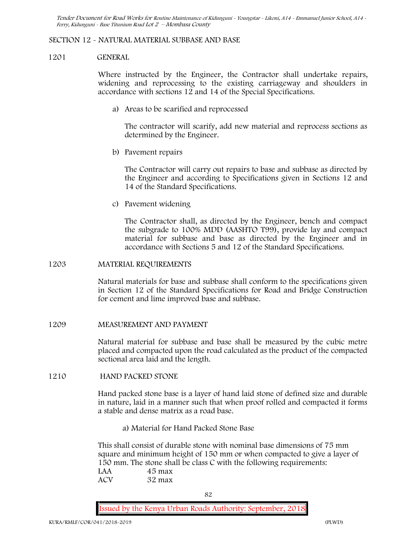## **SECTION 12 - NATURAL MATERIAL SUBBASE AND BASE**

#### **1201 GENERAL**

Where instructed by the Engineer, the Contractor shall undertake repairs, widening and reprocessing to the existing carriageway and shoulders in accordance with sections 12 and 14 of the Special Specifications.

**a) Areas to be scarified and reprocessed**

The contractor will scarify, add new material and reprocess sections as determined by the Engineer.

**b) Pavement repairs**

The Contractor will carry out repairs to base and subbase as directed by the Engineer and according to Specifications given in Sections 12 and 14 of the Standard Specifications.

**c) Pavement widening**

The Contractor shall, as directed by the Engineer, bench and compact the subgrade to 100% MDD (AASHTO T99), provide lay and compact material for subbase and base as directed by the Engineer and in accordance with Sections 5 and 12 of the Standard Specifications.

#### **1203 MATERIAL REQUIREMENTS**

Natural materials for base and subbase shall conform to the specifications given in Section 12 of the Standard Specifications for Road and Bridge Construction for cement and lime improved base and subbase.

#### **1209 MEASUREMENT AND PAYMENT**

Natural material for subbase and base shall be measured by the cubic metre placed and compacted upon the road calculated as the product of the compacted sectional area laid and the length.

## **1210 HAND PACKED STONE**

Hand packed stone base is a layer of hand laid stone of defined size and durable in nature, laid in a manner such that when proof rolled and compacted it forms a stable and dense matrix as a road base.

**a) Material for Hand Packed Stone Base**

This shall consist of durable stone with nominal base dimensions of 75 mm square and minimum height of 150 mm or when compacted to give a layer of 150 mm. The stone shall be class C with the following requirements: **LAA 45 max ACV 32 max**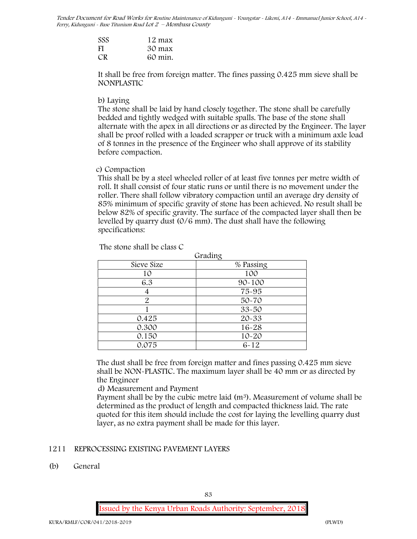| SSS | 12 max  |  |
|-----|---------|--|
| FI  | 30 max  |  |
| CR  | 60 min. |  |

It shall be free from foreign matter. The fines passing 0.425 mm sieve shall be **NONPLASTIC**

### **b) Laying**

The stone shall be laid by hand closely together. The stone shall be carefully bedded and tightly wedged with suitable spalls. The base of the stone shall alternate with the apex in all directions or as directed by the Engineer. The layer shall be proof rolled with a loaded scrapper or truck with a minimum axle load of 8 tonnes in the presence of the Engineer who shall approve of its stability before compaction.

## **c) Compaction**

This shall be by a steel wheeled roller of at least five tonnes per metre width of roll. It shall consist of four static runs or until there is no movement under the roller. There shall follow vibratory compaction until an average dry density of 85% minimum of specific gravity of stone has been achieved. No result shall be below 82% of specific gravity. The surface of the compacted layer shall then be levelled by quarry dust (0/6 mm). The dust shall have the following specifications:

The stone shall be class C

|            | Grading    |
|------------|------------|
| Sieve Size | % Passing  |
| 10         | 100        |
| 6.3        | $90 - 100$ |
|            | 75-95      |
| 2          | 50-70      |
|            | $33 - 50$  |
| 0.425      | 20-33      |
| 0.300      | 16-28      |
| 0.150      | $10 - 20$  |
| 0.075      | $6 - 12$   |

The dust shall be free from foreign matter and fines passing 0.425 mm sieve shall be **NON-PLASTIC**. The maximum layer shall be 40 mm or as directed by the Engineer

**d) Measurement and Payment**

Payment shall be by the cubic metre laid (m3). Measurement of volume shall be determined as the product of length and compacted thickness laid. The rate quoted for this item should include the cost for laying the levelling quarry dust layer, as no extra payment shall be made for this layer.

# **1211 REPROCESSING EXISTING PAVEMENT LAYERS**

#### **(b) General**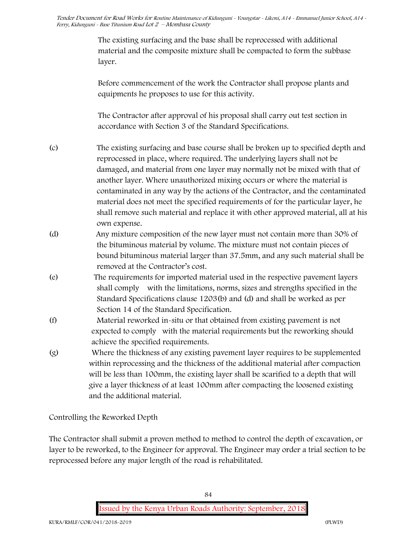The existing surfacing and the base shall be reprocessed with additional material and the composite mixture shall be compacted to form the subbase layer.

Before commencement of the work the Contractor shall propose plants and equipments he proposes to use for this activity.

The Contractor after approval of his proposal shall carry out test section in accordance with Section 3 of the Standard Specifications.

- (c) The existing surfacing and base course shall be broken up to specified depth and reprocessed in place, where required. The underlying layers shall not be damaged, and material from one layer may normally not be mixed with that of another layer. Where unauthorized mixing occurs or where the material is contaminated in any way by the actions of the Contractor, and the contaminated material does not meet the specified requirements of for the particular layer, he shall remove such material and replace it with other approved material, all at his own expense.
- (d) Any mixture composition of the new layer must not contain more than 30% of the bituminous material by volume. The mixture must not contain pieces of bound bituminous material larger than 37.5mm, and any such material shall be removed at the Contractor's cost.
- (e) The requirements for imported material used in the respective pavement layers shall comply with the limitations, norms, sizes and strengths specified in the Standard Specifications clause 1203(b) and (d) and shall be worked as per Section 14 of the Standard Specification.
- (f) Material reworked in-situ or that obtained from existing pavement is not expected to comply with the material requirements but the reworking should achieve the specified requirements.
- (g) Where the thickness of any existing pavement layer requires to be supplemented within reprocessing and the thickness of the additional material after compaction will be less than 100mm, the existing layer shall be scarified to a depth that will give a layer thickness of at least 100mm after compacting the loosened existing and the additional material.

**Controlling the Reworked Depth**

The Contractor shall submit a proven method to method to control the depth of excavation, or layer to be reworked, to the Engineer for approval. The Engineer may order a trial section to be reprocessed before any major length of the road is rehabilitated.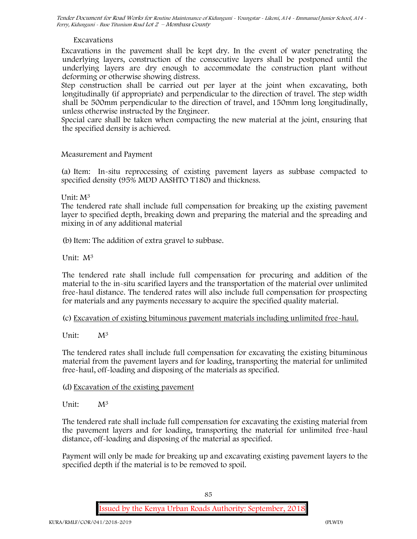# **Excavations**

Excavations in the pavement shall be kept dry. In the event of water penetrating the underlying layers, construction of the consecutive layers shall be postponed until the underlying layers are dry enough to accommodate the construction plant without deforming or otherwise showing distress.

Step construction shall be carried out per layer at the joint when excavating, both longitudinally (if appropriate) and perpendicular to the direction of travel. The step width shall be 500mm perpendicular to the direction of travel, and 150mm long longitudinally, unless otherwise instructed by the Engineer.

Special care shall be taken when compacting the new material at the joint, ensuring that the specified density is achieved.

# **Measurement and Payment**

(a) Item: In-situ reprocessing of existing pavement layers as subbase compacted to specified density (95% MDD AASHTO T180) and thickness.

Unit: M<sup>3</sup>

The tendered rate shall include full compensation for breaking up the existing pavement layer to specified depth, breaking down and preparing the material and the spreading and mixing in of any additional material

(b)Item: The addition of extra gravel to subbase.

Unit: M<sup>3</sup>

The tendered rate shall include full compensation for procuring and addition of the material to the in-situ scarified layers and the transportation of the material over unlimited free-haul distance. The tendered rates will also include full compensation for prospecting for materials and any payments necessary to acquire the specified quality material.

(c) Excavation of existing bituminous pavement materials including unlimited free-haul.

Unit:  $M^3$ 

The tendered rates shall include full compensation for excavating the existing bituminous material from the pavement layers and for loading, transporting the material for unlimited free-haul, off-loading and disposing of the materials as specified.

# (d) Excavation of the existing pavement

Unit: M<sup>3</sup>

The tendered rate shall include full compensation for excavating the existing material from the pavement layers and for loading, transporting the material for unlimited free-haul distance, off-loading and disposing of the material as specified.

Payment will only be made for breaking up and excavating existing pavement layers to the specified depth if the material is to be removed to spoil.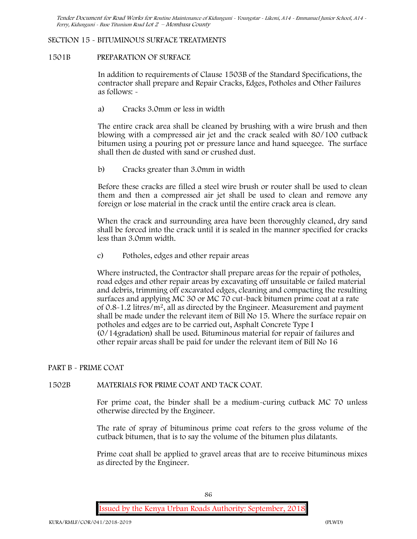## **SECTION 15 - BITUMINOUS SURFACE TREATMENTS**

## **1501B PREPARATION OF SURFACE**

In addition to requirements of Clause 1503B of the Standard Specifications, the contractor shall prepare and Repair Cracks, Edges, Potholes and Other Failures as follows: **-**

a) **Cracks 3.0mm or less in width**

The entire crack area shall be cleaned by brushing with a wire brush and then blowing with a compressed air jet and the crack sealed with 80/100 cutback bitumen using a pouring pot or pressure lance and hand squeegee. The surface shall then de dusted with sand or crushed dust.

b) **Cracks greater than 3.0mm in width**

Before these cracks are filled a steel wire brush or router shall be used to clean them and then a compressed air jet shall be used to clean and remove any foreign or lose material in the crack until the entire crack area is clean.

When the crack and surrounding area have been thoroughly cleaned, dry sand shall be forced into the crack until it is sealed in the manner specified for cracks less than 3.0mm width.

c) **Potholes, edges and other repair areas**

Where instructed, the Contractor shall prepare areas for the repair of potholes, road edges and other repair areas by excavating off unsuitable or failed material and debris, trimming off excavated edges, cleaning and compacting the resulting surfaces and applying MC 30 or MC 70 cut-back bitumen prime coat at a rate of 0.8-1.2 litres/m2, all as directed by the Engineer. Measurement and payment shall be made under the relevant item of Bill No 15. Where the surface repair on potholes and edges are to be carried out, Asphalt Concrete Type I (0/14gradation) shall be used. Bituminous material for repair of failures and other repair areas shall be paid for under the relevant item of Bill No 16

#### **PART B - PRIME COAT**

# **1502B MATERIALS FOR PRIME COAT AND TACK COAT.**

For prime coat, the binder shall be a medium-curing cutback MC 70 unless otherwise directed by the Engineer.

The rate of spray of bituminous prime coat refers to the gross volume of the cutback bitumen, that is to say the volume of the bitumen plus dilatants.

Prime coat shall be applied to gravel areas that are to receive bituminous mixes as directed by the Engineer.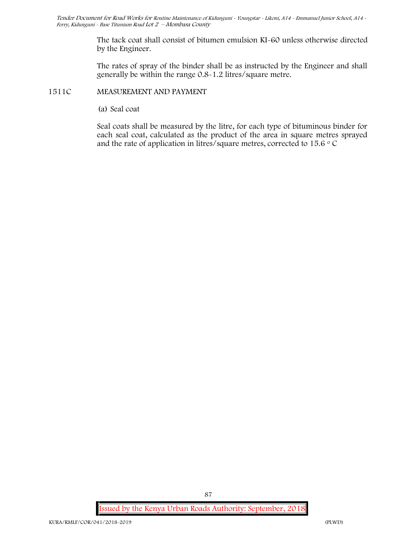The tack coat shall consist of bitumen emulsion KI-60 unless otherwise directed by the Engineer.

The rates of spray of the binder shall be as instructed by the Engineer and shall generally be within the range 0.8-1.2 litres/square metre.

# **1511C MEASUREMENT AND PAYMENT**

(a) Seal coat

Seal coats shall be measured by the litre, for each type of bituminous binder for each seal coat, calculated as the product of the area in square metres sprayed and the rate of application in litres/square metres, corrected to 15.6  $\circ$  C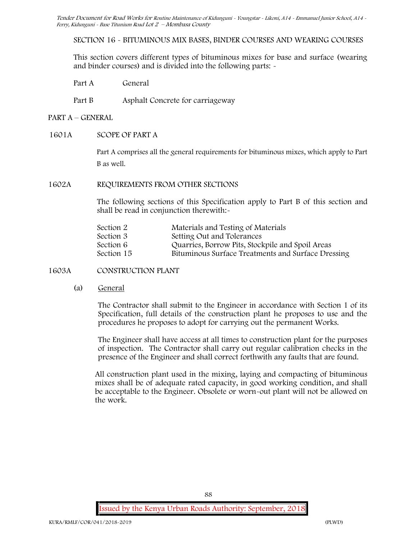**SECTION 16 - BITUMINOUS MIX BASES, BINDER COURSES AND WEARING COURSES**

This section covers different types of bituminous mixes for base and surface (wearing and binder courses) and is divided into the following parts: -

Part A General

Part B Asphalt Concrete for carriageway

- **PART A –GENERAL**
- **1601A SCOPE OF PART A**

Part A comprises all the general requirements for bituminous mixes, which apply to Part B as well.

## **1602A REQUIREMENTS FROM OTHER SECTIONS**

The following sections of this Specification apply to Part B of this section and shall be read in conjunction therewith:-

| Section 2  | Materials and Testing of Materials                 |  |
|------------|----------------------------------------------------|--|
| Section 3  | Setting Out and Tolerances                         |  |
| Section 6  | Quarries, Borrow Pits, Stockpile and Spoil Areas   |  |
| Section 15 | Bituminous Surface Treatments and Surface Dressing |  |
|            |                                                    |  |

**1603A CONSTRUCTION PLANT**

(a) **General**

The Contractor shall submit to the Engineer in accordance with Section 1 of its Specification, full details of the construction plant he proposes to use and the procedures he proposes to adopt for carrying out the permanent Works.

The Engineer shall have access at all times to construction plant for the purposes of inspection. The Contractor shall carry out regular calibration checks in the presence of the Engineer and shall correct forthwith any faults that are found.

All construction plant used in the mixing, laying and compacting of bituminous mixes shall be of adequate rated capacity, in good working condition, and shall be acceptable to the Engineer. Obsolete or worn-out plant will not be allowed on the work.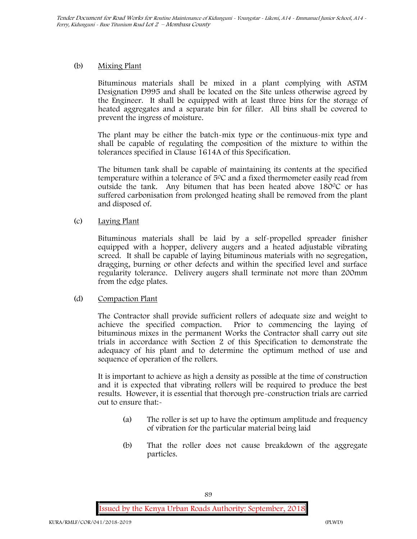# (b) **Mixing Plant**

Bituminous materials shall be mixed in a plant complying with ASTM Designation D995 and shall be located on the Site unless otherwise agreed by the Engineer. It shall be equipped with at least three bins for the storage of heated aggregates and a separate bin for filler. All bins shall be covered to prevent the ingress of moisture.

The plant may be either the batch-mix type or the continuous-mix type and shall be capable of regulating the composition of the mixture to within the tolerances specified in Clause 1614A of this Specification.

The bitumen tank shall be capable of maintaining its contents at the specified temperature within a tolerance of  $5^{\circ}$ C and a fixed thermometer easily read from outside the tank. Any bitumen that has been heated above  $180^{\circ}$ C or has suffered carbonisation from prolonged heating shall be removed from the plant and disposed of.

# (c) **Laying Plant**

Bituminous materials shall be laid by a self-propelled spreader finisher equipped with a hopper, delivery augers and a heated adjustable vibrating screed. It shall be capable of laying bituminous materials with no segregation, dragging, burning or other defects and within the specified level and surface regularity tolerance. Delivery augers shall terminate not more than 200mm from the edge plates.

# (d) **Compaction Plant**

The Contractor shall provide sufficient rollers of adequate size and weight to achieve the specified compaction. Prior to commencing the laying of bituminous mixes in the permanent Works the Contractor shall carry out site trials in accordance with Section 2 of this Specification to demonstrate the adequacy of his plant and to determine the optimum method of use and sequence of operation of the rollers.

It is important to achieve as high a density as possible at the time of construction and it is expected that vibrating rollers will be required to produce the best results. However, it is essential that thorough pre-construction trials are carried out to ensure that:-

- (a) The roller is set up to have the optimum amplitude and frequency of vibration for the particular material being laid
- (b) That the roller does not cause breakdown of the aggregate particles.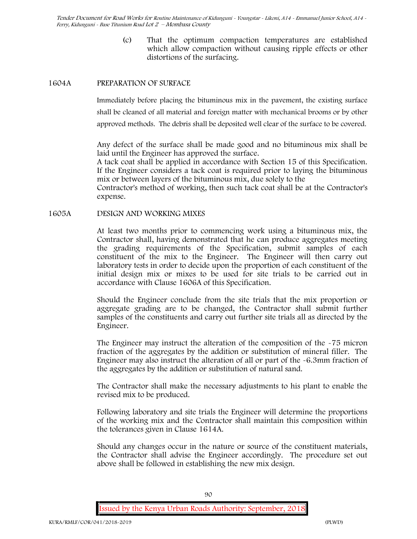> (c) That the optimum compaction temperatures are established which allow compaction without causing ripple effects or other distortions of the surfacing.

## **1604A PREPARATION OF SURFACE**

Immediately before placing the bituminous mix in the pavement, the existing surface shall be cleaned of all material and foreign matter with mechanical brooms or by other approved methods. The debris shall be deposited well clear of the surface to be covered.

Any defect of the surface shall be made good and no bituminous mix shall be laid until the Engineer has approved the surface.

A tack coat shall be applied in accordance with Section 15 of this Specification. If the Engineer considers a tack coat is required prior to laying the bituminous mix or between layers of the bituminous mix, due solely to the

Contractor's method of working, then such tack coat shall be at the Contractor's expense.

## **1605A DESIGN AND WORKING MIXES**

At least two months prior to commencing work using a bituminous mix, the Contractor shall, having demonstrated that he can produce aggregates meeting the grading requirements of the Specification, submit samples of each constituent of the mix to the Engineer. The Engineer will then carry out laboratory tests in order to decide upon the proportion of each constituent of the initial design mix or mixes to be used for site trials to be carried out in accordance with Clause 1606A of this Specification.

Should the Engineer conclude from the site trials that the mix proportion or aggregate grading are to be changed, the Contractor shall submit further samples of the constituents and carry out further site trials all as directed by the Engineer.

The Engineer may instruct the alteration of the composition of the -75 micron fraction of the aggregates by the addition or substitution of mineral filler. The Engineer may also instruct the alteration of all or part of the -6.3mm fraction of the aggregates by the addition or substitution of natural sand.

The Contractor shall make the necessary adjustments to his plant to enable the revised mix to be produced.

Following laboratory and site trials the Engineer will determine the proportions of the working mix and the Contractor shall maintain this composition within the tolerances given in Clause 1614A.

Should any changes occur in the nature or source of the constituent materials, the Contractor shall advise the Engineer accordingly. The procedure set out above shall be followed in establishing the new mix design.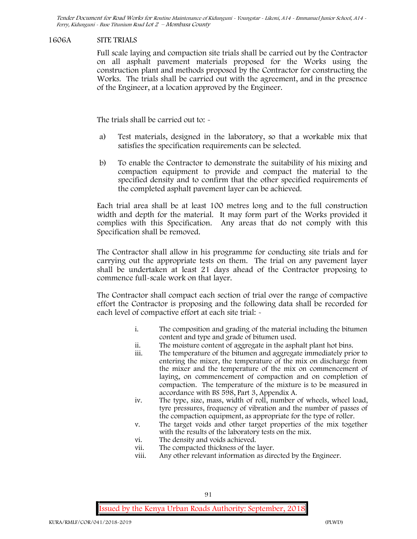## **1606A SITE TRIALS**

Full scale laying and compaction site trials shall be carried out by the Contractor on all asphalt pavement materials proposed for the Works using the construction plant and methods proposed by the Contractor for constructing the Works. The trials shall be carried out with the agreement, and in the presence of the Engineer, at a location approved by the Engineer.

The trials shall be carried out to:  $\sim$ 

- a) Test materials, designed in the laboratory, so that a workable mix that satisfies the specification requirements can be selected.
- b) To enable the Contractor to demonstrate the suitability of his mixing and compaction equipment to provide and compact the material to the specified density and to confirm that the other specified requirements of the completed asphalt pavement layer can be achieved.

Each trial area shall be at least 100 metres long and to the full construction width and depth for the material. It may form part of the Works provided it complies with this Specification. Any areas that do not comply with this Specification shall be removed.

The Contractor shall allow in his programme for conducting site trials and for carrying out the appropriate tests on them. The trial on any pavement layer shall be undertaken at least 21 days ahead of the Contractor proposing to commence full-scale work on that layer.

The Contractor shall compact each section of trial over the range of compactive effort the Contractor is proposing and the following data shall be recorded for each level of compactive effort at each site trial:  $\sim$ 

- i. The composition and grading of the material including the bitumen content and type and grade of bitumen used.
- ii. The moisture content of aggregate in the asphalt plant hot bins.
- iii. The temperature of the bitumen and aggregate immediately prior to entering the mixer, the temperature of the mix on discharge from the mixer and the temperature of the mix on commencement of laying, on commencement of compaction and on completion of compaction. The temperature of the mixture is to be measured in accordance with BS 598, Part 3, Appendix A.
- iv. The type, size, mass, width of roll, number of wheels, wheel load, tyre pressures, frequency of vibration and the number of passes of the compaction equipment, as appropriate for the type of roller.
- v. The target voids and other target properties of the mix together with the results of the laboratory tests on the mix.
- vi. The density and voids achieved.
- vii. The compacted thickness of the layer.
- viii. Any other relevant information as directed by the Engineer.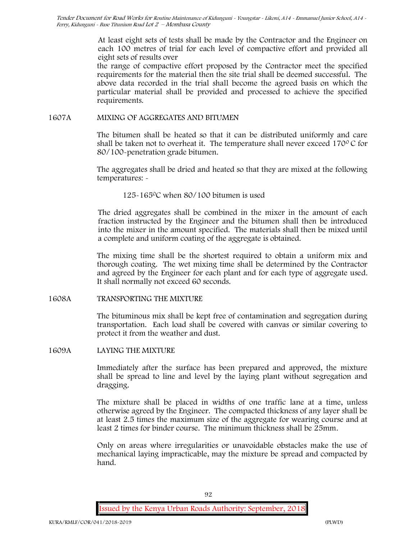At least eight sets of tests shall be made by the Contractor and the Engineer on each 100 metres of trial for each level of compactive effort and provided all eight sets of results over

the range of compactive effort proposed by the Contractor meet the specified requirements for the material then the site trial shall be deemed successful. The above data recorded in the trial shall become the agreed basis on which the particular material shall be provided and processed to achieve the specified requirements.

# **1607A MIXING OF AGGREGATES AND BITUMEN**

The bitumen shall be heated so that it can be distributed uniformly and care shall be taken not to overheat it. The temperature shall never exceed  $170^{\circ}$ C for 80/100-penetration grade bitumen.

The aggregates shall be dried and heated so that they are mixed at the following temperatures: -

125-1650C when 80/100 bitumen is used

The dried aggregates shall be combined in the mixer in the amount of each fraction instructed by the Engineer and the bitumen shall then be introduced into the mixer in the amount specified. The materials shall then be mixed until a complete and uniform coating of the aggregate is obtained.

The mixing time shall be the shortest required to obtain a uniform mix and thorough coating. The wet mixing time shall be determined by the Contractor and agreed by the Engineer for each plant and for each type of aggregate used. It shall normally not exceed 60 seconds.

**1608A TRANSPORTING THE MIXTURE**

The bituminous mix shall be kept free of contamination and segregation during transportation. Each load shall be covered with canvas or similar covering to protect it from the weather and dust.

**1609A LAYING THE MIXTURE**

Immediately after the surface has been prepared and approved, the mixture shall be spread to line and level by the laying plant without segregation and dragging.

The mixture shall be placed in widths of one traffic lane at a time, unless otherwise agreed by the Engineer. The compacted thickness of any layer shall be at least 2.5 times the maximum size of the aggregate for wearing course and at least 2 times for binder course. The minimum thickness shall be 25mm.

Only on areas where irregularities or unavoidable obstacles make the use of mechanical laying impracticable, may the mixture be spread and compacted by hand.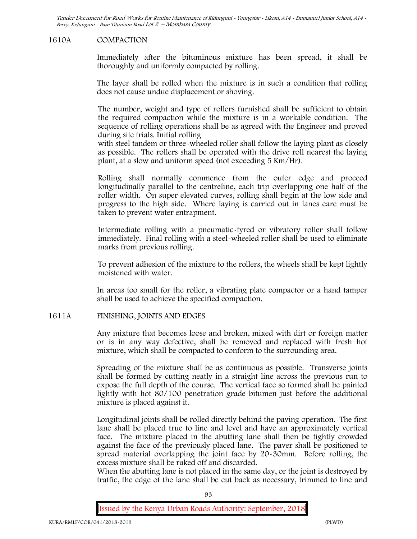## **1610A COMPACTION**

Immediately after the bituminous mixture has been spread, it shall be thoroughly and uniformly compacted by rolling.

The layer shall be rolled when the mixture is in such a condition that rolling does not cause undue displacement or shoving.

The number, weight and type of rollers furnished shall be sufficient to obtain the required compaction while the mixture is in a workable condition. The sequence of rolling operations shall be as agreed with the Engineer and proved during site trials. Initial rolling

with steel tandem or three-wheeled roller shall follow the laying plant as closely as possible. The rollers shall be operated with the drive roll nearest the laying plant, at a slow and uniform speed (not exceeding 5 Km/Hr).

Rolling shall normally commence from the outer edge and proceed longitudinally parallel to the centreline, each trip overlapping one half of the roller width. On super elevated curves, rolling shall begin at the low side and progress to the high side. Where laying is carried out in lanes care must be taken to prevent water entrapment.

Intermediate rolling with a pneumatic-tyred or vibratory roller shall follow immediately. Final rolling with a steel-wheeled roller shall be used to eliminate marks from previous rolling.

To prevent adhesion of the mixture to the rollers, the wheels shall be kept lightly moistened with water.

In areas too small for the roller, a vibrating plate compactor or a hand tamper shall be used to achieve the specified compaction.

#### **1611A FINISHING, JOINTS AND EDGES**

Any mixture that becomes loose and broken, mixed with dirt or foreign matter or is in any way defective, shall be removed and replaced with fresh hot mixture, which shall be compacted to conform to the surrounding area.

Spreading of the mixture shall be as continuous as possible. Transverse joints shall be formed by cutting neatly in a straight line across the previous run to expose the full depth of the course. The vertical face so formed shall be painted lightly with hot 80/100 penetration grade bitumen just before the additional mixture is placed against it.

Longitudinal joints shall be rolled directly behind the paving operation. The first lane shall be placed true to line and level and have an approximately vertical face. The mixture placed in the abutting lane shall then be tightly crowded against the face of the previously placed lane. The paver shall be positioned to spread material overlapping the joint face by 20-30mm. Before rolling, the excess mixture shall be raked off and discarded.

When the abutting lane is not placed in the same day, or the joint is destroyed by traffic, the edge of the lane shall be cut back as necessary, trimmed to line and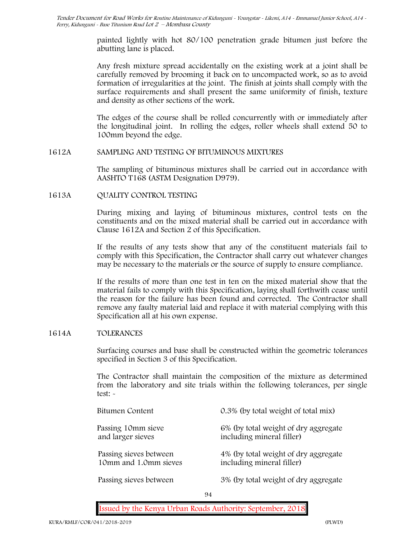painted lightly with hot 80/100 penetration grade bitumen just before the abutting lane is placed.

Any fresh mixture spread accidentally on the existing work at a joint shall be carefully removed by brooming it back on to uncompacted work, so as to avoid formation of irregularities at the joint. The finish at joints shall comply with the surface requirements and shall present the same uniformity of finish, texture and density as other sections of the work.

The edges of the course shall be rolled concurrently with or immediately after the longitudinal joint. In rolling the edges, roller wheels shall extend 50 to 100mm beyond the edge.

## **1612A SAMPLING AND TESTING OF BITUMINOUS MIXTURES**

The sampling of bituminous mixtures shall be carried out in accordance with AASHTO T168 (ASTM Designation D979).

# **1613A QUALITY CONTROL TESTING**

During mixing and laying of bituminous mixtures, control tests on the constituents and on the mixed material shall be carried out in accordance with Clause 1612A and Section 2 of this Specification.

If the results of any tests show that any of the constituent materials fail to comply with this Specification, the Contractor shall carry out whatever changes may be necessary to the materials or the source of supply to ensure compliance.

If the results of more than one test in ten on the mixed material show that the material fails to comply with this Specification, laying shall forthwith cease until the reason for the failure has been found and corrected. The Contractor shall remove any faulty material laid and replace it with material complying with this Specification all at his own expense.

# **1614A TOLERANCES**

Surfacing courses and base shall be constructed within the geometric tolerances specified in Section 3 of this Specification.

The Contractor shall maintain the composition of the mixture as determined from the laboratory and site trials within the following tolerances, per single test: -

| Bitumen Content                                 |          | 0.3% (by total weight of total mix)                               |
|-------------------------------------------------|----------|-------------------------------------------------------------------|
| Passing 10mm sieve<br>and larger sieves         |          | 6% (by total weight of dry aggregate<br>including mineral filler) |
| Passing sieves between<br>10mm and 1.0mm sieves |          | 4% (by total weight of dry aggregate<br>including mineral filler) |
| Passing sieves between                          |          | 3% (by total weight of dry aggregate                              |
|                                                 | $\Omega$ |                                                                   |

94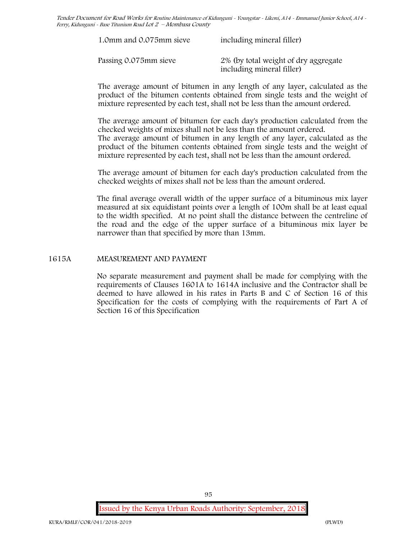| 1.0mm and 0.075mm sieve | including mineral filler)                                         |
|-------------------------|-------------------------------------------------------------------|
| Passing 0.075mm sieve   | 2% (by total weight of dry aggregate<br>including mineral filler) |

The average amount of bitumen in any length of any layer, calculated as the product of the bitumen contents obtained from single tests and the weight of mixture represented by each test, shall not be less than the amount ordered.

The average amount of bitumen for each day's production calculated from the checked weights of mixes shall not be less than the amount ordered. The average amount of bitumen in any length of any layer, calculated as the product of the bitumen contents obtained from single tests and the weight of mixture represented by each test, shall not be less than the amount ordered.

The average amount of bitumen for each day's production calculated from the checked weights of mixes shall not be less than the amount ordered.

The final average overall width of the upper surface of a bituminous mix layer measured at six equidistant points over a length of 100m shall be at least equal to the width specified. At no point shall the distance between the centreline of the road and the edge of the upper surface of a bituminous mix layer be narrower than that specified by more than 13mm.

## **1615A MEASUREMENT AND PAYMENT**

No separate measurement and payment shall be made for complying with the requirements of Clauses 1601A to 1614A inclusive and the Contractor shall be deemed to have allowed in his rates in Parts B and C of Section 16 of this Specification for the costs of complying with the requirements of Part A of Section 16 of this Specification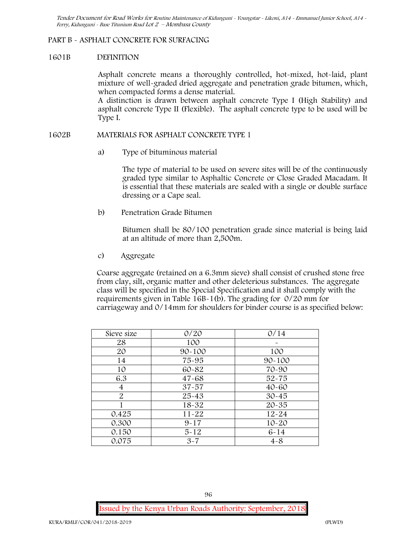### **PART B - ASPHALT CONCRETE FOR SURFACING**

#### **1601B DEFINITION**

Asphalt concrete means a thoroughly controlled, hot-mixed, hot-laid, plant mixture of well-graded dried aggregate and penetration grade bitumen, which, when compacted forms a dense material.

A distinction is drawn between asphalt concrete Type I (High Stability) and asphalt concrete Type II (Flexible). The asphalt concrete type to be used will be Type I.

## **1602B MATERIALS FOR ASPHALT CONCRETE TYPE 1**

a) **Type of bituminous material**

The type of material to be used on severe sites will be of the continuously graded type similar to Asphaltic Concrete or Close Graded Macadam. It is essential that these materials are sealed with a single or double surface dressing or a Cape seal.

b) **Penetration Grade Bitumen**

Bitumen shall be 80/100 penetration grade since material is being laid at an altitude of more than 2,500m.

c) **Aggregate**

Coarse aggregate (retained on a 6.3mm sieve) shall consist of crushed stone free from clay, silt, organic matter and other deleterious substances. The aggregate class will be specified in the Special Specification and it shall comply with the requirements given in Table 16B-1(b). The grading for 0/20 mm for carriageway and 0/14mm for shoulders for binder course is as specified below:

| Sieve size     | 0/20       | 0/14       |
|----------------|------------|------------|
| 28             | 100        |            |
| 20             | $90 - 100$ | 100        |
| 14             | 75-95      | $90 - 100$ |
| 10             | 60-82      | 70-90      |
| 6.3            | $47 - 68$  | $52 - 75$  |
| 4              | $37 - 57$  | $40 - 60$  |
| $\overline{2}$ | 25-43      | $30 - 45$  |
|                | 18-32      | $20 - 35$  |
| 0.425          | $11 - 22$  | $12 - 24$  |
| 0.300          | $9 - 17$   | $10 - 20$  |
| 0.150          | $5 - 12$   | $6 - 14$   |
| 0.075          | $3 - 7$    | $4 - 8$    |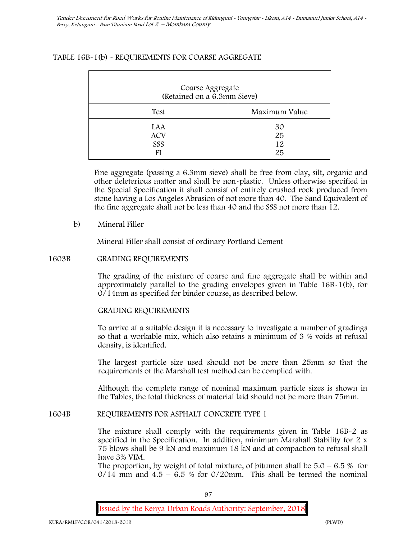# **TABLE 16B-1(b) - REQUIREMENTS FOR COARSE AGGREGATE**

| Coarse Aggregate<br>(Retained on a 6.3mm Sieve) |                      |
|-------------------------------------------------|----------------------|
| Test                                            | Maximum Value        |
| <b>LAA</b><br><b>ACV</b><br>SSS                 | 30<br>25<br>12<br>25 |

Fine aggregate (passing a 6.3mm sieve) shall be free from clay, silt, organic and other deleterious matter and shall be non-plastic. Unless otherwise specified in the Special Specification it shall consist of entirely crushed rock produced from stone having a Los Angeles Abrasion of not more than 40. The Sand Equivalent of the fine aggregate shall not be less than 40 and the SSS not more than 12.

# **b) Mineral Filler**

Mineral Filler shall consist of ordinary Portland Cement

# **1603B GRADING REQUIREMENTS**

The grading of the mixture of coarse and fine aggregate shall be within and approximately parallel to the grading envelopes given in Table 16B-1(b), for 0/14mm as specified for binder course, as described below.

# **GRADING REQUIREMENTS**

To arrive at a suitable design it is necessary to investigate a number of gradings so that a workable mix, which also retains a minimum of 3 % voids at refusal density, is identified.

The largest particle size used should not be more than 25mm so that the requirements of the Marshall test method can be complied with.

Although the complete range of nominal maximum particle sizes is shown in the Tables, the total thickness of material laid should not be more than 75mm.

# **1604B REQUIREMENTS FOR ASPHALT CONCRETE TYPE 1**

The mixture shall comply with the requirements given in Table 16B-2 as specified in the Specification. In addition, minimum Marshall Stability for 2 x 75 blows shall be 9 kN and maximum 18 kN and at compaction to refusal shall have 3% VIM.

The proportion, by weight of total mixture, of bitumen shall be  $5.0 - 6.5 %$  for  $0/14$  mm and  $4.5 - 6.5$  % for  $0/20$ mm. This shall be termed the nominal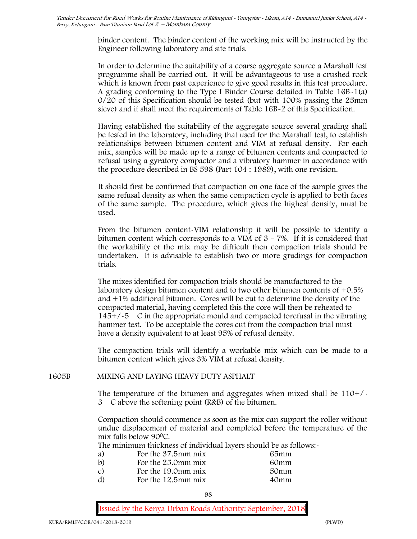binder content. The binder content of the working mix will be instructed by the Engineer following laboratory and site trials.

In order to determine the suitability of a coarse aggregate source a Marshall test programme shall be carried out. It will be advantageous to use a crushed rock which is known from past experience to give good results in this test procedure. A grading conforming to the Type I Binder Course detailed in Table 16B-1(a) 0/20 of this Specification should be tested (but with 100% passing the 25mm sieve) and it shall meet the requirements of Table 16B-2 of this Specification.

Having established the suitability of the aggregate source several grading shall be tested in the laboratory, including that used for the Marshall test, to establish relationships between bitumen content and VIM at refusal density. For each mix, samples will be made up to a range of bitumen contents and compacted to refusal using a gyratory compactor and a vibratory hammer in accordance with the procedure described in BS 598 (Part 104 : 1989), with one revision.

It should first be confirmed that compaction on one face of the sample gives the same refusal density as when the same compaction cycle is applied to both faces of the same sample. The procedure, which gives the highest density, must be used.

From the bitumen content-VIM relationship it will be possible to identify a bitumen content which corresponds to a VIM of 3 - 7%. If it is considered that the workability of the mix may be difficult then compaction trials should be undertaken. It is advisable to establish two or more gradings for compaction trials.

The mixes identified for compaction trials should be manufactured to the laboratory design bitumen content and to two other bitumen contents of +0.5% and +1% additional bitumen. Cores will be cut to determine the density of the compacted material, having completed this the core will then be reheated to  $145+/5$  C in the appropriate mould and compacted torefusal in the vibrating hammer test. To be acceptable the cores cut from the compaction trial must have a density equivalent to at least 95% of refusal density.

The compaction trials will identify a workable mix which can be made to a bitumen content which gives 3% VIM at refusal density.

**1605B MIXING AND LAYING HEAVY DUTY ASPHALT**

The temperature of the bitumen and aggregates when mixed shall be  $110+/$ 3C above the softening point (R&B) of the bitumen.

Compaction should commence as soon as the mix can support the roller without undue displacement of material and completed before the temperature of the mix falls below 90 °C.

The minimum thickness of individual layers should be as follows:-

| a) | For the 37.5mm mix    | 65mm |  |
|----|-----------------------|------|--|
| b) | For the 25.0mm mix    | 60mm |  |
| C) | For the 19.0mm mix    | 50mm |  |
| d) | For the $12.5$ mm mix | 40mm |  |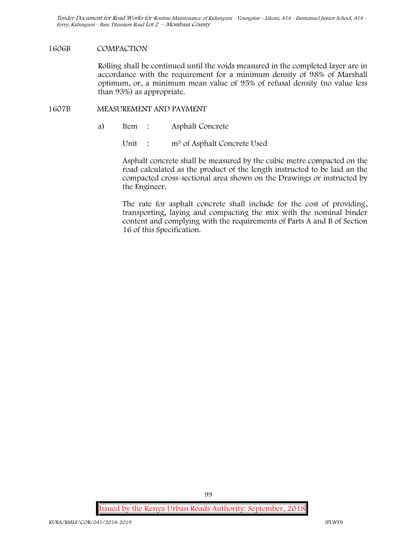### **1606B COMPACTION**

Rolling shall be continued until the voids measured in the completed layer are in accordance with the requirement for a minimum density of 98% of Marshall optimum, or, a minimum mean value of 95% of refusal density (no value less than 93%) as appropriate.

# **1607B MEASUREMENT AND PAYMENT**

- a) Item : Asphalt Concrete
	- Unit : m<sup>3</sup> of Asphalt Concrete Used

Asphalt concrete shall be measured by the cubic metre compacted on the road calculated as the product of the length instructed to be laid an the compacted cross-sectional area shown on the Drawings or instructed by the Engineer.

The rate for asphalt concrete shall include for the cost of providing, transporting, laying and compacting the mix with the nominal binder content and complying with the requirements of Parts A and B of Section 16 of this Specification.

**Issued by the Kenya Urban Roads Authority: September, 2018**

99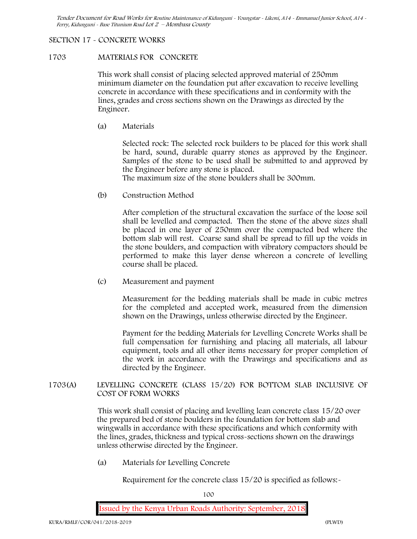## **SECTION 17 - CONCRETE WORKS**

### **1703 MATERIALS FOR CONCRETE**

This work shall consist of placing selected approved material of 250mm minimum diameter on the foundation put after excavation to receive levelling concrete in accordance with these specifications and in conformity with the lines, grades and cross sections shown on the Drawings as directed by the Engineer.

(a) **Materials**

Selected rock: The selected rock builders to be placed for this work shall be hard, sound, durable quarry stones as approved by the Engineer. Samples of the stone to be used shall be submitted to and approved by the Engineer before any stone is placed.

The maximum size of the stone boulders shall be 300mm.

(b) **Construction Method**

After completion of the structural excavation the surface of the loose soil shall be levelled and compacted. Then the stone of the above sizes shall be placed in one layer of 250mm over the compacted bed where the bottom slab will rest. Coarse sand shall be spread to fill up the voids in the stone boulders, and compaction with vibratory compactors should be performed to make this layer dense whereon a concrete of levelling course shall be placed.

(c) **Measurement and payment**

Measurement for the bedding materials shall be made in cubic metres for the completed and accepted work, measured from the dimension shown on the Drawings, unless otherwise directed by the Engineer.

Payment for the bedding Materials for Levelling Concrete Works shall be full compensation for furnishing and placing all materials, all labour equipment, tools and all other items necessary for proper completion of the work in accordance with the Drawings and specifications and as directed by the Engineer.

**1703(A) LEVELLING CONCRETE (CLASS 15/20) FOR BOTTOM SLAB INCLUSIVE OF COST OF FORM WORKS**

> This work shall consist of placing and levelling lean concrete class 15/20 over the prepared bed of stone boulders in the foundation for bottom slab and wingwalls in accordance with these specifications and which conformity with the lines, grades, thickness and typical cross-sections shown on the drawings unless otherwise directed by the Engineer.

(a) **Materials for Levelling Concrete**

Requirement for the concrete class  $15/20$  is specified as follows:-

100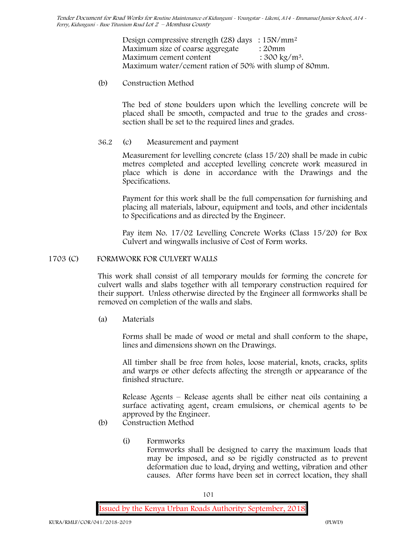Design compressive strength (28) days :  $15N/mm^2$ Maximum size of coarse aggregate : 20mm Maximum cement content  $: 300 \text{ kg/m}^3$ . Maximum water/cement ration of 50% with slump of 80mm.

(b) **Construction Method**

The bed of stone boulders upon which the levelling concrete will be placed shall be smooth, compacted and true to the grades and crosssection shall be set to the required lines and grades.

**36.2** (c) **Measurement and payment**

Measurement for levelling concrete (class 15/20) shall be made in cubic metres completed and accepted levelling concrete work measured in place which is done in accordance with the Drawings and the Specifications.

Payment for this work shall be the full compensation for furnishing and placing all materials, labour, equipment and tools, and other incidentals to Specifications and as directed by the Engineer.

Pay item No. 17/02 Levelling Concrete Works (Class 15/20) for Box Culvert and wingwalls inclusive of Cost of Form works.

# **1703 (C) FORMWORK FOR CULVERT WALLS**

This work shall consist of all temporary moulds for forming the concrete for culvert walls and slabs together with all temporary construction required for their support. Unless otherwise directed by the Engineer all formworks shall be removed on completion of the walls and slabs.

(a) **Materials**

Forms shall be made of wood or metal and shall conform to the shape, lines and dimensions shown on the Drawings.

All timber shall be free from holes, loose material, knots, cracks, splits and warps or other defects affecting the strength or appearance of the finished structure.

Release Agents – Release agents shall be either neat oils containing a surface activating agent, cream emulsions, or chemical agents to be approved by the Engineer.

- (b) **Construction Method**
	- (i) **Formworks** Formworks shall be designed to carry the maximum loads that may be imposed, and so be rigidly constructed as to prevent deformation due to load, drying and wetting, vibration and other causes. After forms have been set in correct location, they shall

101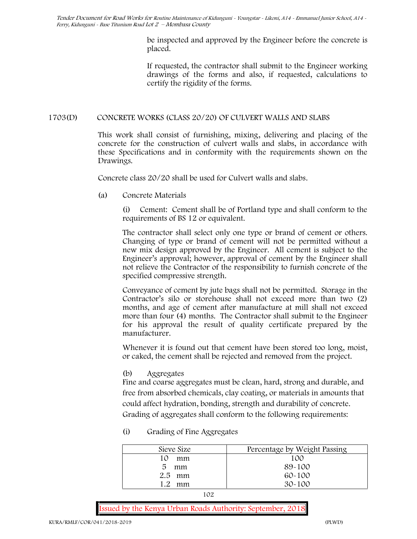> be inspected and approved by the Engineer before the concrete is placed.

> If requested, the contractor shall submit to the Engineer working drawings of the forms and also, if requested, calculations to certify the rigidity of the forms.

# **1703(D) CONCRETE WORKS (CLASS 20/20) OF CULVERT WALLS AND SLABS**

This work shall consist of furnishing, mixing, delivering and placing of the concrete for the construction of culvert walls and slabs, in accordance with these Specifications and in conformity with the requirements shown on the Drawings.

Concrete class 20/20 shall be used for Culvert walls and slabs.

**(a) Concrete Materials**

(i) Cement: Cement shall be of Portland type and shall conform to the requirements of BS 12 or equivalent.

The contractor shall select only one type or brand of cement or others. Changing of type or brand of cement will not be permitted without a new mix design approved by the Engineer. All cement is subject to the Engineer's approval; however, approval of cement by the Engineer shall not relieve the Contractor of the responsibility to furnish concrete of the specified compressive strength.

Conveyance of cement by jute bags shall not be permitted. Storage in the Contractor's silo or storehouse shall not exceed more than two (2) months, and age of cement after manufacture at mill shall not exceed more than four (4) months. The Contractor shall submit to the Engineer for his approval the result of quality certificate prepared by the manufacturer.

Whenever it is found out that cement have been stored too long, moist, or caked, the cement shall be rejected and removed from the project.

# **(b) Aggregates**

Fine and coarse aggregates must be clean, hard, strong and durable, and free from absorbed chemicals, clay coating, or materials in amounts that could affect hydration, bonding, strength and durability of concrete. Grading of aggregates shall conform to the following requirements:

**(i) Grading of Fine Aggregates**

| Sieve Size          | Percentage by Weight Passing |
|---------------------|------------------------------|
| mm                  | 100                          |
| 5<br>mm             | 89-100                       |
| $2.5$ mm            | $60 - 100$                   |
| $\mathcal{Q}$<br>mm | $30 - 100$                   |

102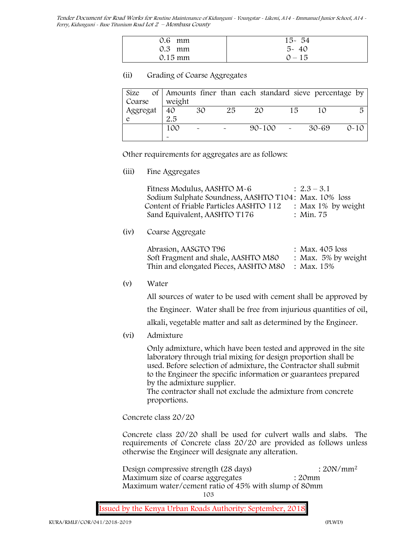| $0.6$ mm          | $15 - 54$ |
|-------------------|-----------|
| $0.3$ mm          | $5 - 40$  |
| $0.15 \text{ mm}$ | $0 - 15$  |

## **(ii) Grading of Coarse Aggregates**

|                       |        |                       |                       | Size of Amounts finer than each standard sieve percentage by |        |       |          |
|-----------------------|--------|-----------------------|-----------------------|--------------------------------------------------------------|--------|-------|----------|
| Coarse                | weight |                       |                       |                                                              |        |       |          |
| Aggregat $\boxed{40}$ |        | 30                    | 25                    | 20                                                           | 15     |       | 尽        |
|                       | 2.5    |                       |                       |                                                              |        |       |          |
|                       | 100    | $\tilde{\phantom{a}}$ | $\tilde{\phantom{a}}$ | $90 - 100$                                                   | $\sim$ | 30-69 | $0 - 10$ |
|                       |        |                       |                       |                                                              |        |       |          |

Other requirements for aggregates are as follows:

**(iii) Fine Aggregates**

| Fitness Modulus, AASHTO M-6                           | $\therefore$ 2.3 – 3.1 |
|-------------------------------------------------------|------------------------|
| Sodium Sulphate Soundness, AASHTO T104: Max. 10% loss |                        |
| Content of Friable Particles AASHTO 112               | : Max $1\%$ by weight  |
| Sand Equivalent, AASHTO T176                          | : Min. 75              |

**(iv) Coarse Aggregate**

| Abrasion, AASGTO T96                             | : Max. $405$ loss      |
|--------------------------------------------------|------------------------|
| Soft Fragment and shale, AASHTO M80              | : Max. $5\%$ by weight |
| Thin and elongated Pieces, AASHTO M80 : Max. 15% |                        |

**(v) Water**

All sources of water to be used with cement shall be approved by the Engineer. Water shall be free from injurious quantities of oil,

alkali, vegetable matter and salt as determined by the Engineer.

**(vi) Admixture**

Only admixture, which have been tested and approved in the site laboratory through trial mixing for design proportion shall be used. Before selection of admixture, the Contractor shall submit to the Engineer the specific information or guarantees prepared by the admixture supplier.

The contractor shall not exclude the admixture from concrete proportions.

**Concrete class 20/20**

Concrete class 20/20 shall be used for culvert walls and slabs. The requirements of Concrete class 20/20 are provided as follows unless otherwise the Engineer will designate any alteration.

Design compressive strength (28 days) : 20N/mm<sup>2</sup> Maximum size of coarse aggregates : 20mm Maximum water/cement ratio of 45% with slump of 80mm

103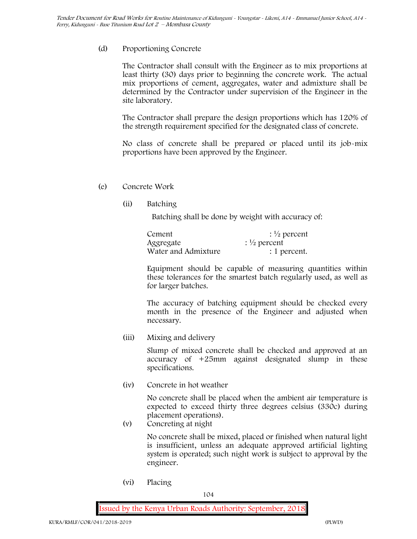# (d) **Proportioning Concrete**

The Contractor shall consult with the Engineer as to mix proportions at least thirty (30) days prior to beginning the concrete work. The actual mix proportions of cement, aggregates, water and admixture shall be determined by the Contractor under supervision of the Engineer in the site laboratory.

The Contractor shall prepare the design proportions which has 120% of the strength requirement specified for the designated class of concrete.

No class of concrete shall be prepared or placed until its job-mix proportions have been approved by the Engineer.

# (e) **Concrete Work**

**(ii) Batching**

Batching shall be done by weight with accuracy of:

| Cement              | $\frac{1}{2}$ percent |  |  |
|---------------------|-----------------------|--|--|
| Aggregate           | $\frac{1}{2}$ percent |  |  |
| Water and Admixture | : 1 percent.          |  |  |

Equipment should be capable of measuring quantities within these tolerances for the smartest batch regularly used, as well as for larger batches.

The accuracy of batching equipment should be checked every month in the presence of the Engineer and adjusted when necessary.

**(iii) Mixing and delivery**

Slump of mixed concrete shall be checked and approved at an accuracy of +25mm against designated slump in these specifications.

**(iv) Concrete in hot weather**

No concrete shall be placed when the ambient air temperature is expected to exceed thirty three degrees celsius (330c) during placement operations).

**(v) Concreting at night**

No concrete shall be mixed, placed or finished when natural light is insufficient, unless an adequate approved artificial lighting system is operated; such night work is subject to approval by the engineer.

**(vi) Placing**

104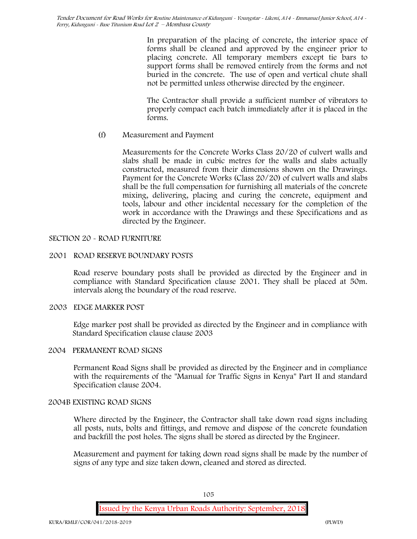In preparation of the placing of concrete, the interior space of forms shall be cleaned and approved by the engineer prior to placing concrete. All temporary members except tie bars to support forms shall be removed entirely from the forms and not buried in the concrete. The use of open and vertical chute shall not be permitted unless otherwise directed by the engineer.

The Contractor shall provide a sufficient number of vibrators to properly compact each batch immediately after it is placed in the forms.

(f) **Measurement and Payment**

Measurements for the Concrete Works Class 20/20 of culvert walls and slabs shall be made in cubic metres for the walls and slabs actually constructed, measured from their dimensions shown on the Drawings. Payment for the Concrete Works (Class 20/20) of culvert walls and slabs shall be the full compensation for furnishing all materials of the concrete mixing, delivering, placing and curing the concrete, equipment and tools, labour and other incidental necessary for the completion of the work in accordance with the Drawings and these Specifications and as directed by the Engineer.

# **SECTION 20 - ROAD FURNITURE**

# **2001 ROAD RESERVE BOUNDARY POSTS**

Road reserve boundary posts shall be provided as directed by the Engineer and in compliance with Standard Specification clause 2001. They shall be placed at 50m. intervals along the boundary of the road reserve.

# **2003 EDGE MARKER POST**

Edge marker post shall be provided as directed by the Engineer and in compliance with Standard Specification clause clause 2003

# **2004 PERMANENT ROAD SIGNS**

Permanent Road Signs shall be provided as directed by the Engineer and in compliance with the requirements of the "Manual for Traffic Signs in Kenya" Part II and standard Specification clause 2004.

# **2004B EXISTING ROAD SIGNS**

Where directed by the Engineer, the Contractor shall take down road signs including all posts, nuts, bolts and fittings, and remove and dispose of the concrete foundation and backfill the post holes. The signs shall be stored as directed by the Engineer.

Measurement and payment for taking down road signs shall be made by the number of signs of any type and size taken down, cleaned and stored as directed.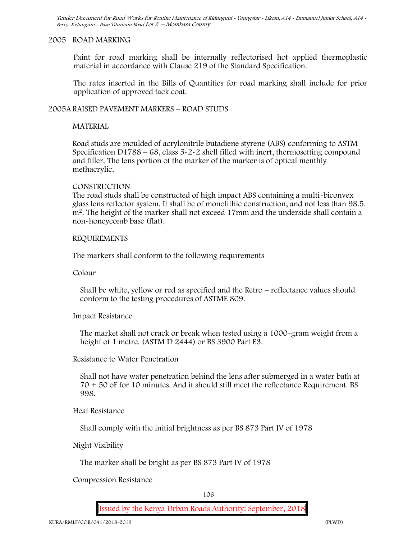#### **2005 ROAD MARKING**

Paint for road marking shall be internally reflectorised hot applied thermoplastic material in accordance with Clause 219 of the Standard Specification.

The rates inserted in the Bills of Quantities for road marking shall include for prior application of approved tack coat.

## **2005A RAISED PAVEMENT MARKERS – ROAD STUDS**

#### **MATERIAL**

Road studs are moulded of acrylonitrile butadiene styrene (ABS) conforming to ASTM Specification D1788 –  $68$ , class  $5-2-2$  shell filled with inert, thermosetting compound and filler. The lens portion of the marker of the marker is of optical menthly methacrylic.

#### **CONSTRUCTION**

The road studs shall be constructed of high impact ABS containing a multi-biconvex glass lens reflector system. It shall be of monolithic construction, and not less than 98.5. m2. The height of the marker shall not exceed 17mm and the underside shall contain a non-honeycomb base (flat).

#### **REQUIREMENTS**

The markers shall conform to the following requirements

**Colour**

Shall be white, yellow or red as specified and the Retro – reflectance values should conform to the testing procedures of ASTME 809.

#### **Impact Resistance**

The market shall not crack or break when tested using a 1000**-**gram weight from a height of 1 metre. (ASTM D 2444) or BS 3900 Part E3.

## **Resistance to Water Penetration**

Shall not have water penetration behind the lens after submerged in a water bath at 70 + 50 oF for 10 minutes. And it should still meet the reflectance Requirement. BS 998.

#### **Heat Resistance**

Shall comply with the initial brightness as per BS 873 Part IV of 1978

**Night Visibility**

The marker shall be bright as per BS 873 Part IV of 1978

#### **Compression Resistance**

106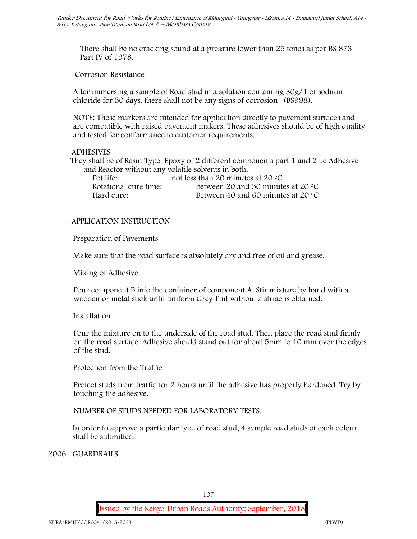There shall be no cracking sound at a pressure lower than 25 tones as per BS 873 Part IV of 1978.

**Corrosion Resistance**

After immersing a sample of Road stud in a solution containing 30g/1 of sodium chloride for 30 days, there shall not be any signs of corrosion **-**(BS998).

**NOTE**: These markers are intended for application directly to pavement surfaces and are compatible with raised pavement makers. These adhesives should be of high quality and tested for conformance to customer requirements.

# **ADHESIVES**

They shall be of Resin Type–Epoxy of 2 different components part 1 and 2 i.e Adhesive and Reactor without any volatile solvents in both.

| Pot life:             | not less than 20 minutes at 20 $\degree$ C       |
|-----------------------|--------------------------------------------------|
| Rotational cure time: | between 20 and 30 minutes at 20 $\rm{^{\circ}C}$ |
| Hard cure:            | Between 40 and 60 minutes at 20 $\degree$ C      |

# **APPLICATION INSTRUCTION**

**Preparation of Pavements**

Make sure that the road surface is absolutely dry and free of oil and grease**.**

**Mixing of Adhesive**

Pour component B into the container of component A. Stir mixture by hand with a wooden or metal stick until uniform Grey Tint without a striae is obtained.

# **Installation**

Pour the mixture on to the underside of the road stud. Then place the road stud firmly on the road surface. Adhesive should stand out for about 5mm to 10 mm over the edges of the stud.

**Protection from the Traffic**

Protect studs from traffic for 2 hours until the adhesive has properly hardened. Try by touching the adhesive.

**NUMBER OF STUDS NEEDED FOR LABORATORY TESTS.**

In order to approve a particular type of road stud, 4 sample road studs of each colour shall be submitted.

**2006 GUARDRAILS**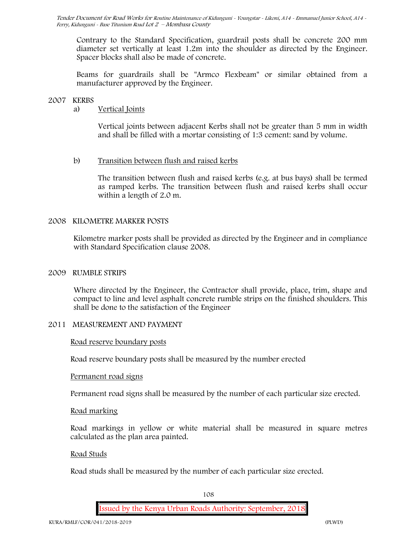Contrary to the Standard Specification, guardrail posts shall be concrete 200 mm diameter set vertically at least 1.2m into the shoulder as directed by the Engineer. Spacer blocks shall also be made of concrete.

Beams for guardrails shall be "Armco Flexbeam" or similar obtained from a manufacturer approved by the Engineer.

# **2007 KERBS**

# a) **Vertical Joints**

Vertical joints between adjacent Kerbs shall not be greater than 5 mm in width and shall be filled with a mortar consisting of 1:3 cement: sand by volume.

# b) **Transition between flush and raised kerbs**

The transition between flush and raised kerbs (e.g. at bus bays) shall be termed as ramped kerbs. The transition between flush and raised kerbs shall occur within a length of 2.0 m.

# **2008 KILOMETRE MARKER POSTS**

Kilometre marker posts shall be provided as directed by the Engineer and in compliance with Standard Specification clause 2008.

# **2009 RUMBLE STRIPS**

Where directed by the Engineer, the Contractor shall provide, place, trim, shape and compact to line and level asphalt concrete rumble strips on the finished shoulders. This shall be done to the satisfaction of the Engineer

### **2011 MEASUREMENT AND PAYMENT**

#### **Road reserve boundary posts**

Road reserve boundary posts shall be measured by the number erected

#### **Permanent road signs**

Permanent road signs shall be measured by the number of each particular size erected.

#### **Road marking**

Road markings in yellow or white material shall be measured in square metres calculated as the plan area painted.

#### **Road Studs**

Road studs shall be measured by the number of each particular size erected.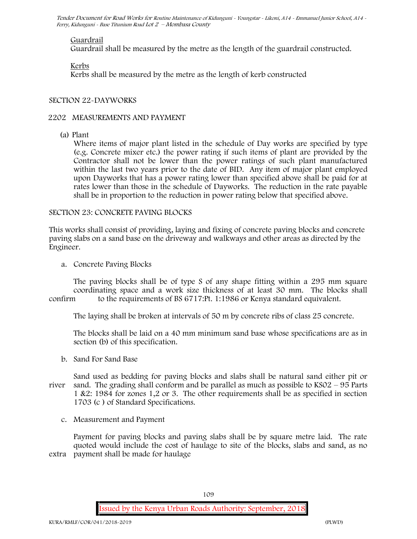#### **Guardrail**

Guardrail shall be measured by the metre as the length of the guardrail constructed.

# **Kerbs**

Kerbs shall be measured by the metre as the length of kerb constructed

# **SECTION 22-DAYWORKS**

# **2202 MEASUREMENTS AND PAYMENT**

(a) Plant

Where items of major plant listed in the schedule of Day works are specified by type (e.g. Concrete mixer etc.) the power rating if such items of plant are provided by the Contractor shall not be lower than the power ratings of such plant manufactured within the last two years prior to the date of BID. Any item of major plant employed upon Dayworks that has a power rating lower than specified above shall be paid for at rates lower than those in the schedule of Dayworks. The reduction in the rate payable shall be in proportion to the reduction in power rating below that specified above.

#### SECTION 23: CONCRETE PAVING BLOCKS

This works shall consist of providing, laying and fixing of concrete paving blocks and concrete paving slabs on a sand base on the driveway and walkways and other areas as directed by the Engineer.

**a. Concrete Paving Blocks**

The paving blocks shall be of type S of any shape fitting within a 295 mm square coordinating space and a work size thickness of at least 30 mm. The blocks shall confirm to the requirements of BS 6717:Pt. 1:1986 or Kenya standard equivalent.

The laying shall be broken at intervals of 50 m by concrete ribs of class 25 concrete.

The blocks shall be laid on a 40 mm minimum sand base whose specifications are as in section (b) of this specification.

**b. Sand For Sand Base**

Sand used as bedding for paving blocks and slabs shall be natural sand either pit or river sand. The grading shall conform and be parallel as much as possible to KS02 – 95 Parts 1 &2: 1984 for zones 1,2 or 3. The other requirements shall be as specified in section 1703 (c ) of Standard Specifications.

**c. Measurement and Payment**

Payment for paving blocks and paving slabs shall be by square metre laid. The rate quoted would include the cost of haulage to site of the blocks, slabs and sand, as no extra payment shall be made for haulage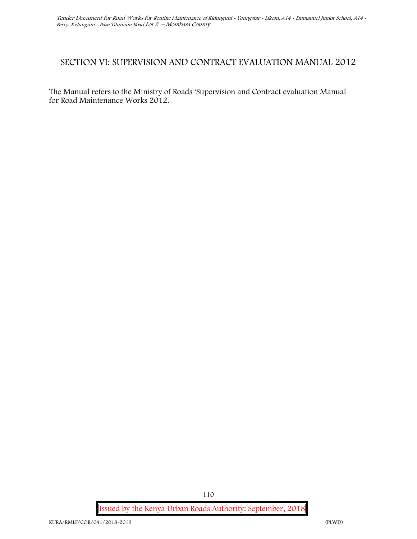# **SECTION VI: SUPERVISION AND CONTRACT EVALUATION MANUAL 2012**

The Manual refers to the Ministry of Roads 'Supervision and Contract evaluation Manual for Road Maintenance Works 2012.

**Issued by the Kenya Urban Roads Authority: September, 2018**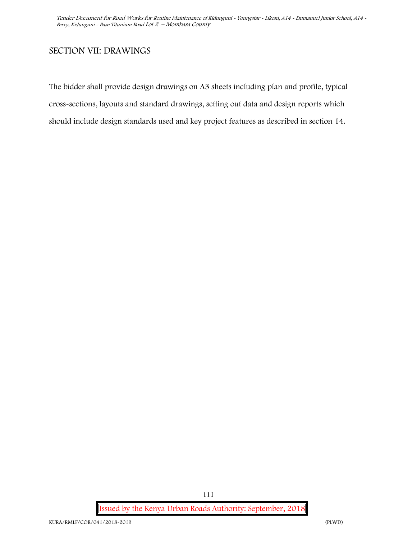# **SECTION VII: DRAWINGS**

The bidder shall provide design drawings on A3 sheets including plan and profile, typical cross-sections, layouts and standard drawings, setting out data and design reports which should include design standards used and key project features as described in section 14.

**Issued by the Kenya Urban Roads Authority: September, 2018**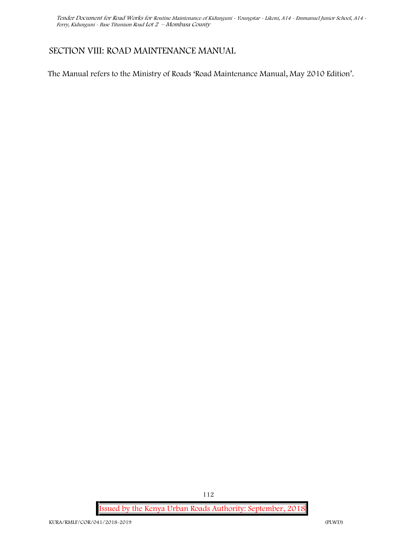# **SECTION VIII: ROAD MAINTENANCE MANUAL**

The Manual refers to the Ministry of Roads 'Road Maintenance Manual, May 2010 Edition'.

**Issued by the Kenya Urban Roads Authority: September, 2018**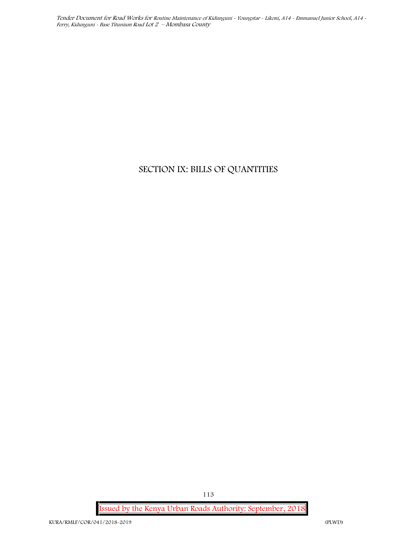# **SECTION IX: BILLS OF QUANTITIES**

**Issued by the Kenya Urban Roads Authority: September, 2018**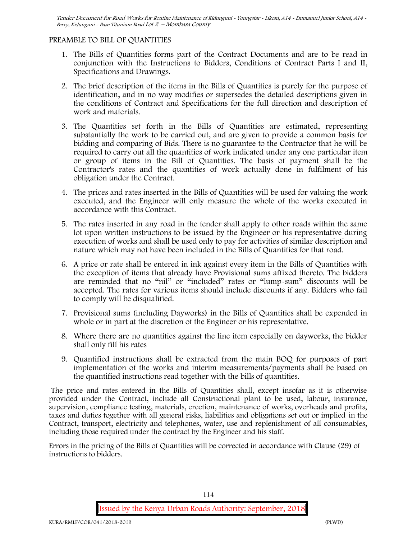# **PREAMBLE TO BILL OF QUANTITIES**

- 1. The Bills of Quantities forms part of the Contract Documents and are to be read in conjunction with the Instructions to Bidders, Conditions of Contract Parts I and II, Specifications and Drawings.
- 2. The brief description of the items in the Bills of Quantities is purely for the purpose of identification, and in no way modifies or supersedes the detailed descriptions given in the conditions of Contract and Specifications for the full direction and description of work and materials.
- 3. The Quantities set forth in the Bills of Quantities are estimated, representing substantially the work to be carried out, and are given to provide a common basis for bidding and comparing of Bids. There is no guarantee to the Contractor that he will be required to carry out all the quantities of work indicated under any one particular item or group of items in the Bill of Quantities. The basis of payment shall be the Contractor's rates and the quantities of work actually done in fulfilment of his obligation under the Contract.
- 4. The prices and rates inserted in the Bills of Quantities will be used for valuing the work executed, and the Engineer will only measure the whole of the works executed in accordance with this Contract.
- 5. The rates inserted in any road in the tender shall apply to other roads within the same lot upon written instructions to be issued by the Engineer or his representative during execution of works and shall be used only to pay for activities of similar description and nature which may not have been included in the Bills of Quantities for that road.
- 6. A price or rate shall be entered in ink against every item in the Bills of Quantities with the exception of items that already have Provisional sums affixed thereto. The bidders are reminded that no "nil" or "included" rates or "lump-sum" discounts will be accepted. The rates for various items should include discounts if any. Bidders who fail to comply will be disqualified.
- 7. Provisional sums (including Dayworks) in the Bills of Quantities shall be expended in whole or in part at the discretion of the Engineer or his representative.
- 8. Where there are no quantities against the line item especially on dayworks, the bidder shall only fill his rates
- 9. Quantified instructions shall be extracted from the main BOQ for purposes of part implementation of the works and interim measurements/payments shall be based on the quantified instructions read together with the bills of quantities.

The price and rates entered in the Bills of Quantities shall, except insofar as it is otherwise provided under the Contract, include all Constructional plant to be used, labour, insurance, supervision, compliance testing, materials, erection, maintenance of works, overheads and profits, taxes and duties together with all general risks, liabilities and obligations set out or implied in the Contract, transport, electricity and telephones, water, use and replenishment of all consumables, including those required under the contract by the Engineer and his staff.

Errors in the pricing of the Bills of Quantities will be corrected in accordance with Clause (29) of instructions to bidders.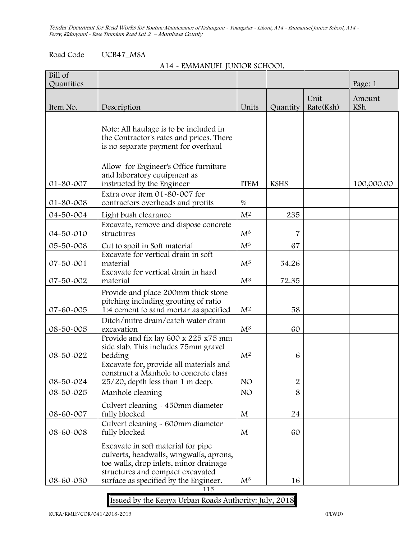Road Code UCB47\_MSA

#### **A14 - EMMANUEL JUNIOR SCHOOL**

| $\overline{Bill}$ of<br>Quantities |                                                                                                                                                                                                      |                 |                |                   | Page: 1       |
|------------------------------------|------------------------------------------------------------------------------------------------------------------------------------------------------------------------------------------------------|-----------------|----------------|-------------------|---------------|
| Item No.                           | Description                                                                                                                                                                                          | Units           | Quantity       | Unit<br>Rate(Ksh) | Amount<br>KSh |
|                                    |                                                                                                                                                                                                      |                 |                |                   |               |
|                                    | Note: All haulage is to be included in<br>the Contractor's rates and prices. There<br>is no separate payment for overhaul                                                                            |                 |                |                   |               |
| 01-80-007                          | Allow for Engineer's Office furniture<br>and laboratory equipment as<br>instructed by the Engineer                                                                                                   | <b>ITEM</b>     | <b>KSHS</b>    |                   | 100,000.00    |
| 01-80-008                          | Extra over item 01-80-007 for<br>contractors overheads and profits                                                                                                                                   | $\%$            |                |                   |               |
| 04-50-004                          | Light bush clearance                                                                                                                                                                                 | $M^2$           | 235            |                   |               |
| 04-50-010                          | Excavate, remove and dispose concrete<br>structures                                                                                                                                                  | $M^3$           | 7              |                   |               |
| 05-50-008                          | Cut to spoil in Soft material                                                                                                                                                                        | $M^3$           | 67             |                   |               |
| 07-50-001                          | Excavate for vertical drain in soft<br>material                                                                                                                                                      | $M^3$           | 54.26          |                   |               |
| 07-50-002                          | Excavate for vertical drain in hard<br>material                                                                                                                                                      | $M^3$           | 72.35          |                   |               |
| 07-60-005                          | Provide and place 200mm thick stone<br>pitching including grouting of ratio<br>1:4 cement to sand mortar as specified                                                                                | $M^2$           | 58             |                   |               |
| 08-50-005                          | Ditch/mitre drain/catch water drain<br>excavation                                                                                                                                                    | $M^3$           | 60             |                   |               |
| 08-50-022                          | Provide and fix lay 600 x 225 x75 mm<br>side slab. This includes 75mm gravel<br>bedding                                                                                                              | $M^2$           | 6              |                   |               |
| 08-50-024                          | Excavate for, provide all materials and<br>construct a Manhole to concrete class<br>25/20, depth less than 1 m deep.                                                                                 | NO              | $\overline{2}$ |                   |               |
| 08-50-025                          | Manhole cleaning                                                                                                                                                                                     | NO <sub>1</sub> | 8              |                   |               |
| 08-60-007                          | Culvert cleaning - 450mm diameter<br>fully blocked                                                                                                                                                   | M               | 24             |                   |               |
| 08-60-008                          | Culvert cleaning - 600mm diameter<br>fully blocked                                                                                                                                                   | M               | 60             |                   |               |
| 08-60-030                          | Excavate in soft material for pipe<br>culverts, headwalls, wingwalls, aprons,<br>toe walls, drop inlets, minor drainage<br>structures and compact excavated<br>surface as specified by the Engineer. | $M^3$           | 16             |                   |               |

115

**Issued by the Kenya Urban Roads Authority: July, 2018**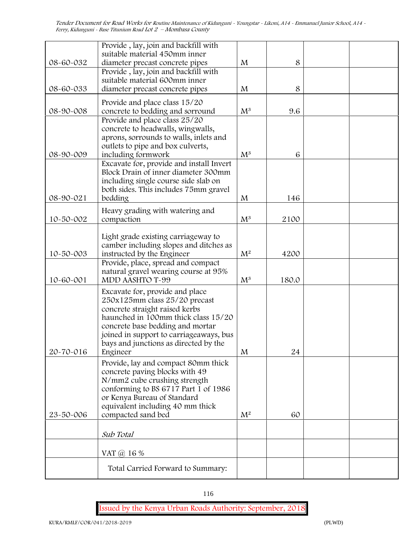|           | Provide, lay, join and backfill with<br>suitable material 450mm inner                                                                                                                                                                                                                                                                       |       |       |  |
|-----------|---------------------------------------------------------------------------------------------------------------------------------------------------------------------------------------------------------------------------------------------------------------------------------------------------------------------------------------------|-------|-------|--|
| 08-60-032 | diameter precast concrete pipes<br>Provide, lay, join and backfill with                                                                                                                                                                                                                                                                     | M     | 8     |  |
|           | suitable material 600mm inner                                                                                                                                                                                                                                                                                                               |       |       |  |
| 08-60-033 | diameter precast concrete pipes                                                                                                                                                                                                                                                                                                             | M     | 8     |  |
|           | Provide and place class 15/20                                                                                                                                                                                                                                                                                                               |       |       |  |
| 08-90-008 | concrete to bedding and sorround                                                                                                                                                                                                                                                                                                            | $M^3$ | 9.6   |  |
| 08-90-009 | Provide and place class 25/20<br>concrete to headwalls, wingwalls,<br>aprons, sorrounds to walls, inlets and<br>outlets to pipe and box culverts,<br>including formwork<br>Excavate for, provide and install Invert<br>Block Drain of inner diameter 300mm<br>including single course side slab on<br>both sides. This includes 75mm gravel | $M^3$ | 6     |  |
| 08-90-021 | bedding                                                                                                                                                                                                                                                                                                                                     | M     | 146   |  |
| 10-50-002 | Heavy grading with watering and<br>compaction                                                                                                                                                                                                                                                                                               | $M^3$ | 2100  |  |
|           |                                                                                                                                                                                                                                                                                                                                             |       |       |  |
| 10-50-003 | Light grade existing carriageway to<br>camber including slopes and ditches as<br>instructed by the Engineer                                                                                                                                                                                                                                 | $M^2$ | 4200  |  |
| 10-60-001 | Provide, place, spread and compact<br>natural gravel wearing course at 95%<br>MDD AASHTO T-99                                                                                                                                                                                                                                               | $M^3$ | 180.0 |  |
| 20-70-016 | Excavate for, provide and place<br>250x125mm class 25/20 precast<br>concrete straight raised kerbs<br>haunched in 100mm thick class 15/20<br>concrete base bedding and mortar<br>joined in support to carriageaways, bus<br>bays and junctions as directed by the<br>Engineer                                                               | M     | 24    |  |
|           | Provide, lay and compact 80mm thick<br>concrete paving blocks with 49<br>N/mm2 cube crushing strength<br>conforming to BS 6717 Part 1 of 1986<br>or Kenya Bureau of Standard<br>equivalent including 40 mm thick                                                                                                                            |       |       |  |
| 23-50-006 | compacted sand bed                                                                                                                                                                                                                                                                                                                          | $M^2$ | 60    |  |
|           | Sub Total                                                                                                                                                                                                                                                                                                                                   |       |       |  |
|           | VAT @ 16 %                                                                                                                                                                                                                                                                                                                                  |       |       |  |
|           |                                                                                                                                                                                                                                                                                                                                             |       |       |  |
|           | Total Carried Forward to Summary:                                                                                                                                                                                                                                                                                                           |       |       |  |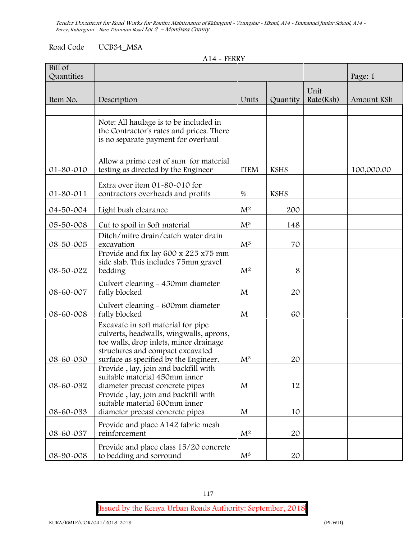# Road Code UCB34\_MSA

|  | $A14$ - FERRY |  |
|--|---------------|--|
|--|---------------|--|

| Bill of<br>Quantities |                                                                                                                                                                                                      |                |             |                   | Page: 1    |
|-----------------------|------------------------------------------------------------------------------------------------------------------------------------------------------------------------------------------------------|----------------|-------------|-------------------|------------|
| Item No.              | Description                                                                                                                                                                                          | Units          | Quantity    | Unit<br>Rate(Ksh) | Amount KSh |
|                       |                                                                                                                                                                                                      |                |             |                   |            |
|                       | Note: All haulage is to be included in<br>the Contractor's rates and prices. There<br>is no separate payment for overhaul                                                                            |                |             |                   |            |
| 01-80-010             | Allow a prime cost of sum for material<br>testing as directed by the Engineer                                                                                                                        | <b>ITEM</b>    | <b>KSHS</b> |                   | 100,000.00 |
| 01-80-011             | Extra over item 01-80-010 for<br>contractors overheads and profits                                                                                                                                   | $\%$           | <b>KSHS</b> |                   |            |
| 04-50-004             | Light bush clearance                                                                                                                                                                                 | M <sup>2</sup> | 200         |                   |            |
| 05-50-008             | Cut to spoil in Soft material                                                                                                                                                                        | $M^3$          | 148         |                   |            |
| 08-50-005             | Ditch/mitre drain/catch water drain<br>excavation                                                                                                                                                    | $M^3$          | 70          |                   |            |
| 08-50-022             | Provide and fix lay 600 x 225 x75 mm<br>side slab. This includes 75mm gravel<br>bedding                                                                                                              | $\mathbf{M}^2$ | 8           |                   |            |
| 08-60-007             | Culvert cleaning - 450mm diameter<br>fully blocked                                                                                                                                                   | M              | 20          |                   |            |
| 08-60-008             | Culvert cleaning - 600mm diameter<br>fully blocked                                                                                                                                                   | M              | 60          |                   |            |
| 08-60-030             | Excavate in soft material for pipe<br>culverts, headwalls, wingwalls, aprons,<br>toe walls, drop inlets, minor drainage<br>structures and compact excavated<br>surface as specified by the Engineer. | $M^3$          | 20          |                   |            |
| 08-60-032             | Provide, lay, join and backfill with<br>suitable material 450mm inner<br>diameter precast concrete pipes                                                                                             | M              | 12          |                   |            |
| 08-60-033             | Provide, lay, join and backfill with<br>suitable material 600mm inner<br>diameter precast concrete pipes                                                                                             | M              | 10          |                   |            |
| 08-60-037             | Provide and place A142 fabric mesh<br>reinforcement                                                                                                                                                  | $M^2$          | 20          |                   |            |
| 08-90-008             | Provide and place class 15/20 concrete<br>to bedding and sorround                                                                                                                                    | $\mathrm{M}^3$ | 20          |                   |            |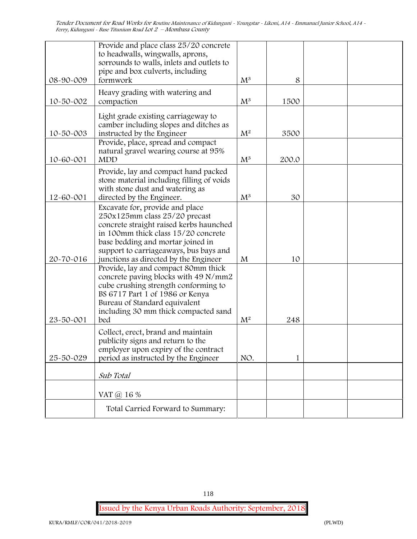| 08-90-009 | Provide and place class 25/20 concrete<br>to headwalls, wingwalls, aprons,<br>sorrounds to walls, inlets and outlets to<br>pipe and box culverts, including<br>formwork                                                                                                    | $M^3$ | 8     |  |
|-----------|----------------------------------------------------------------------------------------------------------------------------------------------------------------------------------------------------------------------------------------------------------------------------|-------|-------|--|
| 10-50-002 | Heavy grading with watering and<br>compaction                                                                                                                                                                                                                              | $M^3$ | 1500  |  |
| 10-50-003 | Light grade existing carriageway to<br>camber including slopes and ditches as<br>instructed by the Engineer<br>Provide, place, spread and compact                                                                                                                          | $M^2$ | 3500  |  |
| 10-60-001 | natural gravel wearing course at 95%<br><b>MDD</b>                                                                                                                                                                                                                         | $M^3$ | 200.0 |  |
| 12-60-001 | Provide, lay and compact hand packed<br>stone material including filling of voids<br>with stone dust and watering as<br>directed by the Engineer.                                                                                                                          | $M^3$ | 30    |  |
| 20-70-016 | Excavate for, provide and place<br>250x125mm class 25/20 precast<br>concrete straight raised kerbs haunched<br>in 100mm thick class 15/20 concrete<br>base bedding and mortar joined in<br>support to carriageaways, bus bays and<br>junctions as directed by the Engineer | M     | 10    |  |
| 23-50-001 | Provide, lay and compact 80mm thick<br>concrete paving blocks with 49 N/mm2<br>cube crushing strength conforming to<br>BS 6717 Part 1 of 1986 or Kenya<br>Bureau of Standard equivalent<br>including 30 mm thick compacted sand<br>bed                                     | $M^2$ | 248   |  |
| 25-50-029 | Collect, erect, brand and maintain<br>publicity signs and return to the<br>employer upon expiry of the contract<br>period as instructed by the Engineer                                                                                                                    | NO.   | 1     |  |
|           | Sub Total                                                                                                                                                                                                                                                                  |       |       |  |
|           | VAT @ 16 %                                                                                                                                                                                                                                                                 |       |       |  |
|           | Total Carried Forward to Summary:                                                                                                                                                                                                                                          |       |       |  |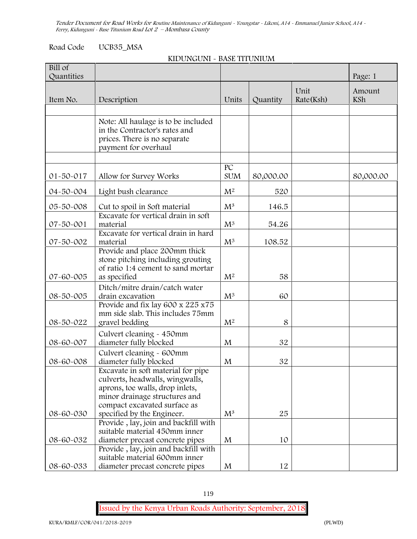# Road Code UCB35\_MSA

#### **KIDUNGUNI - BASE TITUNIUM**

| $\overline{Bill}$ of<br>Quantities  |                                                                                                                                                                                                                                                                          |                                           |               |                   | Page: 1       |
|-------------------------------------|--------------------------------------------------------------------------------------------------------------------------------------------------------------------------------------------------------------------------------------------------------------------------|-------------------------------------------|---------------|-------------------|---------------|
| Item No.                            | Description                                                                                                                                                                                                                                                              | Units                                     | Quantity      | Unit<br>Rate(Ksh) | Amount<br>KSh |
|                                     |                                                                                                                                                                                                                                                                          |                                           |               |                   |               |
|                                     | Note: All haulage is to be included<br>in the Contractor's rates and<br>prices. There is no separate<br>payment for overhaul                                                                                                                                             |                                           |               |                   |               |
|                                     |                                                                                                                                                                                                                                                                          | PC                                        |               |                   |               |
| 01-50-017                           | Allow for Survey Works                                                                                                                                                                                                                                                   | <b>SUM</b>                                | 80,000.00     |                   | 80,000.00     |
| 04-50-004                           | Light bush clearance                                                                                                                                                                                                                                                     | M <sup>2</sup>                            | 520           |                   |               |
| 05-50-008                           | Cut to spoil in Soft material                                                                                                                                                                                                                                            | $M^3$                                     | 146.5         |                   |               |
| 07-50-001                           | Excavate for vertical drain in soft<br>material                                                                                                                                                                                                                          | $M^3$                                     | 54.26         |                   |               |
| 07-50-002                           | Excavate for vertical drain in hard<br>material                                                                                                                                                                                                                          | $M^3$                                     | 108.52        |                   |               |
| 07-60-005<br>08-50-005<br>08-50-022 | Provide and place 200mm thick<br>stone pitching including grouting<br>of ratio 1:4 cement to sand mortar<br>as specified<br>Ditch/mitre drain/catch water<br>drain excavation<br>Provide and fix lay 600 x 225 x75<br>mm side slab. This includes 75mm<br>gravel bedding | M <sup>2</sup><br>$M^3$<br>$\mathbf{M}^2$ | 58<br>60<br>8 |                   |               |
| 08-60-007                           | Culvert cleaning - 450mm<br>diameter fully blocked                                                                                                                                                                                                                       | M                                         | 32            |                   |               |
| 08-60-008                           | Culvert cleaning - 600mm<br>diameter fully blocked                                                                                                                                                                                                                       | M                                         | 32            |                   |               |
|                                     | Excavate in soft material for pipe<br>culverts, headwalls, wingwalls,<br>aprons, toe walls, drop inlets,<br>minor drainage structures and<br>compact excavated surface as                                                                                                |                                           |               |                   |               |
| 08-60-030                           | specified by the Engineer.<br>Provide, lay, join and backfill with                                                                                                                                                                                                       | $M^3$                                     | 25            |                   |               |
| 08-60-032                           | suitable material 450mm inner<br>diameter precast concrete pipes                                                                                                                                                                                                         | M                                         | 10            |                   |               |
| 08-60-033                           | Provide, lay, join and backfill with<br>suitable material 600mm inner<br>diameter precast concrete pipes                                                                                                                                                                 | $\mathbf{M}$                              | 12            |                   |               |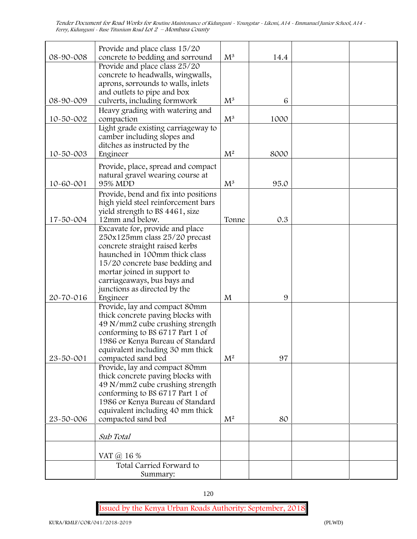| 08-90-008 | Provide and place class 15/20<br>concrete to bedding and sorround                                  | $\mathrm{M}^3$ | 14.4 |  |
|-----------|----------------------------------------------------------------------------------------------------|----------------|------|--|
|           | Provide and place class 25/20<br>concrete to headwalls, wingwalls,                                 |                |      |  |
|           | aprons, sorrounds to walls, inlets<br>and outlets to pipe and box                                  |                |      |  |
| 08-90-009 | culverts, including formwork                                                                       | $\mathrm{M}^3$ | 6    |  |
| 10-50-002 | Heavy grading with watering and<br>compaction                                                      | $M^3$          | 1000 |  |
|           | Light grade existing carriageway to<br>camber including slopes and<br>ditches as instructed by the |                |      |  |
| 10-50-003 | Engineer                                                                                           | $M^2$          | 8000 |  |
| 10-60-001 | Provide, place, spread and compact<br>natural gravel wearing course at<br>95% MDD                  | $\mathrm{M}^3$ | 95.0 |  |
|           | Provide, bend and fix into positions                                                               |                |      |  |
|           | high yield steel reinforcement bars                                                                |                |      |  |
| 17-50-004 | yield strength to BS 4461, size<br>12mm and below.                                                 | Tonne          | 0.3  |  |
|           | Excavate for, provide and place<br>250x125mm class 25/20 precast                                   |                |      |  |
|           | concrete straight raised kerbs                                                                     |                |      |  |
|           | haunched in 100mm thick class<br>15/20 concrete base bedding and                                   |                |      |  |
|           | mortar joined in support to                                                                        |                |      |  |
|           | carriageaways, bus bays and<br>junctions as directed by the                                        |                |      |  |
| 20-70-016 | Engineer                                                                                           | M              | 9    |  |
|           | Provide, lay and compact 80mm<br>thick concrete paving blocks with                                 |                |      |  |
|           | 49 N/mm2 cube crushing strength                                                                    |                |      |  |
|           | conforming to BS 6717 Part 1 of<br>1986 or Kenya Bureau of Standard                                |                |      |  |
|           | equivalent including 30 mm thick                                                                   |                |      |  |
| 23-50-001 | compacted sand bed<br>Provide, lay and compact 80mm                                                | $M^2$          | 97   |  |
|           | thick concrete paving blocks with                                                                  |                |      |  |
|           | 49 N/mm2 cube crushing strength<br>conforming to BS 6717 Part 1 of                                 |                |      |  |
|           | 1986 or Kenya Bureau of Standard                                                                   |                |      |  |
| 23-50-006 | equivalent including 40 mm thick<br>compacted sand bed                                             | $\mathbf{M}^2$ | 80   |  |
|           |                                                                                                    |                |      |  |
|           | Sub Total                                                                                          |                |      |  |
|           | VAT $\omega$ 16 %                                                                                  |                |      |  |
|           | Total Carried Forward to                                                                           |                |      |  |
|           | Summary:                                                                                           |                |      |  |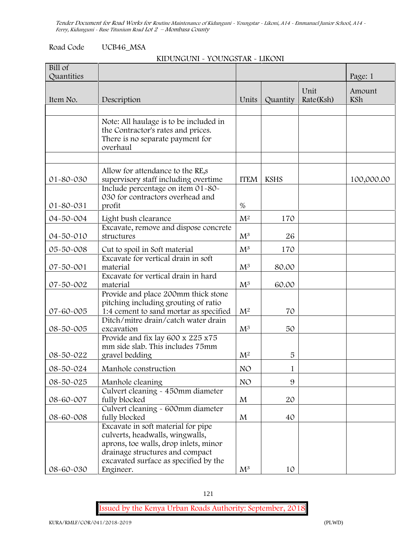# Road Code UCB46\_MSA

# **KIDUNGUNI - YOUNGSTAR - LIKONI**

| Bill of<br>Quantities |                                                                                                                                                                                                         |                 |              |                   | Page: 1       |
|-----------------------|---------------------------------------------------------------------------------------------------------------------------------------------------------------------------------------------------------|-----------------|--------------|-------------------|---------------|
| Item No.              |                                                                                                                                                                                                         | Units           | Quantity     | Unit<br>Rate(Ksh) | Amount<br>KSh |
|                       | Description                                                                                                                                                                                             |                 |              |                   |               |
|                       | Note: All haulage is to be included in<br>the Contractor's rates and prices.<br>There is no separate payment for<br>overhaul                                                                            |                 |              |                   |               |
|                       |                                                                                                                                                                                                         |                 |              |                   |               |
| 01-80-030             | Allow for attendance to the RE,s<br>supervisory staff including overtime                                                                                                                                | <b>ITEM</b>     | <b>KSHS</b>  |                   | 100,000.00    |
| 01-80-031             | Include percentage on item 01-80-<br>030 for contractors overhead and<br>profit                                                                                                                         | $\%$            |              |                   |               |
| 04-50-004             | Light bush clearance                                                                                                                                                                                    | $\mathbf{M}^2$  | 170          |                   |               |
| 04-50-010             | Excavate, remove and dispose concrete<br>structures                                                                                                                                                     | $M^3$           | 26           |                   |               |
| 05-50-008             | Cut to spoil in Soft material                                                                                                                                                                           | $M^3$           | 170          |                   |               |
| 07-50-001             | Excavate for vertical drain in soft<br>material                                                                                                                                                         | $M^3$           | 80.00        |                   |               |
| 07-50-002             | Excavate for vertical drain in hard<br>material                                                                                                                                                         | $M^3$           | 60.00        |                   |               |
| 07-60-005             | Provide and place 200mm thick stone<br>pitching including grouting of ratio<br>1:4 cement to sand mortar as specified                                                                                   | M <sup>2</sup>  | 70           |                   |               |
| 08-50-005             | Ditch/mitre drain/catch water drain<br>excavation                                                                                                                                                       | $M^3$           | 50           |                   |               |
| 08-50-022             | Provide and fix lay 600 x 225 x75<br>mm side slab. This includes 75mm<br>gravel bedding                                                                                                                 | M <sup>2</sup>  | 5            |                   |               |
| 08-50-024             | Manhole construction                                                                                                                                                                                    | NO <sub>1</sub> | $\mathbf{1}$ |                   |               |
| 08-50-025             | Manhole cleaning                                                                                                                                                                                        | NO <sub>1</sub> | 9            |                   |               |
| 08-60-007             | Culvert cleaning - 450mm diameter<br>fully blocked                                                                                                                                                      | M               | 20           |                   |               |
| 08-60-008             | Culvert cleaning - 600mm diameter<br>fully blocked                                                                                                                                                      | M               | 40           |                   |               |
| 08-60-030             | Excavate in soft material for pipe<br>culverts, headwalls, wingwalls,<br>aprons, toe walls, drop inlets, minor<br>drainage structures and compact<br>excavated surface as specified by the<br>Engineer. | $\mathrm{M}^3$  | 10           |                   |               |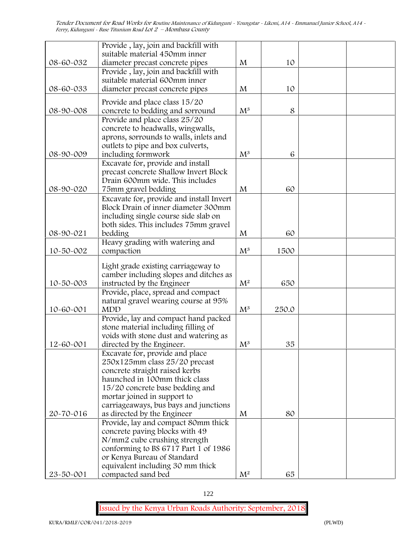|           | Provide, lay, join and backfill with                                     |                |       |  |
|-----------|--------------------------------------------------------------------------|----------------|-------|--|
|           | suitable material 450mm inner                                            |                |       |  |
| 08-60-032 | diameter precast concrete pipes                                          | M              | 10    |  |
|           | Provide, lay, join and backfill with                                     |                |       |  |
|           | suitable material 600mm inner                                            |                |       |  |
| 08-60-033 | diameter precast concrete pipes                                          | M              | 10    |  |
|           | Provide and place class 15/20                                            |                |       |  |
| 08-90-008 | concrete to bedding and sorround                                         | $\mathrm{M}^3$ | 8     |  |
|           | Provide and place class 25/20                                            |                |       |  |
|           | concrete to headwalls, wingwalls,                                        |                |       |  |
|           | aprons, sorrounds to walls, inlets and                                   |                |       |  |
|           | outlets to pipe and box culverts,                                        |                |       |  |
| 08-90-009 | including formwork                                                       | $\mathrm{M}^3$ | 6     |  |
|           | Excavate for, provide and install                                        |                |       |  |
|           | precast concrete Shallow Invert Block<br>Drain 600mm wide. This includes |                |       |  |
| 08-90-020 | 75mm gravel bedding                                                      | M              | 60    |  |
|           | Excavate for, provide and install Invert                                 |                |       |  |
|           | Block Drain of inner diameter 300mm                                      |                |       |  |
|           | including single course side slab on                                     |                |       |  |
|           | both sides. This includes 75mm gravel                                    |                |       |  |
| 08-90-021 | bedding                                                                  | M              | 60    |  |
|           | Heavy grading with watering and                                          |                |       |  |
| 10-50-002 | compaction                                                               | $\mathrm{M}^3$ | 1500  |  |
|           | Light grade existing carriageway to                                      |                |       |  |
|           | camber including slopes and ditches as                                   |                |       |  |
| 10-50-003 | instructed by the Engineer                                               | $M^2$          | 650   |  |
|           | Provide, place, spread and compact                                       |                |       |  |
|           | natural gravel wearing course at 95%                                     |                |       |  |
| 10-60-001 | <b>MDD</b>                                                               | $\mathrm{M}^3$ | 250.0 |  |
|           | Provide, lay and compact hand packed                                     |                |       |  |
|           | stone material including filling of                                      |                |       |  |
|           | voids with stone dust and watering as                                    |                |       |  |
| 12-60-001 | directed by the Engineer.                                                | $M^3$          | 35    |  |
|           | Excavate for, provide and place                                          |                |       |  |
|           | 250x125mm class 25/20 precast<br>concrete straight raised kerbs          |                |       |  |
|           | haunched in 100mm thick class                                            |                |       |  |
|           | 15/20 concrete base bedding and                                          |                |       |  |
|           | mortar joined in support to                                              |                |       |  |
|           | carriageaways, bus bays and junctions                                    |                |       |  |
| 20-70-016 | as directed by the Engineer                                              | M              | 80    |  |
|           | Provide, lay and compact 80mm thick                                      |                |       |  |
|           | concrete paving blocks with 49                                           |                |       |  |
|           | N/mm2 cube crushing strength                                             |                |       |  |
|           | conforming to BS 6717 Part 1 of 1986                                     |                |       |  |
|           | or Kenya Bureau of Standard                                              |                |       |  |
|           | equivalent including 30 mm thick                                         |                |       |  |
| 23-50-001 | compacted sand bed                                                       | $\mathrm{M}^2$ | 65    |  |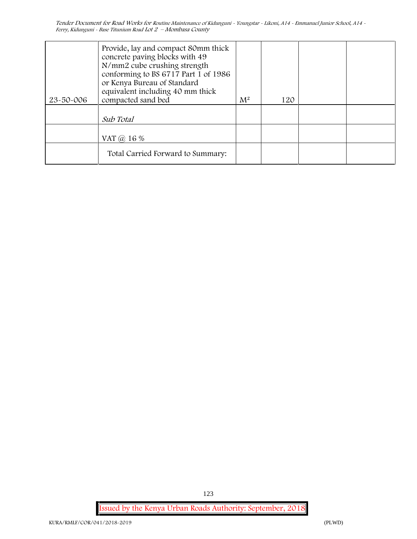| 23-50-006 | Provide, lay and compact 80mm thick<br>concrete paving blocks with 49<br>N/mm2 cube crushing strength<br>conforming to BS 6717 Part 1 of 1986<br>or Kenya Bureau of Standard<br>equivalent including 40 mm thick<br>compacted sand bed | $M^2$ | 120 |  |
|-----------|----------------------------------------------------------------------------------------------------------------------------------------------------------------------------------------------------------------------------------------|-------|-----|--|
|           | Sub Total                                                                                                                                                                                                                              |       |     |  |
|           | VAT @ 16 %                                                                                                                                                                                                                             |       |     |  |
|           | Total Carried Forward to Summary:                                                                                                                                                                                                      |       |     |  |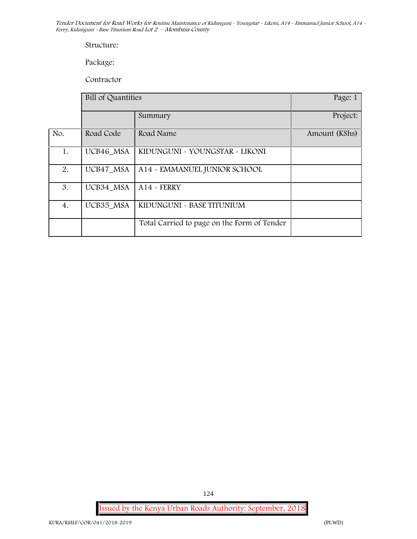#### **Structure:**

**Package:**

Contractor

|     | Bill of Quantities |                                             | Page: 1       |  |
|-----|--------------------|---------------------------------------------|---------------|--|
|     |                    | Summary                                     | Project:      |  |
| No. | Road Code          | Road Name                                   | Amount (KShs) |  |
| 1.  | UCB46_MSA          | KIDUNGUNI ~ YOUNGSTAR ~ LIKONI              |               |  |
| 2.  | UCB47_MSA          | A14 - EMMANUEL JUNIOR SCHOOL                |               |  |
| 3.  | UCB34 MSA          | $A14$ - FERRY                               |               |  |
| 4.  | UCB35_MSA          | KIDUNGUNI ~ BASE TITUNIUM                   |               |  |
|     |                    | Total Carried to page on the Form of Tender |               |  |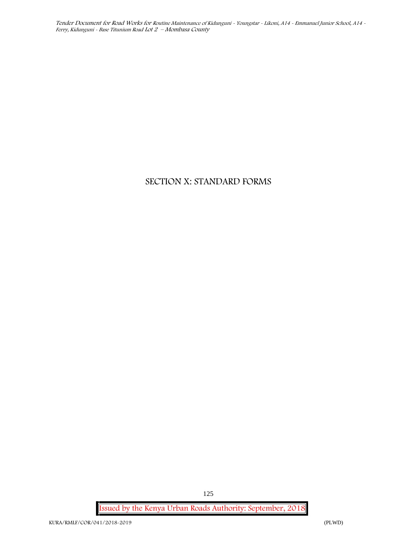# **SECTION X: STANDARD FORMS**

**Issued by the Kenya Urban Roads Authority: September, 2018**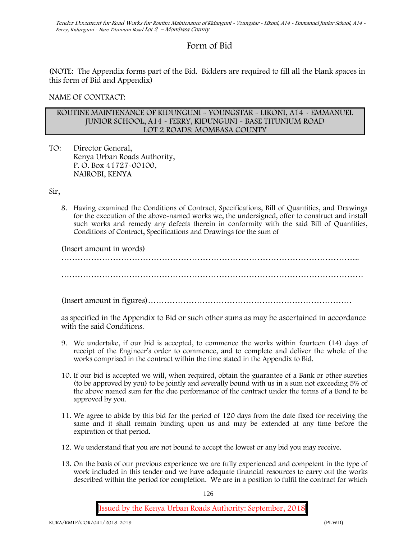# **Form of Bid**

(NOTE: The Appendix forms part of the Bid. Bidders are required to fill all the blank spaces in this form of Bid and Appendix)

**NAME OF CONTRACT:**

#### **ROUTINE MAINTENANCE OF KIDUNGUNI - YOUNGSTAR - LIKONI, A14 - EMMANUEL JUNIOR SCHOOL, A14 - FERRY, KIDUNGUNI - BASE TITUNIUM ROAD LOT 2 ROADS: MOMBASA COUNTY**

TO: Director General, Kenya Urban Roads Authority, P. O. Box 41727-00100, **NAIROBI, KENYA**

Sir,

8. Having examined the Conditions of Contract, Specifications, Bill of Quantities, and Drawings for the execution of the above-named works we, the undersigned, offer to construct and install such works and remedy any defects therein in conformity with the said Bill of Quantities, Conditions of Contract, Specifications and Drawings for the sum of

(Insert amount in words)

………………………………………………………………………………………………..

…………………………………………………………………………………………………

(Insert amount in figures)…………………………………………………………………

as specified in the Appendix to Bid or such other sums as may be ascertained in accordance with the said Conditions.

- 9. We undertake, if our bid is accepted, to commence the works within fourteen (14) days of receipt of the Engineer's order to commence, and to complete and deliver the whole of the works comprised in the contract within the time stated in the Appendix to Bid.
- 10. If our bid is accepted we will, when required, obtain the guarantee of a Bank or other sureties (to be approved by you) to be jointly and severally bound with us in a sum not exceeding 5% of the above named sum for the due performance of the contract under the terms of a Bond to be approved by you.
- 11. We agree to abide by this bid for the period of 120 days from the date fixed for receiving the same and it shall remain binding upon us and may be extended at any time before the expiration of that period.
- 12. We understand that you are not bound to accept the lowest or any bid you may receive.
- 13. On the basis of our previous experience we are fully experienced and competent in the type of work included in this tender and we have adequate financial resources to carry out the works described within the period for completion. We are in a position to fulfil the contract for which

126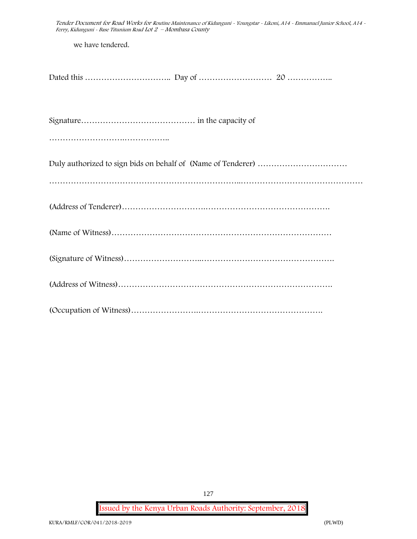*Tender Document for Road Works for Routine Maintenance of Kidunguni - Youngstar - Likoni, A14 - Emmanuel Junior School, A14 - Ferry, Kidunguni - Base Titunium Road Lot 2 – Mombasa County* we have tendered. Dated this ………………………….. Day of ……………………… 20 …………….. Signature…………………………………… in the capacity of ………………………………………………… Duly authorized to sign bids on behalf of (Name of Tenderer) …………………………… ……………………………………………………………..……………………………………… (Address of Tenderer)………………………….………………………………………. (Name of Witness)……………………………………………………………………… (Signature of Witness)………………………..…………………………………………. (Address of Witness)……………………………………………………………………. (Occupation of Witness)…………………….……………………………………….

**Issued by the Kenya Urban Roads Authority: September, 2018**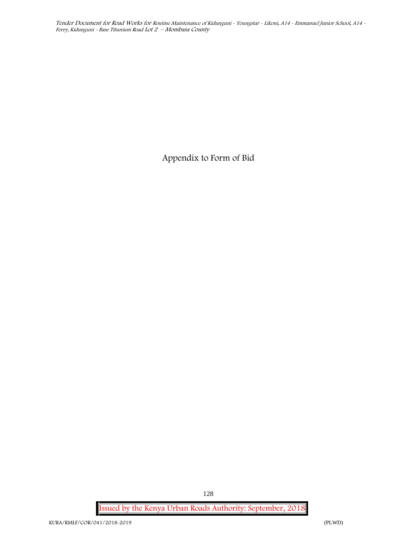**Appendix to Form of Bid**

**Issued by the Kenya Urban Roads Authority: September, 2018**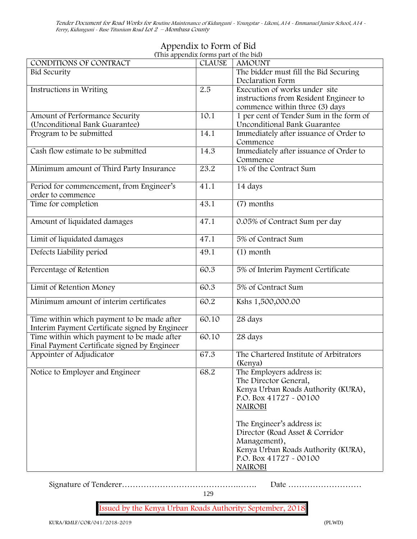# **Appendix to Form of Bid (This appendix forms part of the bid)**

| (This appendix forms part of the bid)<br>CONDITIONS OF CONTRACT | <b>CLAUSE</b> | <b>AMOUNT</b>                           |
|-----------------------------------------------------------------|---------------|-----------------------------------------|
| <b>Bid Security</b>                                             |               | The bidder must fill the Bid Securing   |
|                                                                 |               | Declaration Form                        |
| Instructions in Writing                                         | 2.5           | Execution of works under site           |
|                                                                 |               | instructions from Resident Engineer to  |
|                                                                 |               | commence within three (3) days          |
| Amount of Performance Security                                  | 10.1          | 1 per cent of Tender Sum in the form of |
| (Unconditional Bank Guarantee)                                  |               | <b>Unconditional Bank Guarantee</b>     |
| Program to be submitted                                         | 14.1          | Immediately after issuance of Order to  |
|                                                                 |               | Commence                                |
| Cash flow estimate to be submitted                              | 14.3          | Immediately after issuance of Order to  |
|                                                                 |               | Commence                                |
|                                                                 |               |                                         |
| Minimum amount of Third Party Insurance                         | 23.2          | 1% of the Contract Sum                  |
|                                                                 |               |                                         |
| Period for commencement, from Engineer's                        | 41.1          | 14 days                                 |
| order to commence                                               |               |                                         |
| Time for completion                                             | 43.1          | (7) months                              |
|                                                                 |               |                                         |
| Amount of liquidated damages                                    | 47.1          | 0.05% of Contract Sum per day           |
|                                                                 |               |                                         |
| Limit of liquidated damages                                     | 47.1          | 5% of Contract Sum                      |
| Defects Liability period                                        | 49.1          | $(1)$ month                             |
|                                                                 |               |                                         |
| Percentage of Retention                                         | 60.3          | 5% of Interim Payment Certificate       |
|                                                                 |               |                                         |
| Limit of Retention Money                                        | 60.3          | 5% of Contract Sum                      |
|                                                                 |               |                                         |
| Minimum amount of interim certificates                          | 60.2          | Kshs 1,500,000.00                       |
|                                                                 |               |                                         |
| Time within which payment to be made after                      | 60.10         | 28 days                                 |
| Interim Payment Certificate signed by Engineer                  |               |                                         |
| Time within which payment to be made after                      | 60.10         | 28 days                                 |
| Final Payment Certificate signed by Engineer                    |               |                                         |
| Appointer of Adjudicator                                        | 67.3          | The Chartered Institute of Arbitrators  |
|                                                                 |               | (Kenya)                                 |
| Notice to Employer and Engineer                                 | 68.2          | The Employers address is:               |
|                                                                 |               | The Director General,                   |
|                                                                 |               |                                         |
|                                                                 |               | Kenya Urban Roads Authority (KURA),     |
|                                                                 |               | P.O. Box 41727 - 00100                  |
|                                                                 |               | <b>NAIROBI</b>                          |
|                                                                 |               |                                         |
|                                                                 |               | The Engineer's address is:              |
|                                                                 |               | Director (Road Asset & Corridor         |
|                                                                 |               | Management),                            |
|                                                                 |               | Kenya Urban Roads Authority (KURA),     |
|                                                                 |               | P.O. Box 41727 - 00100                  |
|                                                                 |               |                                         |
|                                                                 |               | <b>NAIROBI</b>                          |

Signature of Tenderer…………………………………….……. Date ………………………

129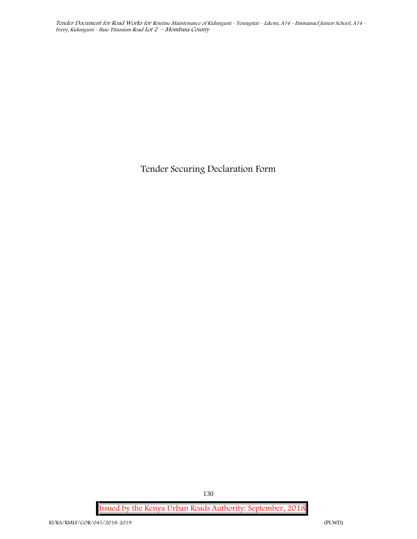**Tender Securing Declaration Form**

**Issued by the Kenya Urban Roads Authority: September, 2018**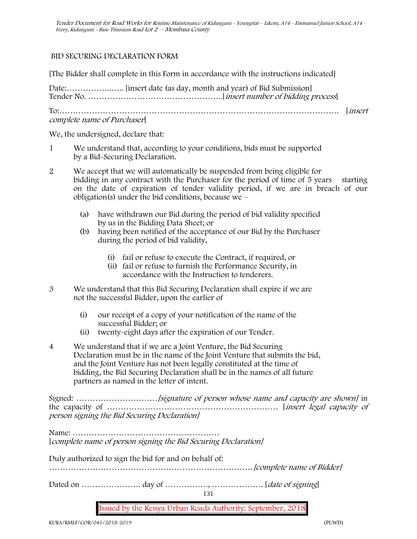# **BID SECURING DECLARATION FORM**

[The Bidder shall complete in this Form in accordance with the instructions indicated]

Date:……………..….. [insert date (as day, month and year) of Bid Submission] Tender No. …………………………………………..[*insert number of bidding process*]

To:…………………………………………………………………………………………. [*insert complete name of Purchaser*]

We, the undersigned, declare that:

- 1 We understand that, according to your conditions, bids must be supported by a Bid-Securing Declaration.
- 2 We accept that we will automatically be suspended from being eligible for bidding in any contract with the Purchaser for the period of time of 5 years starting on the date of expiration of tender validity period, if we are in breach of our obligation(s) under the bid conditions, because we  $-$ 
	- (a) have withdrawn our Bid during the period of bid validity specified by us in the Bidding Data Sheet; or
	- (b) having been notified of the acceptance of our Bid by the Purchaser during the period of bid validity,
		- (i) fail or refuse to execute the Contract, if required, or
		- (ii) fail or refuse to furnish the Performance Security, in accordance with the Instruction to tenderers.
- 3 We understand that this Bid Securing Declaration shall expire if we are not the successful Bidder, upon the earlier of
	- (i) our receipt of a copy of your notification of the name of the successful Bidder; or
	- (ii) twenty-eight days after the expiration of our Tender.
- 4 We understand that if we are a Joint Venture, the Bid Securing Declaration must be in the name of the Joint Venture that submits the bid, and the Joint Venture has not been legally constituted at the time of bidding, the Bid Securing Declaration shall be in the names of all future partners as named in the letter of intent.

Signed: *…………………………[signature of person whose name and capacity are shown]* in the capacity of ……………………………………………………… [*insert legal capacity of person signing the Bid Securing Declaration]*

Name: ……………………………………………… [*complete name of person signing the Bid Securing Declaration]*

Duly authorized to sign the bid for and on behalf of: …………………………………………………………………*[complete name of Bidder]* Dated on …………………. day of ……………., ………………. [*date of signing*]

131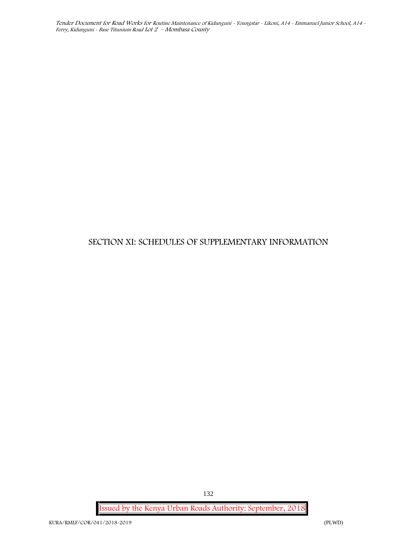# **SECTION XI: SCHEDULES OF SUPPLEMENTARY INFORMATION**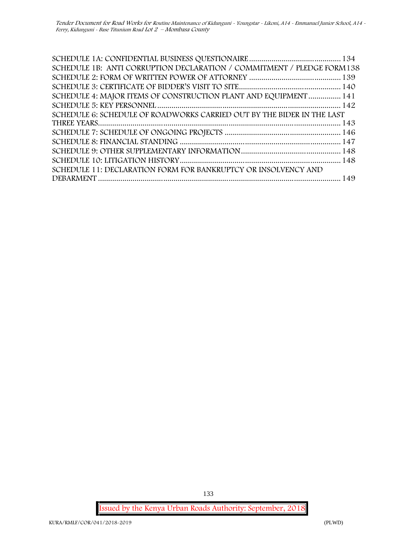| SCHEDULE 1B: ANTI CORRUPTION DECLARATION / COMMITMENT / PLEDGE FORM 138 |  |
|-------------------------------------------------------------------------|--|
|                                                                         |  |
|                                                                         |  |
| SCHEDULE 4: MAJOR ITEMS OF CONSTRUCTION PLANT AND EQUIPMENT  141        |  |
|                                                                         |  |
| SCHEDULE 6: SCHEDULE OF ROADWORKS CARRIED OUT BY THE BIDER IN THE LAST  |  |
|                                                                         |  |
|                                                                         |  |
|                                                                         |  |
|                                                                         |  |
|                                                                         |  |
| SCHEDULE 11: DECLARATION FORM FOR BANKRUPTCY OR INSOLVENCY AND          |  |
|                                                                         |  |

**Issued by the Kenya Urban Roads Authority: September, 2018**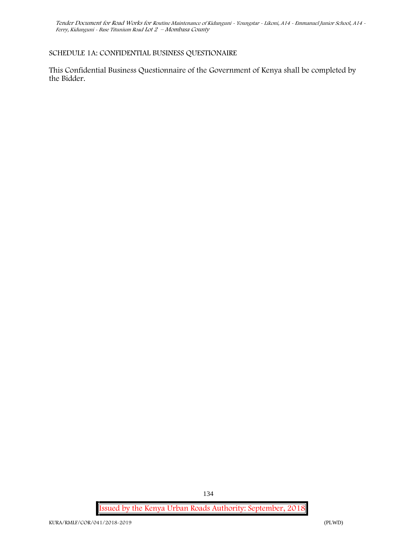# **SCHEDULE 1A: CONFIDENTIAL BUSINESS QUESTIONAIRE**

This Confidential Business Questionnaire of the Government of Kenya shall be completed by the Bidder.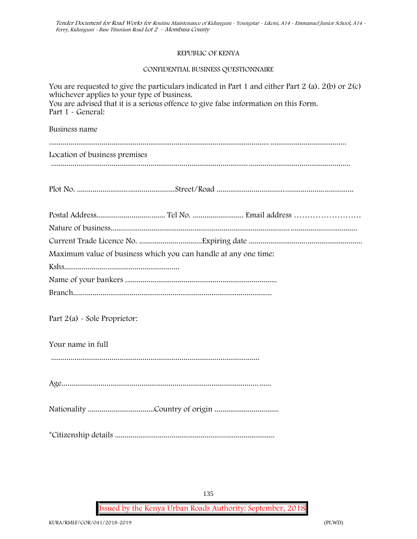#### **REPUBLIC OF KENYA**

#### **CONFIDENTIAL BUSINESS QUESTIONNAIRE**

| You are requested to give the particulars indicated in Part 1 and either Part 2 (a). 2(b) or 2(c)<br>whichever applies to your type of business.<br>You are advised that it is a serious offence to give false information on this Form.<br>Part 1 - General: |
|---------------------------------------------------------------------------------------------------------------------------------------------------------------------------------------------------------------------------------------------------------------|
| Business name                                                                                                                                                                                                                                                 |
| Location of business premises                                                                                                                                                                                                                                 |
|                                                                                                                                                                                                                                                               |
|                                                                                                                                                                                                                                                               |
|                                                                                                                                                                                                                                                               |
|                                                                                                                                                                                                                                                               |
| Maximum value of business which you can handle at any one time:                                                                                                                                                                                               |
|                                                                                                                                                                                                                                                               |
|                                                                                                                                                                                                                                                               |
|                                                                                                                                                                                                                                                               |
| Part $2(a)$ - Sole Proprietor:                                                                                                                                                                                                                                |
| Your name in full                                                                                                                                                                                                                                             |
|                                                                                                                                                                                                                                                               |
|                                                                                                                                                                                                                                                               |
|                                                                                                                                                                                                                                                               |
|                                                                                                                                                                                                                                                               |

**Issued by the Kenya Urban Roads Authority: September, 2018**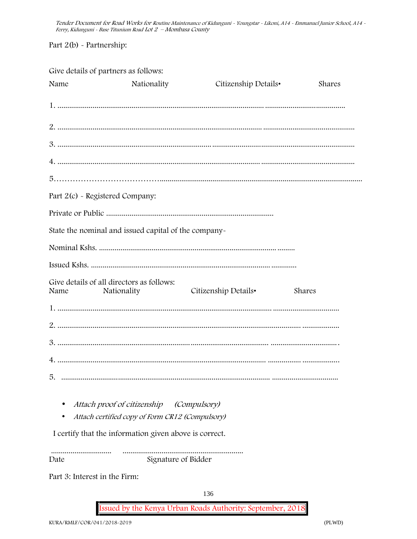Part 2(b) - Partnership:

Give details of partners as follows:

| Name | Nationality                                              | Citizenship Details• | Shares |
|------|----------------------------------------------------------|----------------------|--------|
|      |                                                          |                      |        |
|      |                                                          |                      |        |
|      |                                                          |                      |        |
|      |                                                          |                      |        |
|      |                                                          |                      |        |
|      | Part 2(c) - Registered Company:                          |                      |        |
|      |                                                          |                      |        |
|      | State the nominal and issued capital of the company-     |                      |        |
|      |                                                          |                      |        |
|      |                                                          |                      |        |
| Name | Give details of all directors as follows:<br>Nationality | Citizenship Details• | Shares |
|      |                                                          |                      |        |
|      |                                                          |                      |        |
|      |                                                          |                      |        |
|      |                                                          |                      |        |
|      |                                                          |                      |        |
|      | Attach proof of citizenship (Compulsory)                 |                      |        |
|      | Attach certified copy of Form CR12 (Compulsory)          |                      |        |
|      | I certify that the information given above is correct.   |                      |        |
| Date |                                                          | Signature of Bidder  |        |

Part 3: Interest in the Firm:

136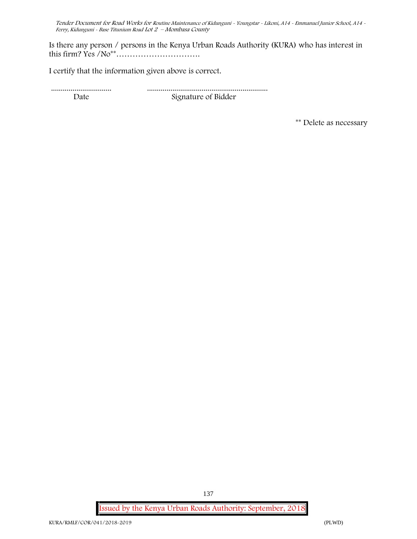Is there any person / persons in the Kenya Urban Roads Authority (KURA) who has interest in this firm? Yes /No\*\*………………………….

I certify that the information given above is correct.

............................... .............................................................. Date Signature of Bidder

**\*\* Delete as necessary**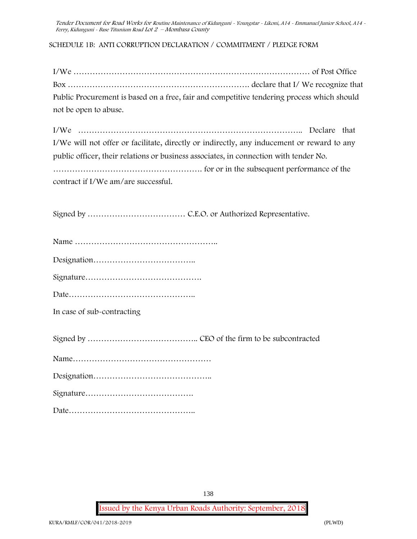# **SCHEDULE 1B: ANTI CORRUPTION DECLARATION / COMMITMENT / PLEDGE FORM**

I/We …………………………………………………………………………… of Post Office Box …………………………………………………………. declare that I/ We recognize that Public Procurement is based on a free, fair and competitive tendering process which should not be open to abuse.

| I/We will not offer or facilitate, directly or indirectly, any inducement or reward to any |  |  |  |  |  |
|--------------------------------------------------------------------------------------------|--|--|--|--|--|
| public officer, their relations or business associates, in connection with tender No.      |  |  |  |  |  |
|                                                                                            |  |  |  |  |  |
| contract if I/We am/are successful.                                                        |  |  |  |  |  |

Signed by ……………………………… C.E.O. or Authorized Representative.

| $C_{i}$ and $L_{i}$ |  |
|---------------------|--|

Signature…………………………………….

Date………………………………………..

**In case of sub-contracting**

Signed by ………………………………….. CEO of the firm to be subcontracted

|--|--|

Signature………………………………….

Date………………………………………..

138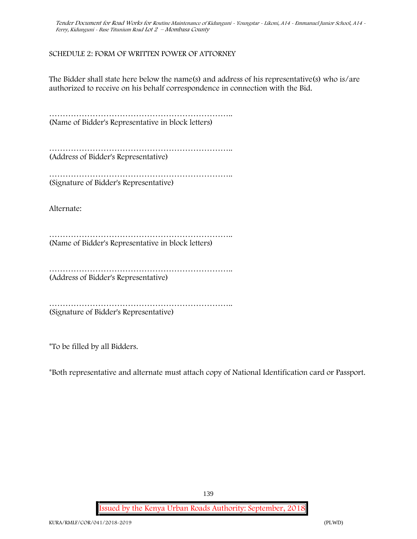# **SCHEDULE 2: FORM OF WRITTEN POWER OF ATTORNEY**

The Bidder shall state here below the name(s) and address of his representative(s) who is/are authorized to receive on his behalf correspondence in connection with the Bid.

………………………………………………………….. (Name of Bidder's Representative in block letters)

………………………………………………………….. (Address of Bidder's Representative)

……………………………………………………………………… (Signature of Bidder's Representative)

Alternate:

………………………………………………………….. (Name of Bidder's Representative in block letters)

…………………………………………………………………… (Address of Bidder's Representative)

………………………………………………………….. (Signature of Bidder's Representative)

\*To be filled by all Bidders.

\*Both representative and alternate **must** attach copy of National Identification card or Passport.

139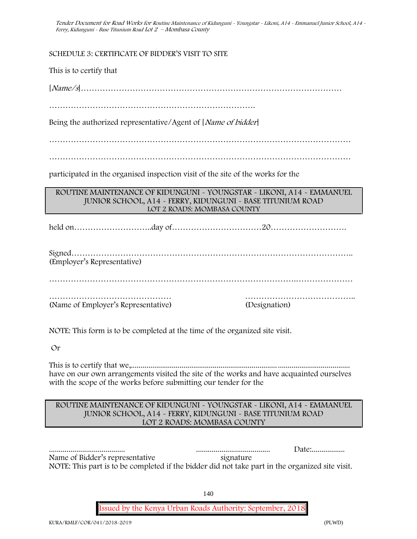**SCHEDULE 3: CERTIFICATE OF BIDDER'S VISIT TO SITE**

This is to certify that

[*Name/s*]……………………………………………………………………………………

………………………………………………………………….

Being the authorized representative/Agent of [*Name of bidder*]

…………………………………………………………………………………………………

…………………………………………………………………………………………………

participated in the organised inspection visit of the site of the works for the

**ROUTINE MAINTENANCE OF KIDUNGUNI - YOUNGSTAR - LIKONI, A14 - EMMANUEL JUNIOR SCHOOL, A14 - FERRY, KIDUNGUNI - BASE TITUNIUM ROAD LOT 2 ROADS: MOMBASA COUNTY**

held on………………………..day of……………………………20……………………….

Signed………………………………………………………………………………………….. (Employer's Representative)

……………………………………………………………………………….…………………

……………………………………… ………………………………….. (Name of Employer's Representative) (Designation)

NOTE: This form is to be completed at the time of the organized site visit.

Or

This is to certify that we,........................................................................... ..................................... have on our own arrangements visited the site of the works and have acquainted ourselves with the scope of the works before submitting our tender for the

# **ROUTINE MAINTENANCE OF KIDUNGUNI - YOUNGSTAR - LIKONI, A14 - EMMANUEL JUNIOR SCHOOL, A14 - FERRY, KIDUNGUNI - BASE TITUNIUM ROAD LOT 2 ROADS: MOMBASA COUNTY**

|                                                                                                 |           | Date: |
|-------------------------------------------------------------------------------------------------|-----------|-------|
| Name of Bidder's representative                                                                 | signature |       |
| NOTE: This part is to be completed if the bidder did not take part in the organized site visit. |           |       |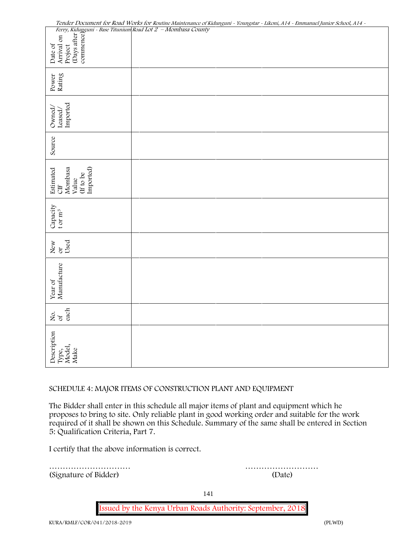*Tender Document for Road Works for Routine Maintenance of Kidunguni - Youngstar - Likoni, A14 - Emmanuel Junior School, A14 -*

#### **SCHEDULE 4: MAJOR ITEMS OF CONSTRUCTION PLANT AND EQUIPMENT**

The Bidder shall enter in this schedule all major items of plant and equipment which he proposes to bring to site. Only reliable plant in good working order and suitable for the work required of it shall be shown on this Schedule. Summary of the same shall be entered in Section 5: Qualification Criteria, Part 7.

I certify that the above information is correct.

………………………… ………………………

141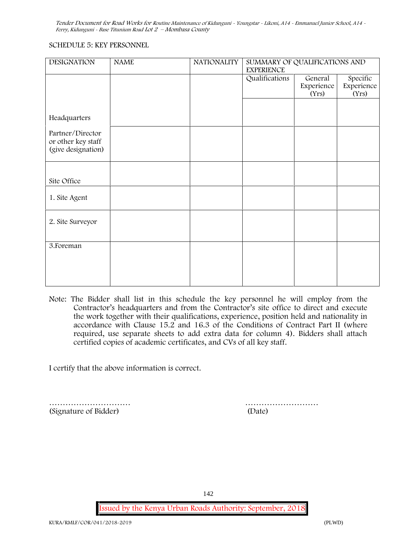# **SCHEDULE 5: KEY PERSONNEL**

| <b>DESIGNATION</b> | <b>NAME</b> | <b>NATIONALITY</b> | SUMMARY OF QUALIFICATIONS AND<br><b>EXPERIENCE</b> |            |            |
|--------------------|-------------|--------------------|----------------------------------------------------|------------|------------|
|                    |             |                    | Qualifications                                     | General    | Specific   |
|                    |             |                    |                                                    | Experience | Experience |
|                    |             |                    |                                                    | (Yrs)      | (Yrs)      |
|                    |             |                    |                                                    |            |            |
| Headquarters       |             |                    |                                                    |            |            |
| Partner/Director   |             |                    |                                                    |            |            |
| or other key staff |             |                    |                                                    |            |            |
| (give designation) |             |                    |                                                    |            |            |
|                    |             |                    |                                                    |            |            |
|                    |             |                    |                                                    |            |            |
| Site Office        |             |                    |                                                    |            |            |
|                    |             |                    |                                                    |            |            |
| 1. Site Agent      |             |                    |                                                    |            |            |
|                    |             |                    |                                                    |            |            |
|                    |             |                    |                                                    |            |            |
| 2. Site Surveyor   |             |                    |                                                    |            |            |
|                    |             |                    |                                                    |            |            |
| 3. Foreman         |             |                    |                                                    |            |            |
|                    |             |                    |                                                    |            |            |
|                    |             |                    |                                                    |            |            |
|                    |             |                    |                                                    |            |            |
|                    |             |                    |                                                    |            |            |

**Note:** The Bidder shall list in this schedule the key personnel he will employ from the Contractor's headquarters and from the Contractor's site office to direct and execute the work together with their qualifications, experience, position held and nationality in accordance with Clause 15.2 and 16.3 of the Conditions of Contract Part II (where required, use separate sheets to add extra data for column 4). Bidders shall attach certified copies of academic certificates, and CVs of all key staff.

I certify that the above information is correct.

………………………… ……………………… (Signature of Bidder) (Date)

142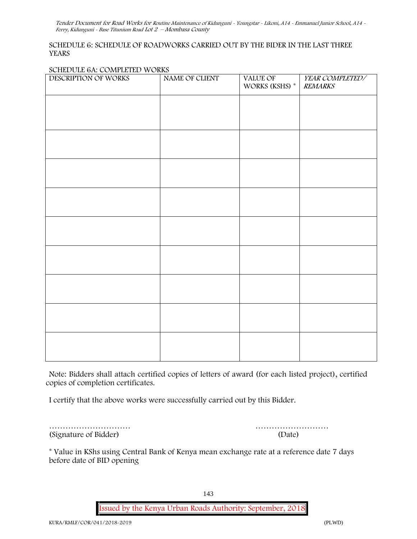# **SCHEDULE 6: SCHEDULE OF ROADWORKS CARRIED OUT BY THE BIDER IN THE LAST THREE YEARS**

#### **SCHEDULE 6A: COMPLETED WORKS**

| DESCRIPTION OF WORKS | NAME OF CLIENT | VALUE OF<br>WORKS (KSHS) $^\ast$ | YEAR COMPLETED/<br><b>REMARKS</b> |
|----------------------|----------------|----------------------------------|-----------------------------------|
|                      |                |                                  |                                   |
|                      |                |                                  |                                   |
|                      |                |                                  |                                   |
|                      |                |                                  |                                   |
|                      |                |                                  |                                   |
|                      |                |                                  |                                   |
|                      |                |                                  |                                   |
|                      |                |                                  |                                   |
|                      |                |                                  |                                   |
|                      |                |                                  |                                   |
|                      |                |                                  |                                   |
|                      |                |                                  |                                   |
|                      |                |                                  |                                   |
|                      |                |                                  |                                   |

**Note:** Bidders shall attach certified copies of letters of award (for each listed project), certified copies of completion certificates.

I certify that the above works were successfully carried out by this Bidder.

(Signature of Bidder) (Date)

………………………… ………………………

\* **Value in KShs using Central Bank of Kenya mean exchange rate at a reference date 7 days before date of BID opening**

143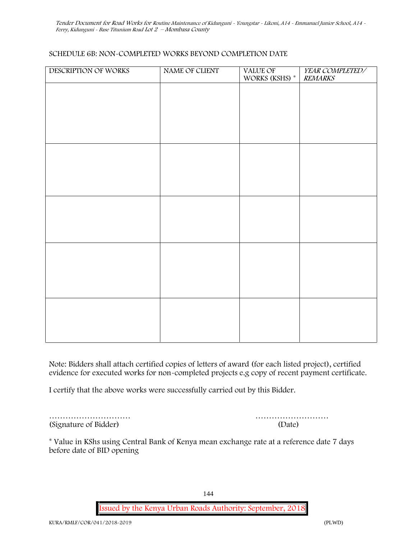### **SCHEDULE 6B: NON-COMPLETED WORKS BEYOND COMPLETION DATE**

| DESCRIPTION OF WORKS | NAME OF CLIENT | VALUE OF<br>WORKS (KSHS) * | YEAR COMPLETED/<br><b>REMARKS</b> |
|----------------------|----------------|----------------------------|-----------------------------------|
|                      |                |                            |                                   |
|                      |                |                            |                                   |
|                      |                |                            |                                   |
|                      |                |                            |                                   |
|                      |                |                            |                                   |
|                      |                |                            |                                   |
|                      |                |                            |                                   |
|                      |                |                            |                                   |
|                      |                |                            |                                   |
|                      |                |                            |                                   |
|                      |                |                            |                                   |
|                      |                |                            |                                   |
|                      |                |                            |                                   |
|                      |                |                            |                                   |
|                      |                |                            |                                   |
|                      |                |                            |                                   |
|                      |                |                            |                                   |
|                      |                |                            |                                   |
|                      |                |                            |                                   |
|                      |                |                            |                                   |

**Note:** Bidders shall attach certified copies of letters of award (for each listed project), certified evidence for executed works for non-completed projects e.g copy of recent payment certificate.

I certify that the above works were successfully carried out by this Bidder.

| (Signature of Bidder) | (Date) |
|-----------------------|--------|

| (Signature of Bidder) | (Date) |
|-----------------------|--------|

\* **Value in KShs using Central Bank of Kenya mean exchange rate at a reference date 7 days before date of BID opening**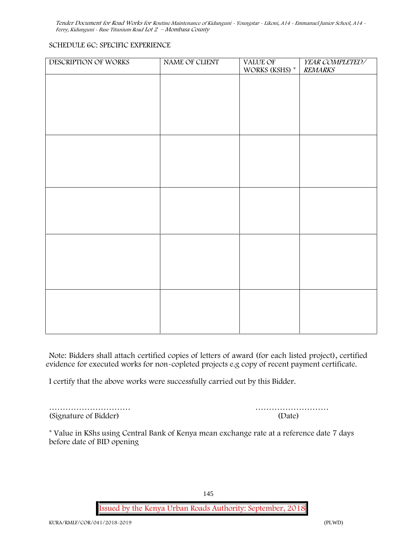### **SCHEDULE 6C: SPECIFIC EXPERIENCE**

| DESCRIPTION OF WORKS | NAME OF CLIENT | VALUE OF       | YEAR COMPLETED/ |
|----------------------|----------------|----------------|-----------------|
|                      |                | WORKS (KSHS) * | <b>REMARKS</b>  |
|                      |                |                |                 |
|                      |                |                |                 |
|                      |                |                |                 |
|                      |                |                |                 |
|                      |                |                |                 |
|                      |                |                |                 |
|                      |                |                |                 |
|                      |                |                |                 |
|                      |                |                |                 |
|                      |                |                |                 |
|                      |                |                |                 |
|                      |                |                |                 |
|                      |                |                |                 |
|                      |                |                |                 |
|                      |                |                |                 |
|                      |                |                |                 |
|                      |                |                |                 |
|                      |                |                |                 |
|                      |                |                |                 |
|                      |                |                |                 |
|                      |                |                |                 |
|                      |                |                |                 |
|                      |                |                |                 |
|                      |                |                |                 |
|                      |                |                |                 |
|                      |                |                |                 |
|                      |                |                |                 |
|                      |                |                |                 |
|                      |                |                |                 |
|                      |                |                |                 |

**Note:** Bidders shall attach certified copies of letters of award (for each listed project), certified evidence for executed works for non-copleted projects e.g copy of recent payment certificate.

I certify that the above works were successfully carried out by this Bidder.

(Signature of Bidder) (Date)

………………………… ………………………

\* **Value in KShs using Central Bank of Kenya mean exchange rate at a reference date 7 days before date of BID opening**

145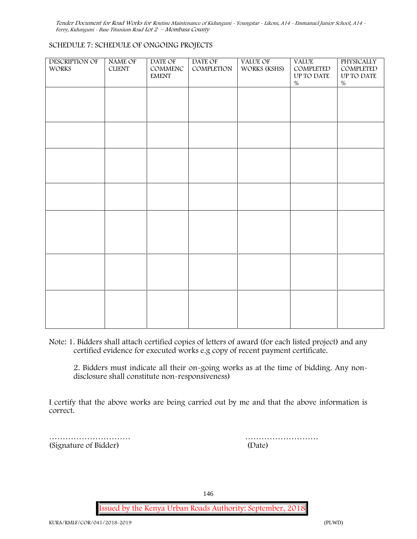### **SCHEDULE 7: SCHEDULE OF ONGOING PROJECTS**

| DESCRIPTION OF<br><b>WORKS</b> | NAME OF<br><b>CLIENT</b> | DATE OF<br>COMMENC<br><b>EMENT</b> | DATE OF<br>COMPLETION | VALUE OF<br>WORKS (KSHS) | <b>VALUE</b><br>COMPLETED<br>UP TO DATE<br>$\%$ | PHYSICALLY<br>COMPLETED<br>UP TO DATE<br>$\%$ |  |
|--------------------------------|--------------------------|------------------------------------|-----------------------|--------------------------|-------------------------------------------------|-----------------------------------------------|--|
|                                |                          |                                    |                       |                          |                                                 |                                               |  |
|                                |                          |                                    |                       |                          |                                                 |                                               |  |
|                                |                          |                                    |                       |                          |                                                 |                                               |  |
|                                |                          |                                    |                       |                          |                                                 |                                               |  |
|                                |                          |                                    |                       |                          |                                                 |                                               |  |
|                                |                          |                                    |                       |                          |                                                 |                                               |  |
|                                |                          |                                    |                       |                          |                                                 |                                               |  |
|                                |                          |                                    |                       |                          |                                                 |                                               |  |

**Note:** 1. Bidders shall attach certified copies of letters of award (for each listed project) and any certified evidence for executed works e.g copy of recent payment certificate.

2. Bidders must indicate all their on-going works as at the time of bidding. Any non disclosure shall constitute non-responsiveness)

I certify that the above works are being carried out by me and that the above information is correct.

………………………… (Signature of Bidder)

| (Date) |  |  |  |  |  |  |  |  |  |  |  |  |  |
|--------|--|--|--|--|--|--|--|--|--|--|--|--|--|

146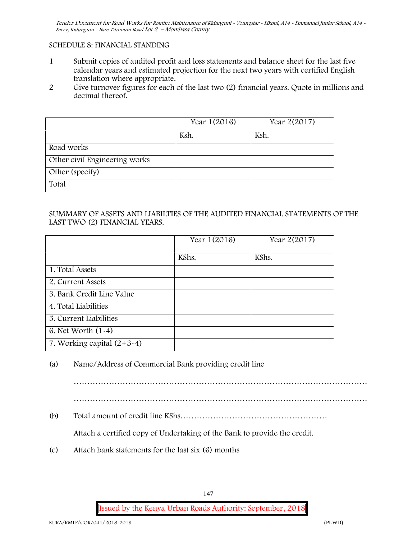### **SCHEDULE 8: FINANCIAL STANDING**

- 1 Submit copies of audited profit and loss statements and balance sheet for the last five calendar years and estimated projection for the next two years with certified English translation where appropriate.
- 2 Give turnover figures for each of the last two (2) financial years. Quote in millions and decimal thereof.

|                               | Year 1(2016) | Year 2(2017) |
|-------------------------------|--------------|--------------|
|                               | Ksh.         | Ksh.         |
| Road works                    |              |              |
| Other civil Engineering works |              |              |
| Other (specify)               |              |              |
| Total                         |              |              |

## SUMMARY OF ASSETS AND LIABILTIES OF THE AUDITED FINANCIAL STATEMENTS OF THE LAST TWO (2) FINANCIAL YEARS.

|                              | Year 1(2016) | Year 2(2017) |
|------------------------------|--------------|--------------|
|                              | KShs.        | KShs.        |
| 1. Total Assets              |              |              |
| 2. Current Assets            |              |              |
| 3. Bank Credit Line Value    |              |              |
| 4. Total Liabilities         |              |              |
| 5. Current Liabilities       |              |              |
| 6. Net Worth $(1-4)$         |              |              |
| 7. Working capital $(2+3-4)$ |              |              |

(a) Name/Address of Commercial Bank providing credit line

……………………………………………………………………………………………… ………………………………………………………………………………………………

(b) Total amount of credit line KShs………………………………………………

Attach a certified copy of Undertaking of the Bank to provide the credit.

(c) Attach bank statements for the last six (6) months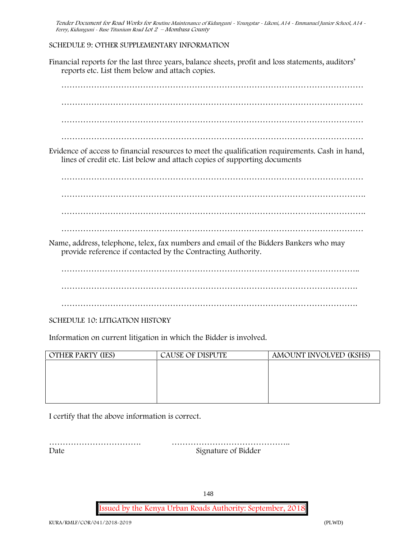# **SCHEDULE 9: OTHER SUPPLEMENTARY INFORMATION**

| reports etc. List them below and attach copies.                    | Financial reports for the last three years, balance sheets, profit and loss statements, auditors'                                                                            |                        |  |  |  |  |
|--------------------------------------------------------------------|------------------------------------------------------------------------------------------------------------------------------------------------------------------------------|------------------------|--|--|--|--|
|                                                                    |                                                                                                                                                                              |                        |  |  |  |  |
|                                                                    |                                                                                                                                                                              |                        |  |  |  |  |
|                                                                    |                                                                                                                                                                              |                        |  |  |  |  |
|                                                                    |                                                                                                                                                                              |                        |  |  |  |  |
|                                                                    | Evidence of access to financial resources to meet the qualification requirements. Cash in hand,<br>lines of credit etc. List below and attach copies of supporting documents |                        |  |  |  |  |
|                                                                    |                                                                                                                                                                              |                        |  |  |  |  |
|                                                                    |                                                                                                                                                                              |                        |  |  |  |  |
|                                                                    |                                                                                                                                                                              |                        |  |  |  |  |
|                                                                    |                                                                                                                                                                              |                        |  |  |  |  |
|                                                                    | Name, address, telephone, telex, fax numbers and email of the Bidders Bankers who may<br>provide reference if contacted by the Contracting Authority.                        |                        |  |  |  |  |
|                                                                    |                                                                                                                                                                              |                        |  |  |  |  |
|                                                                    |                                                                                                                                                                              |                        |  |  |  |  |
|                                                                    |                                                                                                                                                                              |                        |  |  |  |  |
| <b>SCHEDULE 10: LITIGATION HISTORY</b>                             |                                                                                                                                                                              |                        |  |  |  |  |
| Information on current litigation in which the Bidder is involved. |                                                                                                                                                                              |                        |  |  |  |  |
| <b>OTHER PARTY (IES)</b>                                           | <b>CAUSE OF DISPUTE</b>                                                                                                                                                      | AMOUNT INVOLVED (KSHS) |  |  |  |  |
|                                                                    |                                                                                                                                                                              |                        |  |  |  |  |

| UTHER FART FILLS | CAUSL OF DISFUTL | ANIQUINI IINVOLVLU (NOIIO) |
|------------------|------------------|----------------------------|
|                  |                  |                            |
|                  |                  |                            |
|                  |                  |                            |
|                  |                  |                            |
|                  |                  |                            |
|                  |                  |                            |
|                  |                  |                            |
|                  |                  |                            |
|                  |                  |                            |

I certify that the above information is correct.

……………………………. …………………………………….. Date Signature of Bidder

148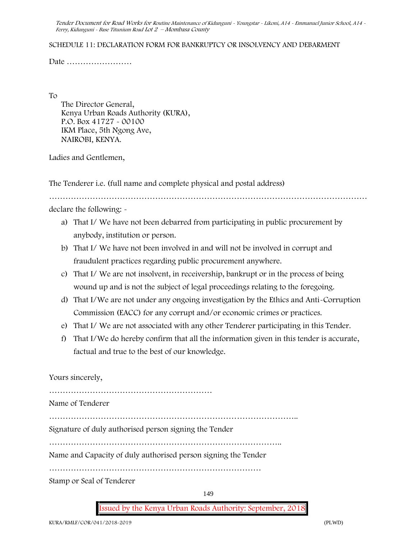#### **SCHEDULE 11: DECLARATION FORM FOR BANKRUPTCY OR INSOLVENCY AND DEBARMENT**

Date ……………………

To

The Director General, Kenya Urban Roads Authority (KURA), P.O. Box 41727 - 00100 IKM Place, 5th Ngong Ave, **NAIROBI**, **KENYA.**

Ladies and Gentlemen,

The Tenderer i.e. (full name and complete physical and postal address)

declare the following: -

- a) That I/ We have not been debarred from participating in public procurement by anybody, institution or person.
- b) That I/ We have not been involved in and will not be involved in corrupt and fraudulent practices regarding public procurement anywhere.
- c) That I/ We are not insolvent, in receivership, bankrupt or in the process of being wound up and is not the subject of legal proceedings relating to the foregoing.
- d) That I/We are not under any ongoing investigation by the Ethics and Anti-Corruption Commission (EACC) for any corrupt and/or economic crimes or practices.
- e) That I/ We are not associated with any other Tenderer participating in this Tender.
- f) That I/We do hereby confirm that all the information given in this tender is accurate, factual and true to the best of our knowledge.

Yours sincerely,

149 …………………………………………………… Name of Tenderer ……………………………………………………………………………….. Signature of duly authorised person signing the Tender ………………………………………………………………………….. Name and Capacity of duly authorised person signing the Tender …………………………………………………………………… Stamp or Seal of Tenderer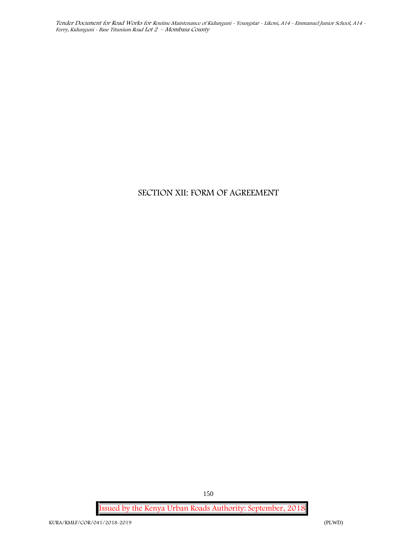# **SECTION XII: FORM OF AGREEMENT**

**Issued by the Kenya Urban Roads Authority: September, 2018**

150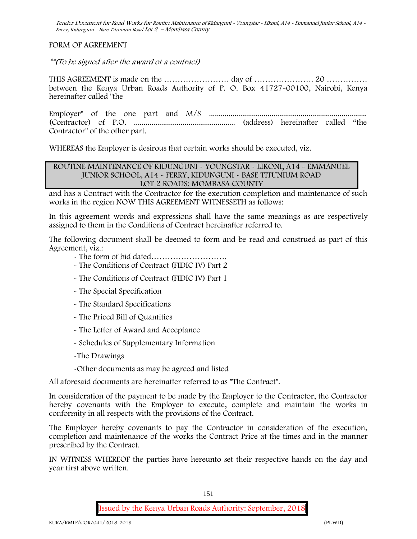**FORM OF AGREEMENT**

*\*\*(To be signed after the award of a contract)*

THIS AGREEMENT is made on the …………………… day of …………………. 20 …………… between the Kenya Urban Roads Authority of P. O. Box 41727-00100, Nairobi, Kenya hereinafter called "the

Employer" of the one part and M/S ................................................................................. (Contractor) of P.O. .................................................... (address) hereinafter called "the Contractor" of the other part.

WHEREAS the Employer is desirous that certain works should be executed, viz.

### **ROUTINE MAINTENANCE OF KIDUNGUNI - YOUNGSTAR - LIKONI, A14 - EMMANUEL JUNIOR SCHOOL, A14 - FERRY, KIDUNGUNI - BASE TITUNIUM ROAD LOT 2 ROADS: MOMBASA COUNTY**

and has a Contract with the Contractor for the execution completion and maintenance of such works in the region NOW THIS AGREEMENT WITNESSETH as follows:

In this agreement words and expressions shall have the same meanings as are respectively assigned to them in the Conditions of Contract hereinafter referred to.

The following document shall be deemed to form and be read and construed as part of this Agreement, viz.:

- The form of bid dated……………………….
- The Conditions of Contract (FIDIC IV) Part 2
- The Conditions of Contract (FIDIC IV) Part 1
- The Special Specification
- The Standard Specifications
- The Priced Bill of Quantities
- The Letter of Award and Acceptance
- Schedules of Supplementary Information
- -The Drawings
- -Other documents as may be agreed and listed

All aforesaid documents are hereinafter referred to as "The Contract".

In consideration of the payment to be made by the Employer to the Contractor, the Contractor hereby covenants with the Employer to execute, complete and maintain the works in conformity in all respects with the provisions of the Contract.

The Employer hereby covenants to pay the Contractor in consideration of the execution, completion and maintenance of the works the Contract Price at the times and in the manner prescribed by the Contract.

IN WITNESS WHEREOF the parties have hereunto set their respective hands on the day and year first above written.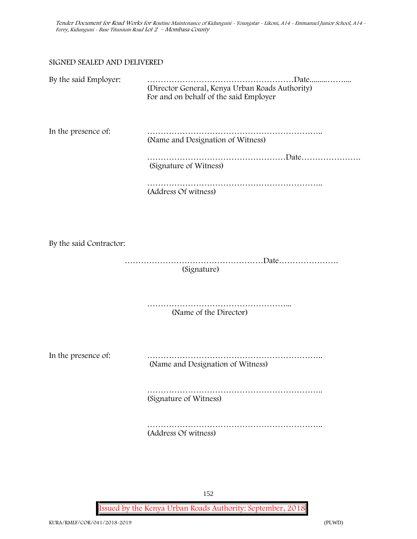### SIGNED SEALED AND DELIVERED

| By the said Employer:   | (Director General, Kenya Urban Roads Authority)<br>For and on behalf of the said Employer |
|-------------------------|-------------------------------------------------------------------------------------------|
| In the presence of:     | (Name and Designation of Witness)<br>(Signature of Witness)<br>(Address Of witness)       |
| By the said Contractor: | (Signature)                                                                               |
|                         | (Name of the Director)                                                                    |
| In the presence of:     | .<br>(Name and Designation of Witness)                                                    |
|                         | (Signature of Witness)                                                                    |
|                         | (Address Of witness)                                                                      |

152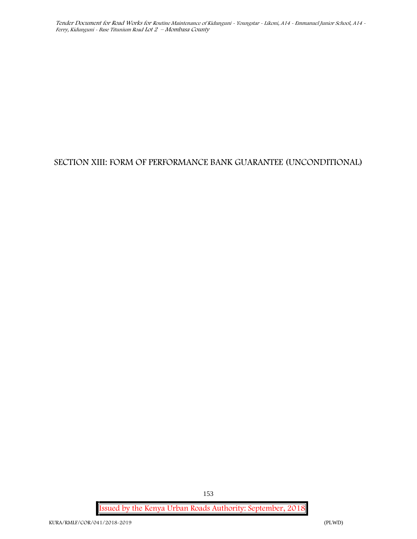# **SECTION XIII: FORM OF PERFORMANCE BANK GUARANTEE (UNCONDITIONAL)**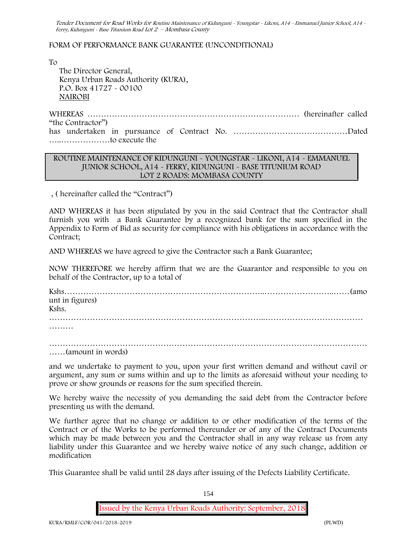### FORM OF PERFORMANCE BANK GUARANTEE (UNCONDITIONAL)

To

The Director General, Kenya Urban Roads Authority (KURA), P.O. Box 41727 - 00100 **NAIROBI**

WHEREAS …………………………………………………………………… (hereinafter called "the Contractor") has undertaken in pursuance of Contract No. ……………………………………Dated …..………………to execute the

### **ROUTINE MAINTENANCE OF KIDUNGUNI - YOUNGSTAR - LIKONI, A14 - EMMANUEL JUNIOR SCHOOL, A14 - FERRY, KIDUNGUNI - BASE TITUNIUM ROAD LOT 2 ROADS: MOMBASA COUNTY**

, ( hereinafter called the "Contract")

AND WHEREAS it has been stipulated by you in the said Contract that the Contractor shall furnish you with a Bank Guarantee by a recognized bank for the sum specified in the Appendix to Form of Bid as security for compliance with his obligations in accordance with the Contract;

AND WHEREAS we have agreed to give the Contractor such a Bank Guarantee;

NOW THEREFORE we hereby affirm that we are the Guarantor and responsible to you on behalf of the Contractor, up to a total of

Kshs………………………………………………………………..……………………..……(amo unt in figures) Kshs. ……………………………………………………………………..……………………………… ………

……(amount in words)

and we undertake to payment to you, upon your first written demand and without cavil or argument, any sum or sums within and up to the limits as aforesaid without your needing to prove or show grounds or reasons for the sum specified therein.

We hereby waive the necessity of you demanding the said debt from the Contractor before presenting us with the demand.

We further agree that no change or addition to or other modification of the terms of the Contract or of the Works to be performed thereunder or of any of the Contract Documents which may be made between you and the Contractor shall in any way release us from any liability under this Guarantee and we hereby waive notice of any such change, addition or modification

This Guarantee shall be valid until 28 days after issuing of the Defects Liability Certificate.